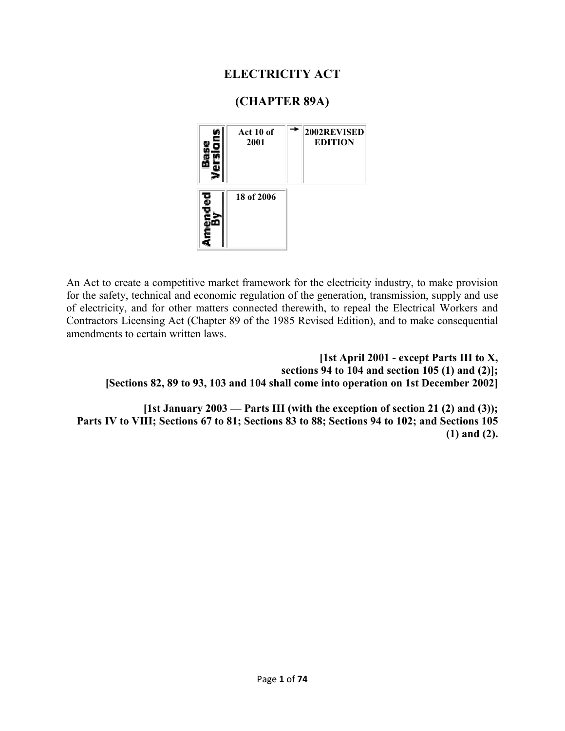## **ELECTRICITY ACT**

## **(CHAPTER 89A)**



An Act to create a competitive market framework for the electricity industry, to make provision for the safety, technical and economic regulation of the generation, transmission, supply and use of electricity, and for other matters connected therewith, to repeal the Electrical Workers and Contractors Licensing Act (Chapter 89 of the 1985 Revised Edition), and to make consequential amendments to certain written laws.

**[1st April 2001 - except Parts III to X, sections 94 to 104 and section 105 (1) and (2)]; [Sections 82, 89 to 93, 103 and 104 shall come into operation on 1st December 2002]** 

**[1st January 2003 — Parts III (with the exception of section 21 (2) and (3)); Parts IV to VIII; Sections 67 to 81; Sections 83 to 88; Sections 94 to 102; and Sections 105 (1) and (2).**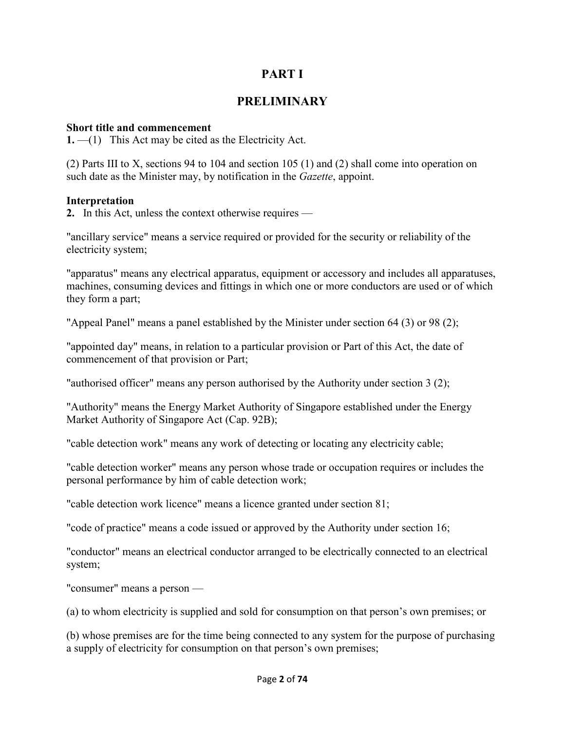## **PART I**

### **PRELIMINARY**

#### **Short title and commencement**

**1.** —(1) This Act may be cited as the Electricity Act.

(2) Parts III to X, sections 94 to 104 and section 105 (1) and (2) shall come into operation on such date as the Minister may, by notification in the *Gazette*, appoint.

#### **Interpretation**

**2.** In this Act, unless the context otherwise requires —

"ancillary service" means a service required or provided for the security or reliability of the electricity system;

"apparatus" means any electrical apparatus, equipment or accessory and includes all apparatuses, machines, consuming devices and fittings in which one or more conductors are used or of which they form a part;

"Appeal Panel" means a panel established by the Minister under section 64 (3) or 98 (2);

"appointed day" means, in relation to a particular provision or Part of this Act, the date of commencement of that provision or Part;

"authorised officer" means any person authorised by the Authority under section 3 (2);

"Authority" means the Energy Market Authority of Singapore established under the Energy Market Authority of Singapore Act (Cap. 92B);

"cable detection work" means any work of detecting or locating any electricity cable;

"cable detection worker" means any person whose trade or occupation requires or includes the personal performance by him of cable detection work;

"cable detection work licence" means a licence granted under section 81;

"code of practice" means a code issued or approved by the Authority under section 16;

"conductor" means an electrical conductor arranged to be electrically connected to an electrical system;

"consumer" means a person —

(a) to whom electricity is supplied and sold for consumption on that person's own premises; or

(b) whose premises are for the time being connected to any system for the purpose of purchasing a supply of electricity for consumption on that person's own premises;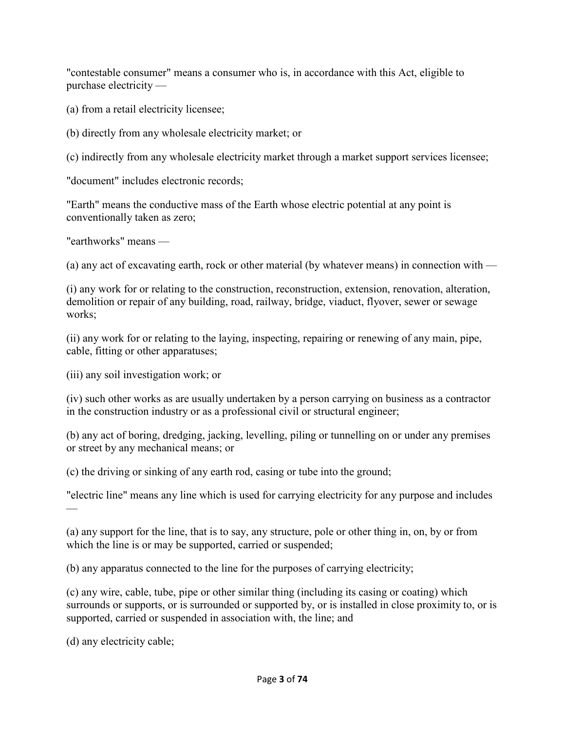"contestable consumer" means a consumer who is, in accordance with this Act, eligible to purchase electricity —

(a) from a retail electricity licensee;

(b) directly from any wholesale electricity market; or

(c) indirectly from any wholesale electricity market through a market support services licensee;

"document" includes electronic records;

"Earth" means the conductive mass of the Earth whose electric potential at any point is conventionally taken as zero;

"earthworks" means —

(a) any act of excavating earth, rock or other material (by whatever means) in connection with —

(i) any work for or relating to the construction, reconstruction, extension, renovation, alteration, demolition or repair of any building, road, railway, bridge, viaduct, flyover, sewer or sewage works;

(ii) any work for or relating to the laying, inspecting, repairing or renewing of any main, pipe, cable, fitting or other apparatuses;

(iii) any soil investigation work; or

(iv) such other works as are usually undertaken by a person carrying on business as a contractor in the construction industry or as a professional civil or structural engineer;

(b) any act of boring, dredging, jacking, levelling, piling or tunnelling on or under any premises or street by any mechanical means; or

(c) the driving or sinking of any earth rod, casing or tube into the ground;

"electric line" means any line which is used for carrying electricity for any purpose and includes —

(a) any support for the line, that is to say, any structure, pole or other thing in, on, by or from which the line is or may be supported, carried or suspended;

(b) any apparatus connected to the line for the purposes of carrying electricity;

(c) any wire, cable, tube, pipe or other similar thing (including its casing or coating) which surrounds or supports, or is surrounded or supported by, or is installed in close proximity to, or is supported, carried or suspended in association with, the line; and

(d) any electricity cable;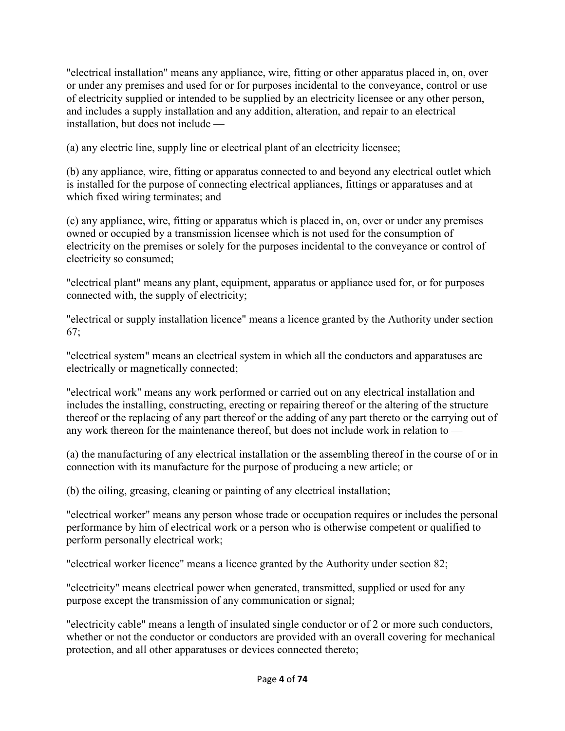"electrical installation" means any appliance, wire, fitting or other apparatus placed in, on, over or under any premises and used for or for purposes incidental to the conveyance, control or use of electricity supplied or intended to be supplied by an electricity licensee or any other person, and includes a supply installation and any addition, alteration, and repair to an electrical installation, but does not include —

(a) any electric line, supply line or electrical plant of an electricity licensee;

(b) any appliance, wire, fitting or apparatus connected to and beyond any electrical outlet which is installed for the purpose of connecting electrical appliances, fittings or apparatuses and at which fixed wiring terminates; and

(c) any appliance, wire, fitting or apparatus which is placed in, on, over or under any premises owned or occupied by a transmission licensee which is not used for the consumption of electricity on the premises or solely for the purposes incidental to the conveyance or control of electricity so consumed;

"electrical plant" means any plant, equipment, apparatus or appliance used for, or for purposes connected with, the supply of electricity;

"electrical or supply installation licence" means a licence granted by the Authority under section 67;

"electrical system" means an electrical system in which all the conductors and apparatuses are electrically or magnetically connected;

"electrical work" means any work performed or carried out on any electrical installation and includes the installing, constructing, erecting or repairing thereof or the altering of the structure thereof or the replacing of any part thereof or the adding of any part thereto or the carrying out of any work thereon for the maintenance thereof, but does not include work in relation to —

(a) the manufacturing of any electrical installation or the assembling thereof in the course of or in connection with its manufacture for the purpose of producing a new article; or

(b) the oiling, greasing, cleaning or painting of any electrical installation;

"electrical worker" means any person whose trade or occupation requires or includes the personal performance by him of electrical work or a person who is otherwise competent or qualified to perform personally electrical work;

"electrical worker licence" means a licence granted by the Authority under section 82;

"electricity" means electrical power when generated, transmitted, supplied or used for any purpose except the transmission of any communication or signal;

"electricity cable" means a length of insulated single conductor or of 2 or more such conductors, whether or not the conductor or conductors are provided with an overall covering for mechanical protection, and all other apparatuses or devices connected thereto;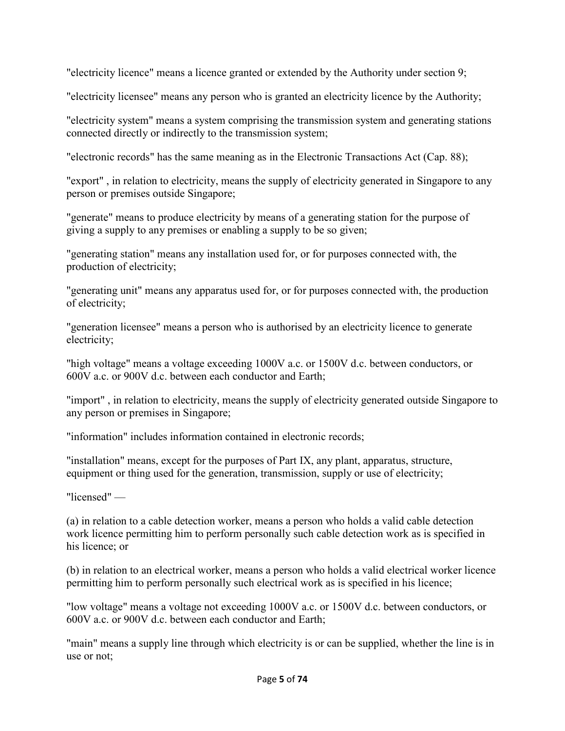"electricity licence" means a licence granted or extended by the Authority under section 9;

"electricity licensee" means any person who is granted an electricity licence by the Authority;

"electricity system" means a system comprising the transmission system and generating stations connected directly or indirectly to the transmission system;

"electronic records" has the same meaning as in the Electronic Transactions Act (Cap. 88);

"export" , in relation to electricity, means the supply of electricity generated in Singapore to any person or premises outside Singapore;

"generate" means to produce electricity by means of a generating station for the purpose of giving a supply to any premises or enabling a supply to be so given;

"generating station" means any installation used for, or for purposes connected with, the production of electricity;

"generating unit" means any apparatus used for, or for purposes connected with, the production of electricity;

"generation licensee" means a person who is authorised by an electricity licence to generate electricity;

"high voltage" means a voltage exceeding 1000V a.c. or 1500V d.c. between conductors, or 600V a.c. or 900V d.c. between each conductor and Earth;

"import" , in relation to electricity, means the supply of electricity generated outside Singapore to any person or premises in Singapore;

"information" includes information contained in electronic records;

"installation" means, except for the purposes of Part IX, any plant, apparatus, structure, equipment or thing used for the generation, transmission, supply or use of electricity;

"licensed" —

(a) in relation to a cable detection worker, means a person who holds a valid cable detection work licence permitting him to perform personally such cable detection work as is specified in his licence; or

(b) in relation to an electrical worker, means a person who holds a valid electrical worker licence permitting him to perform personally such electrical work as is specified in his licence;

"low voltage" means a voltage not exceeding 1000V a.c. or 1500V d.c. between conductors, or 600V a.c. or 900V d.c. between each conductor and Earth;

"main" means a supply line through which electricity is or can be supplied, whether the line is in use or not;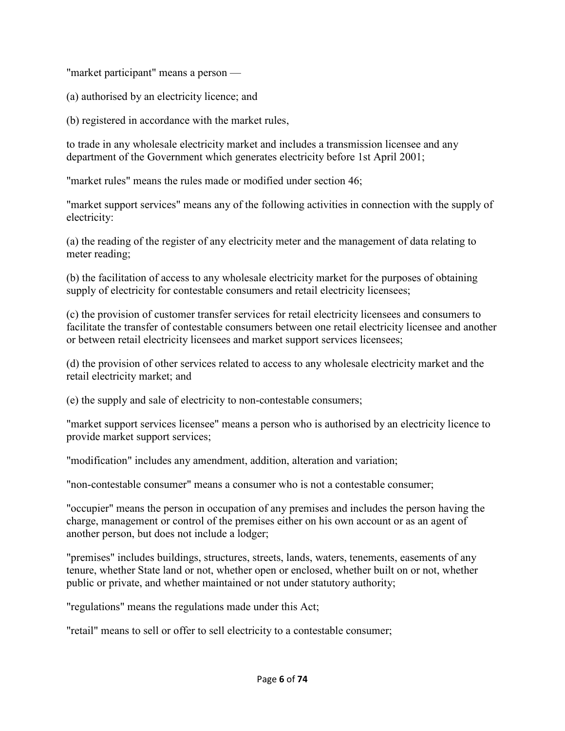"market participant" means a person —

(a) authorised by an electricity licence; and

(b) registered in accordance with the market rules,

to trade in any wholesale electricity market and includes a transmission licensee and any department of the Government which generates electricity before 1st April 2001;

"market rules" means the rules made or modified under section 46;

"market support services" means any of the following activities in connection with the supply of electricity:

(a) the reading of the register of any electricity meter and the management of data relating to meter reading;

(b) the facilitation of access to any wholesale electricity market for the purposes of obtaining supply of electricity for contestable consumers and retail electricity licensees;

(c) the provision of customer transfer services for retail electricity licensees and consumers to facilitate the transfer of contestable consumers between one retail electricity licensee and another or between retail electricity licensees and market support services licensees;

(d) the provision of other services related to access to any wholesale electricity market and the retail electricity market; and

(e) the supply and sale of electricity to non-contestable consumers;

"market support services licensee" means a person who is authorised by an electricity licence to provide market support services;

"modification" includes any amendment, addition, alteration and variation;

"non-contestable consumer" means a consumer who is not a contestable consumer;

"occupier" means the person in occupation of any premises and includes the person having the charge, management or control of the premises either on his own account or as an agent of another person, but does not include a lodger;

"premises" includes buildings, structures, streets, lands, waters, tenements, easements of any tenure, whether State land or not, whether open or enclosed, whether built on or not, whether public or private, and whether maintained or not under statutory authority;

"regulations" means the regulations made under this Act;

"retail" means to sell or offer to sell electricity to a contestable consumer;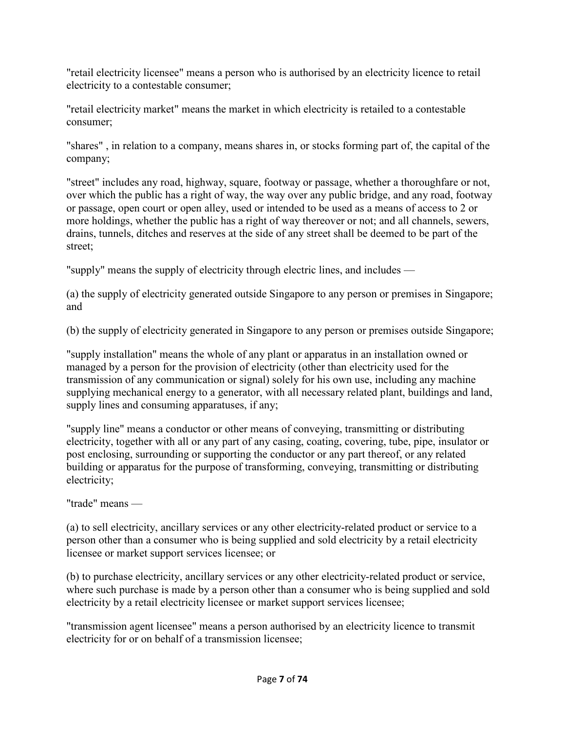"retail electricity licensee" means a person who is authorised by an electricity licence to retail electricity to a contestable consumer;

"retail electricity market" means the market in which electricity is retailed to a contestable consumer;

"shares" , in relation to a company, means shares in, or stocks forming part of, the capital of the company;

"street" includes any road, highway, square, footway or passage, whether a thoroughfare or not, over which the public has a right of way, the way over any public bridge, and any road, footway or passage, open court or open alley, used or intended to be used as a means of access to 2 or more holdings, whether the public has a right of way thereover or not; and all channels, sewers, drains, tunnels, ditches and reserves at the side of any street shall be deemed to be part of the street;

"supply" means the supply of electricity through electric lines, and includes —

(a) the supply of electricity generated outside Singapore to any person or premises in Singapore; and

(b) the supply of electricity generated in Singapore to any person or premises outside Singapore;

"supply installation" means the whole of any plant or apparatus in an installation owned or managed by a person for the provision of electricity (other than electricity used for the transmission of any communication or signal) solely for his own use, including any machine supplying mechanical energy to a generator, with all necessary related plant, buildings and land, supply lines and consuming apparatuses, if any;

"supply line" means a conductor or other means of conveying, transmitting or distributing electricity, together with all or any part of any casing, coating, covering, tube, pipe, insulator or post enclosing, surrounding or supporting the conductor or any part thereof, or any related building or apparatus for the purpose of transforming, conveying, transmitting or distributing electricity;

"trade" means —

(a) to sell electricity, ancillary services or any other electricity-related product or service to a person other than a consumer who is being supplied and sold electricity by a retail electricity licensee or market support services licensee; or

(b) to purchase electricity, ancillary services or any other electricity-related product or service, where such purchase is made by a person other than a consumer who is being supplied and sold electricity by a retail electricity licensee or market support services licensee;

"transmission agent licensee" means a person authorised by an electricity licence to transmit electricity for or on behalf of a transmission licensee;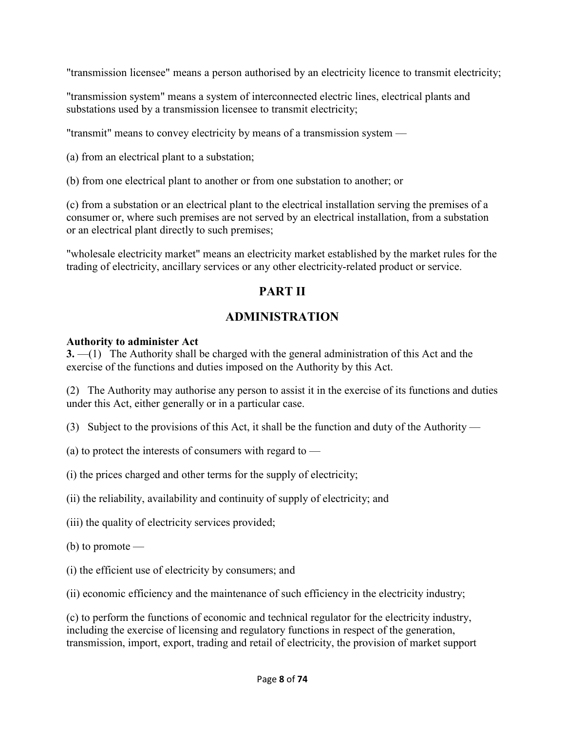"transmission licensee" means a person authorised by an electricity licence to transmit electricity;

"transmission system" means a system of interconnected electric lines, electrical plants and substations used by a transmission licensee to transmit electricity;

"transmit" means to convey electricity by means of a transmission system —

(a) from an electrical plant to a substation;

(b) from one electrical plant to another or from one substation to another; or

(c) from a substation or an electrical plant to the electrical installation serving the premises of a consumer or, where such premises are not served by an electrical installation, from a substation or an electrical plant directly to such premises;

"wholesale electricity market" means an electricity market established by the market rules for the trading of electricity, ancillary services or any other electricity-related product or service.

# **PART II**

# **ADMINISTRATION**

#### **Authority to administer Act**

**3.** —(1) The Authority shall be charged with the general administration of this Act and the exercise of the functions and duties imposed on the Authority by this Act.

(2) The Authority may authorise any person to assist it in the exercise of its functions and duties under this Act, either generally or in a particular case.

(3) Subject to the provisions of this Act, it shall be the function and duty of the Authority —

(a) to protect the interests of consumers with regard to —

(i) the prices charged and other terms for the supply of electricity;

(ii) the reliability, availability and continuity of supply of electricity; and

(iii) the quality of electricity services provided;

 $(b)$  to promote —

(i) the efficient use of electricity by consumers; and

(ii) economic efficiency and the maintenance of such efficiency in the electricity industry;

(c) to perform the functions of economic and technical regulator for the electricity industry, including the exercise of licensing and regulatory functions in respect of the generation, transmission, import, export, trading and retail of electricity, the provision of market support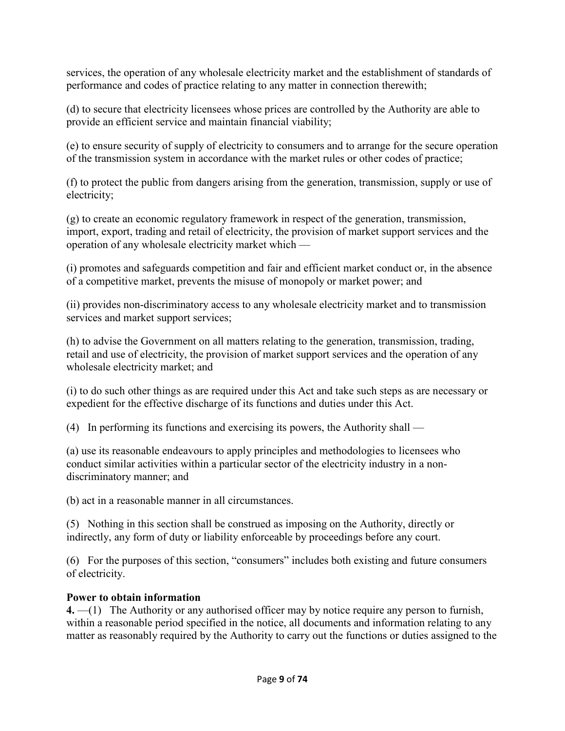services, the operation of any wholesale electricity market and the establishment of standards of performance and codes of practice relating to any matter in connection therewith;

(d) to secure that electricity licensees whose prices are controlled by the Authority are able to provide an efficient service and maintain financial viability;

(e) to ensure security of supply of electricity to consumers and to arrange for the secure operation of the transmission system in accordance with the market rules or other codes of practice;

(f) to protect the public from dangers arising from the generation, transmission, supply or use of electricity;

(g) to create an economic regulatory framework in respect of the generation, transmission, import, export, trading and retail of electricity, the provision of market support services and the operation of any wholesale electricity market which —

(i) promotes and safeguards competition and fair and efficient market conduct or, in the absence of a competitive market, prevents the misuse of monopoly or market power; and

(ii) provides non-discriminatory access to any wholesale electricity market and to transmission services and market support services;

(h) to advise the Government on all matters relating to the generation, transmission, trading, retail and use of electricity, the provision of market support services and the operation of any wholesale electricity market; and

(i) to do such other things as are required under this Act and take such steps as are necessary or expedient for the effective discharge of its functions and duties under this Act.

(4) In performing its functions and exercising its powers, the Authority shall —

(a) use its reasonable endeavours to apply principles and methodologies to licensees who conduct similar activities within a particular sector of the electricity industry in a nondiscriminatory manner; and

(b) act in a reasonable manner in all circumstances.

(5) Nothing in this section shall be construed as imposing on the Authority, directly or indirectly, any form of duty or liability enforceable by proceedings before any court.

(6) For the purposes of this section, "consumers" includes both existing and future consumers of electricity.

## **Power to obtain information**

**4.** —(1) The Authority or any authorised officer may by notice require any person to furnish, within a reasonable period specified in the notice, all documents and information relating to any matter as reasonably required by the Authority to carry out the functions or duties assigned to the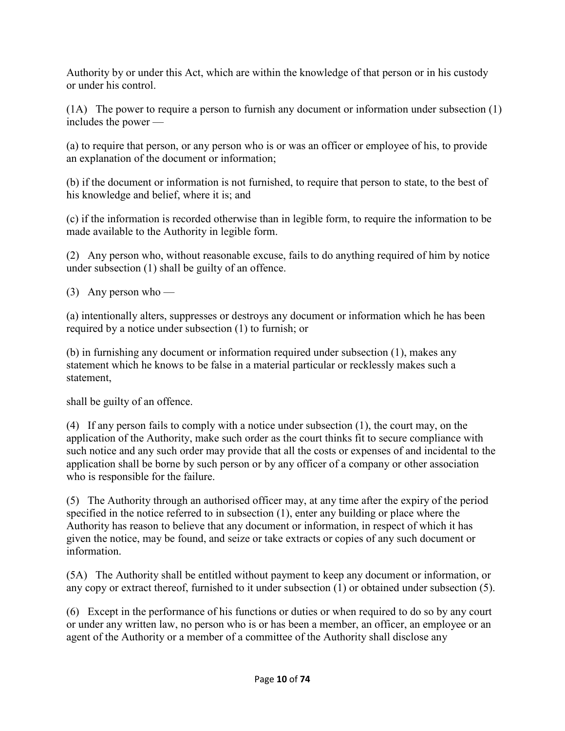Authority by or under this Act, which are within the knowledge of that person or in his custody or under his control.

(1A) The power to require a person to furnish any document or information under subsection (1) includes the power —

(a) to require that person, or any person who is or was an officer or employee of his, to provide an explanation of the document or information;

(b) if the document or information is not furnished, to require that person to state, to the best of his knowledge and belief, where it is; and

(c) if the information is recorded otherwise than in legible form, to require the information to be made available to the Authority in legible form.

(2) Any person who, without reasonable excuse, fails to do anything required of him by notice under subsection (1) shall be guilty of an offence.

(3) Any person who —

(a) intentionally alters, suppresses or destroys any document or information which he has been required by a notice under subsection (1) to furnish; or

(b) in furnishing any document or information required under subsection (1), makes any statement which he knows to be false in a material particular or recklessly makes such a statement,

shall be guilty of an offence.

(4) If any person fails to comply with a notice under subsection (1), the court may, on the application of the Authority, make such order as the court thinks fit to secure compliance with such notice and any such order may provide that all the costs or expenses of and incidental to the application shall be borne by such person or by any officer of a company or other association who is responsible for the failure.

(5) The Authority through an authorised officer may, at any time after the expiry of the period specified in the notice referred to in subsection (1), enter any building or place where the Authority has reason to believe that any document or information, in respect of which it has given the notice, may be found, and seize or take extracts or copies of any such document or information.

(5A) The Authority shall be entitled without payment to keep any document or information, or any copy or extract thereof, furnished to it under subsection (1) or obtained under subsection (5).

(6) Except in the performance of his functions or duties or when required to do so by any court or under any written law, no person who is or has been a member, an officer, an employee or an agent of the Authority or a member of a committee of the Authority shall disclose any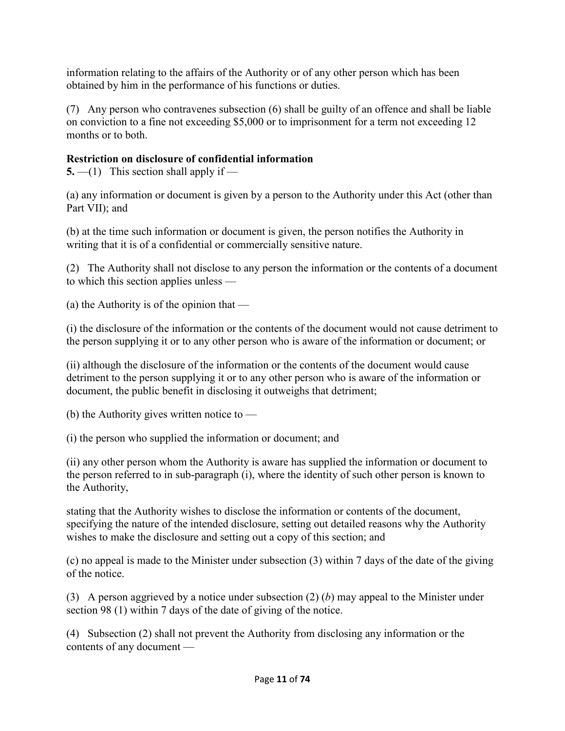information relating to the affairs of the Authority or of any other person which has been obtained by him in the performance of his functions or duties.

(7) Any person who contravenes subsection (6) shall be guilty of an offence and shall be liable on conviction to a fine not exceeding \$5,000 or to imprisonment for a term not exceeding 12 months or to both.

## **Restriction on disclosure of confidential information**

**5.** —(1) This section shall apply if —

(a) any information or document is given by a person to the Authority under this Act (other than Part VII); and

(b) at the time such information or document is given, the person notifies the Authority in writing that it is of a confidential or commercially sensitive nature.

(2) The Authority shall not disclose to any person the information or the contents of a document to which this section applies unless —

(a) the Authority is of the opinion that —

(i) the disclosure of the information or the contents of the document would not cause detriment to the person supplying it or to any other person who is aware of the information or document; or

(ii) although the disclosure of the information or the contents of the document would cause detriment to the person supplying it or to any other person who is aware of the information or document, the public benefit in disclosing it outweighs that detriment;

(b) the Authority gives written notice to —

(i) the person who supplied the information or document; and

(ii) any other person whom the Authority is aware has supplied the information or document to the person referred to in sub-paragraph (i), where the identity of such other person is known to the Authority,

stating that the Authority wishes to disclose the information or contents of the document, specifying the nature of the intended disclosure, setting out detailed reasons why the Authority wishes to make the disclosure and setting out a copy of this section; and

(c) no appeal is made to the Minister under subsection (3) within 7 days of the date of the giving of the notice.

(3) A person aggrieved by a notice under subsection (2) (*b*) may appeal to the Minister under section 98 (1) within 7 days of the date of giving of the notice.

(4) Subsection (2) shall not prevent the Authority from disclosing any information or the contents of any document —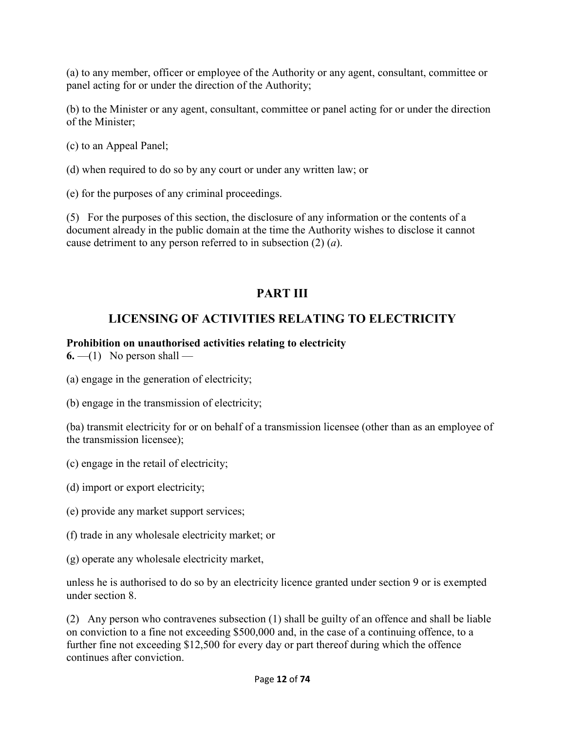(a) to any member, officer or employee of the Authority or any agent, consultant, committee or panel acting for or under the direction of the Authority;

(b) to the Minister or any agent, consultant, committee or panel acting for or under the direction of the Minister;

(c) to an Appeal Panel;

(d) when required to do so by any court or under any written law; or

(e) for the purposes of any criminal proceedings.

(5) For the purposes of this section, the disclosure of any information or the contents of a document already in the public domain at the time the Authority wishes to disclose it cannot cause detriment to any person referred to in subsection (2) (*a*).

# **PART III**

# **LICENSING OF ACTIVITIES RELATING TO ELECTRICITY**

#### **Prohibition on unauthorised activities relating to electricity**

**6.**  $-$ (1) No person shall  $-$ 

- (a) engage in the generation of electricity;
- (b) engage in the transmission of electricity;

(ba) transmit electricity for or on behalf of a transmission licensee (other than as an employee of the transmission licensee);

- (c) engage in the retail of electricity;
- (d) import or export electricity;
- (e) provide any market support services;
- (f) trade in any wholesale electricity market; or
- (g) operate any wholesale electricity market,

unless he is authorised to do so by an electricity licence granted under section 9 or is exempted under section 8.

(2) Any person who contravenes subsection (1) shall be guilty of an offence and shall be liable on conviction to a fine not exceeding \$500,000 and, in the case of a continuing offence, to a further fine not exceeding \$12,500 for every day or part thereof during which the offence continues after conviction.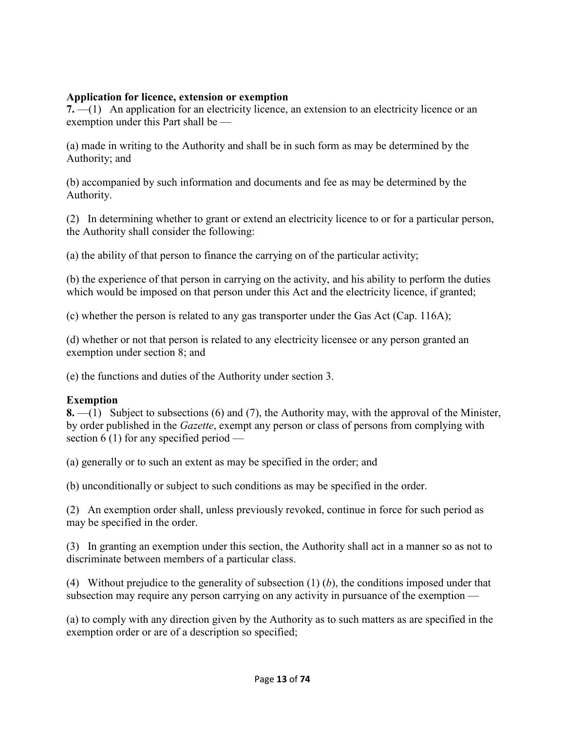#### **Application for licence, extension or exemption**

**7.** —(1) An application for an electricity licence, an extension to an electricity licence or an exemption under this Part shall be —

(a) made in writing to the Authority and shall be in such form as may be determined by the Authority; and

(b) accompanied by such information and documents and fee as may be determined by the Authority.

(2) In determining whether to grant or extend an electricity licence to or for a particular person, the Authority shall consider the following:

(a) the ability of that person to finance the carrying on of the particular activity;

(b) the experience of that person in carrying on the activity, and his ability to perform the duties which would be imposed on that person under this Act and the electricity licence, if granted;

(c) whether the person is related to any gas transporter under the Gas Act (Cap. 116A);

(d) whether or not that person is related to any electricity licensee or any person granted an exemption under section 8; and

(e) the functions and duties of the Authority under section 3.

### **Exemption**

**8.** —(1) Subject to subsections (6) and (7), the Authority may, with the approval of the Minister, by order published in the *Gazette*, exempt any person or class of persons from complying with section 6 (1) for any specified period —

(a) generally or to such an extent as may be specified in the order; and

(b) unconditionally or subject to such conditions as may be specified in the order.

(2) An exemption order shall, unless previously revoked, continue in force for such period as may be specified in the order.

(3) In granting an exemption under this section, the Authority shall act in a manner so as not to discriminate between members of a particular class.

(4) Without prejudice to the generality of subsection (1) (*b*), the conditions imposed under that subsection may require any person carrying on any activity in pursuance of the exemption —

(a) to comply with any direction given by the Authority as to such matters as are specified in the exemption order or are of a description so specified;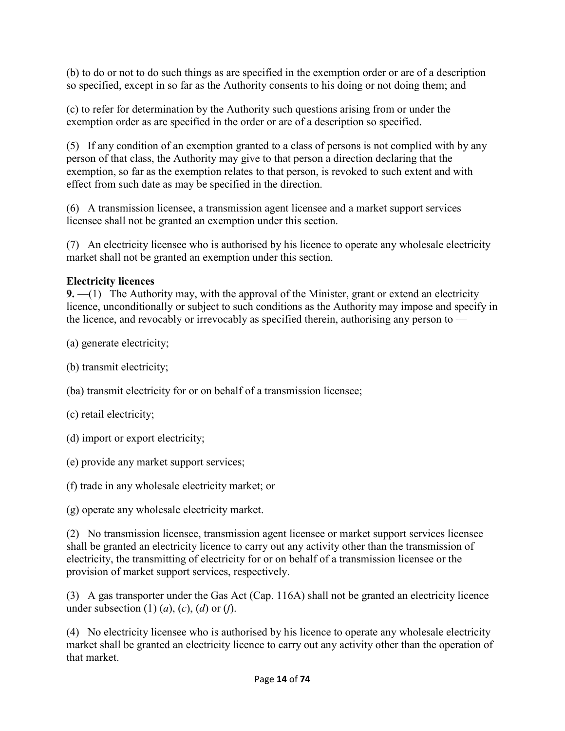(b) to do or not to do such things as are specified in the exemption order or are of a description so specified, except in so far as the Authority consents to his doing or not doing them; and

(c) to refer for determination by the Authority such questions arising from or under the exemption order as are specified in the order or are of a description so specified.

(5) If any condition of an exemption granted to a class of persons is not complied with by any person of that class, the Authority may give to that person a direction declaring that the exemption, so far as the exemption relates to that person, is revoked to such extent and with effect from such date as may be specified in the direction.

(6) A transmission licensee, a transmission agent licensee and a market support services licensee shall not be granted an exemption under this section.

(7) An electricity licensee who is authorised by his licence to operate any wholesale electricity market shall not be granted an exemption under this section.

## **Electricity licences**

**9.** —(1) The Authority may, with the approval of the Minister, grant or extend an electricity licence, unconditionally or subject to such conditions as the Authority may impose and specify in the licence, and revocably or irrevocably as specified therein, authorising any person to —

- (a) generate electricity;
- (b) transmit electricity;
- (ba) transmit electricity for or on behalf of a transmission licensee;
- (c) retail electricity;
- (d) import or export electricity;
- (e) provide any market support services;
- (f) trade in any wholesale electricity market; or
- (g) operate any wholesale electricity market.

(2) No transmission licensee, transmission agent licensee or market support services licensee shall be granted an electricity licence to carry out any activity other than the transmission of electricity, the transmitting of electricity for or on behalf of a transmission licensee or the provision of market support services, respectively.

(3) A gas transporter under the Gas Act (Cap. 116A) shall not be granted an electricity licence under subsection (1) (*a*), (*c*), (*d*) or (*f*).

(4) No electricity licensee who is authorised by his licence to operate any wholesale electricity market shall be granted an electricity licence to carry out any activity other than the operation of that market.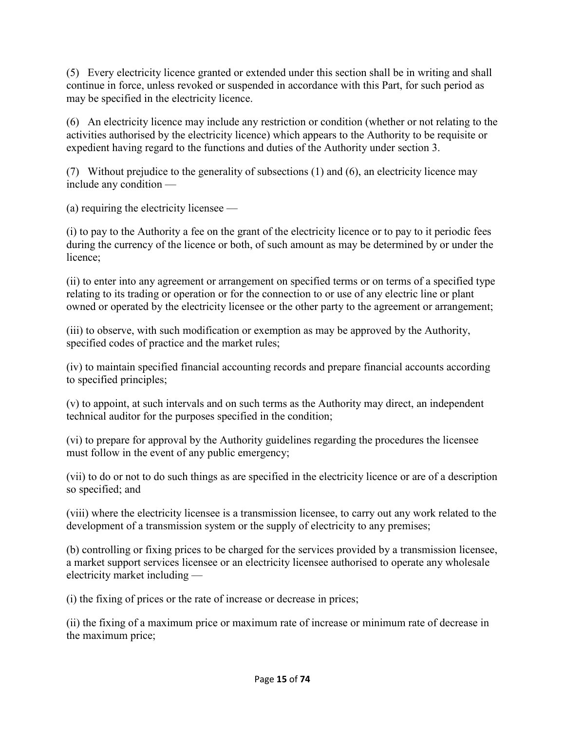(5) Every electricity licence granted or extended under this section shall be in writing and shall continue in force, unless revoked or suspended in accordance with this Part, for such period as may be specified in the electricity licence.

(6) An electricity licence may include any restriction or condition (whether or not relating to the activities authorised by the electricity licence) which appears to the Authority to be requisite or expedient having regard to the functions and duties of the Authority under section 3.

(7) Without prejudice to the generality of subsections (1) and (6), an electricity licence may include any condition —

(a) requiring the electricity licensee —

(i) to pay to the Authority a fee on the grant of the electricity licence or to pay to it periodic fees during the currency of the licence or both, of such amount as may be determined by or under the licence;

(ii) to enter into any agreement or arrangement on specified terms or on terms of a specified type relating to its trading or operation or for the connection to or use of any electric line or plant owned or operated by the electricity licensee or the other party to the agreement or arrangement;

(iii) to observe, with such modification or exemption as may be approved by the Authority, specified codes of practice and the market rules;

(iv) to maintain specified financial accounting records and prepare financial accounts according to specified principles;

(v) to appoint, at such intervals and on such terms as the Authority may direct, an independent technical auditor for the purposes specified in the condition;

(vi) to prepare for approval by the Authority guidelines regarding the procedures the licensee must follow in the event of any public emergency;

(vii) to do or not to do such things as are specified in the electricity licence or are of a description so specified; and

(viii) where the electricity licensee is a transmission licensee, to carry out any work related to the development of a transmission system or the supply of electricity to any premises;

(b) controlling or fixing prices to be charged for the services provided by a transmission licensee, a market support services licensee or an electricity licensee authorised to operate any wholesale electricity market including —

(i) the fixing of prices or the rate of increase or decrease in prices;

(ii) the fixing of a maximum price or maximum rate of increase or minimum rate of decrease in the maximum price;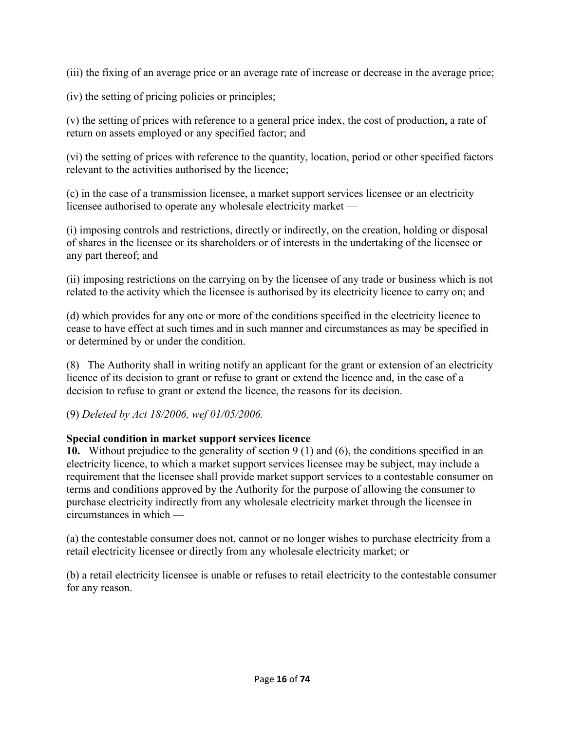(iii) the fixing of an average price or an average rate of increase or decrease in the average price;

(iv) the setting of pricing policies or principles;

(v) the setting of prices with reference to a general price index, the cost of production, a rate of return on assets employed or any specified factor; and

(vi) the setting of prices with reference to the quantity, location, period or other specified factors relevant to the activities authorised by the licence;

(c) in the case of a transmission licensee, a market support services licensee or an electricity licensee authorised to operate any wholesale electricity market —

(i) imposing controls and restrictions, directly or indirectly, on the creation, holding or disposal of shares in the licensee or its shareholders or of interests in the undertaking of the licensee or any part thereof; and

(ii) imposing restrictions on the carrying on by the licensee of any trade or business which is not related to the activity which the licensee is authorised by its electricity licence to carry on; and

(d) which provides for any one or more of the conditions specified in the electricity licence to cease to have effect at such times and in such manner and circumstances as may be specified in or determined by or under the condition.

(8) The Authority shall in writing notify an applicant for the grant or extension of an electricity licence of its decision to grant or refuse to grant or extend the licence and, in the case of a decision to refuse to grant or extend the licence, the reasons for its decision.

(9) *Deleted by Act 18/2006, wef 01/05/2006.*

### **Special condition in market support services licence**

**10.** Without prejudice to the generality of section 9 (1) and (6), the conditions specified in an electricity licence, to which a market support services licensee may be subject, may include a requirement that the licensee shall provide market support services to a contestable consumer on terms and conditions approved by the Authority for the purpose of allowing the consumer to purchase electricity indirectly from any wholesale electricity market through the licensee in circumstances in which —

(a) the contestable consumer does not, cannot or no longer wishes to purchase electricity from a retail electricity licensee or directly from any wholesale electricity market; or

(b) a retail electricity licensee is unable or refuses to retail electricity to the contestable consumer for any reason.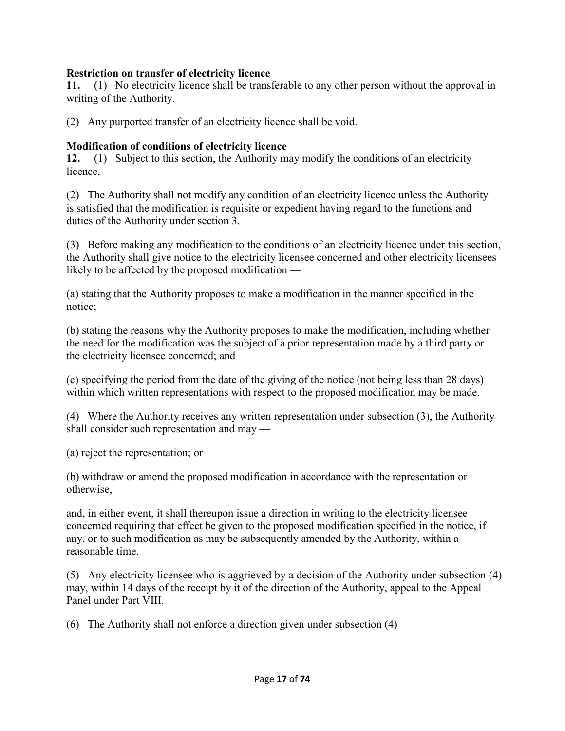#### **Restriction on transfer of electricity licence**

**11.** —(1) No electricity licence shall be transferable to any other person without the approval in writing of the Authority.

(2) Any purported transfer of an electricity licence shall be void.

#### **Modification of conditions of electricity licence**

**12.** —(1) Subject to this section, the Authority may modify the conditions of an electricity licence.

(2) The Authority shall not modify any condition of an electricity licence unless the Authority is satisfied that the modification is requisite or expedient having regard to the functions and duties of the Authority under section 3.

(3) Before making any modification to the conditions of an electricity licence under this section, the Authority shall give notice to the electricity licensee concerned and other electricity licensees likely to be affected by the proposed modification —

(a) stating that the Authority proposes to make a modification in the manner specified in the notice;

(b) stating the reasons why the Authority proposes to make the modification, including whether the need for the modification was the subject of a prior representation made by a third party or the electricity licensee concerned; and

(c) specifying the period from the date of the giving of the notice (not being less than 28 days) within which written representations with respect to the proposed modification may be made.

(4) Where the Authority receives any written representation under subsection (3), the Authority shall consider such representation and may —

(a) reject the representation; or

(b) withdraw or amend the proposed modification in accordance with the representation or otherwise,

and, in either event, it shall thereupon issue a direction in writing to the electricity licensee concerned requiring that effect be given to the proposed modification specified in the notice, if any, or to such modification as may be subsequently amended by the Authority, within a reasonable time.

(5) Any electricity licensee who is aggrieved by a decision of the Authority under subsection (4) may, within 14 days of the receipt by it of the direction of the Authority, appeal to the Appeal Panel under Part VIII.

(6) The Authority shall not enforce a direction given under subsection  $(4)$  —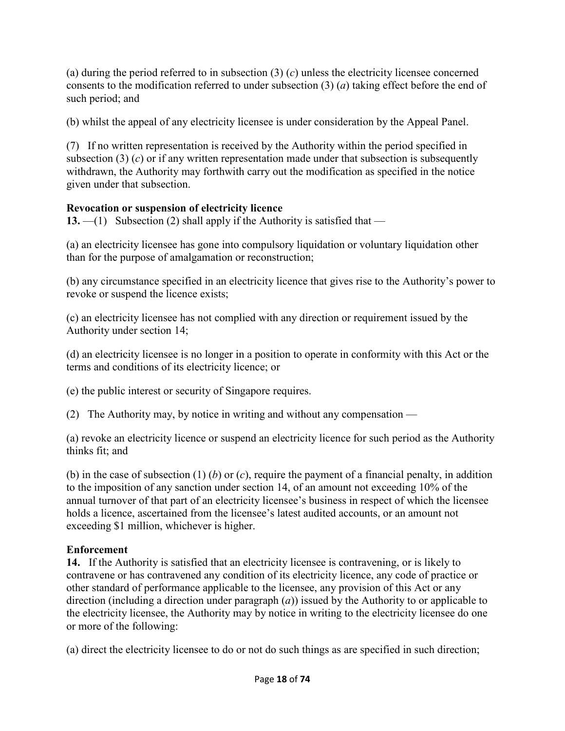(a) during the period referred to in subsection (3) (*c*) unless the electricity licensee concerned consents to the modification referred to under subsection (3) (*a*) taking effect before the end of such period; and

(b) whilst the appeal of any electricity licensee is under consideration by the Appeal Panel.

(7) If no written representation is received by the Authority within the period specified in subsection (3)  $(c)$  or if any written representation made under that subsection is subsequently withdrawn, the Authority may forthwith carry out the modification as specified in the notice given under that subsection.

## **Revocation or suspension of electricity licence**

**13.** —(1) Subsection (2) shall apply if the Authority is satisfied that —

(a) an electricity licensee has gone into compulsory liquidation or voluntary liquidation other than for the purpose of amalgamation or reconstruction;

(b) any circumstance specified in an electricity licence that gives rise to the Authority's power to revoke or suspend the licence exists;

(c) an electricity licensee has not complied with any direction or requirement issued by the Authority under section 14;

(d) an electricity licensee is no longer in a position to operate in conformity with this Act or the terms and conditions of its electricity licence; or

(e) the public interest or security of Singapore requires.

(2) The Authority may, by notice in writing and without any compensation —

(a) revoke an electricity licence or suspend an electricity licence for such period as the Authority thinks fit; and

(b) in the case of subsection (1) (*b*) or (*c*), require the payment of a financial penalty, in addition to the imposition of any sanction under section 14, of an amount not exceeding 10% of the annual turnover of that part of an electricity licensee's business in respect of which the licensee holds a licence, ascertained from the licensee's latest audited accounts, or an amount not exceeding \$1 million, whichever is higher.

### **Enforcement**

**14.** If the Authority is satisfied that an electricity licensee is contravening, or is likely to contravene or has contravened any condition of its electricity licence, any code of practice or other standard of performance applicable to the licensee, any provision of this Act or any direction (including a direction under paragraph (*a*)) issued by the Authority to or applicable to the electricity licensee, the Authority may by notice in writing to the electricity licensee do one or more of the following:

(a) direct the electricity licensee to do or not do such things as are specified in such direction;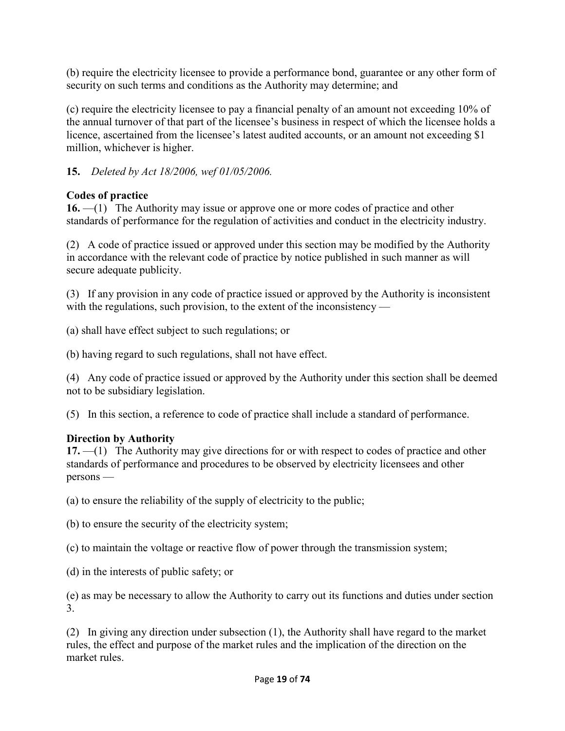(b) require the electricity licensee to provide a performance bond, guarantee or any other form of security on such terms and conditions as the Authority may determine; and

(c) require the electricity licensee to pay a financial penalty of an amount not exceeding 10% of the annual turnover of that part of the licensee's business in respect of which the licensee holds a licence, ascertained from the licensee's latest audited accounts, or an amount not exceeding \$1 million, whichever is higher.

**15.** *Deleted by Act 18/2006, wef 01/05/2006.*

# **Codes of practice**

**16.** —(1) The Authority may issue or approve one or more codes of practice and other standards of performance for the regulation of activities and conduct in the electricity industry.

(2) A code of practice issued or approved under this section may be modified by the Authority in accordance with the relevant code of practice by notice published in such manner as will secure adequate publicity.

(3) If any provision in any code of practice issued or approved by the Authority is inconsistent with the regulations, such provision, to the extent of the inconsistency —

(a) shall have effect subject to such regulations; or

(b) having regard to such regulations, shall not have effect.

(4) Any code of practice issued or approved by the Authority under this section shall be deemed not to be subsidiary legislation.

(5) In this section, a reference to code of practice shall include a standard of performance.

# **Direction by Authority**

**17.** —(1) The Authority may give directions for or with respect to codes of practice and other standards of performance and procedures to be observed by electricity licensees and other persons —

(a) to ensure the reliability of the supply of electricity to the public;

(b) to ensure the security of the electricity system;

(c) to maintain the voltage or reactive flow of power through the transmission system;

(d) in the interests of public safety; or

(e) as may be necessary to allow the Authority to carry out its functions and duties under section 3.

(2) In giving any direction under subsection (1), the Authority shall have regard to the market rules, the effect and purpose of the market rules and the implication of the direction on the market rules.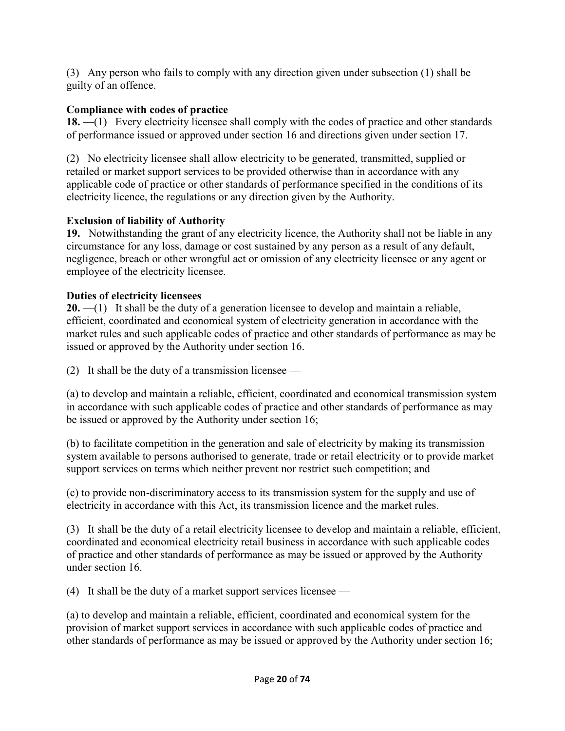(3) Any person who fails to comply with any direction given under subsection (1) shall be guilty of an offence.

## **Compliance with codes of practice**

**18.** —(1) Every electricity licensee shall comply with the codes of practice and other standards of performance issued or approved under section 16 and directions given under section 17.

(2) No electricity licensee shall allow electricity to be generated, transmitted, supplied or retailed or market support services to be provided otherwise than in accordance with any applicable code of practice or other standards of performance specified in the conditions of its electricity licence, the regulations or any direction given by the Authority.

## **Exclusion of liability of Authority**

**19.** Notwithstanding the grant of any electricity licence, the Authority shall not be liable in any circumstance for any loss, damage or cost sustained by any person as a result of any default, negligence, breach or other wrongful act or omission of any electricity licensee or any agent or employee of the electricity licensee.

## **Duties of electricity licensees**

**20.** —(1) It shall be the duty of a generation licensee to develop and maintain a reliable, efficient, coordinated and economical system of electricity generation in accordance with the market rules and such applicable codes of practice and other standards of performance as may be issued or approved by the Authority under section 16.

(2) It shall be the duty of a transmission licensee —

(a) to develop and maintain a reliable, efficient, coordinated and economical transmission system in accordance with such applicable codes of practice and other standards of performance as may be issued or approved by the Authority under section 16;

(b) to facilitate competition in the generation and sale of electricity by making its transmission system available to persons authorised to generate, trade or retail electricity or to provide market support services on terms which neither prevent nor restrict such competition; and

(c) to provide non-discriminatory access to its transmission system for the supply and use of electricity in accordance with this Act, its transmission licence and the market rules.

(3) It shall be the duty of a retail electricity licensee to develop and maintain a reliable, efficient, coordinated and economical electricity retail business in accordance with such applicable codes of practice and other standards of performance as may be issued or approved by the Authority under section 16.

(4) It shall be the duty of a market support services licensee —

(a) to develop and maintain a reliable, efficient, coordinated and economical system for the provision of market support services in accordance with such applicable codes of practice and other standards of performance as may be issued or approved by the Authority under section 16;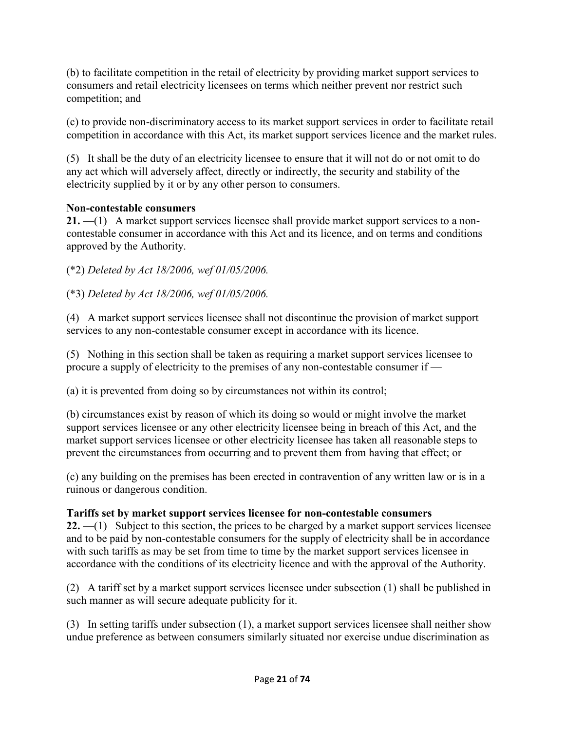(b) to facilitate competition in the retail of electricity by providing market support services to consumers and retail electricity licensees on terms which neither prevent nor restrict such competition; and

(c) to provide non-discriminatory access to its market support services in order to facilitate retail competition in accordance with this Act, its market support services licence and the market rules.

(5) It shall be the duty of an electricity licensee to ensure that it will not do or not omit to do any act which will adversely affect, directly or indirectly, the security and stability of the electricity supplied by it or by any other person to consumers.

## **Non-contestable consumers**

**21.** —(1) A market support services licensee shall provide market support services to a noncontestable consumer in accordance with this Act and its licence, and on terms and conditions approved by the Authority.

(\*2) *Deleted by Act 18/2006, wef 01/05/2006.*

(\*3) *Deleted by Act 18/2006, wef 01/05/2006.*

(4) A market support services licensee shall not discontinue the provision of market support services to any non-contestable consumer except in accordance with its licence.

(5) Nothing in this section shall be taken as requiring a market support services licensee to procure a supply of electricity to the premises of any non-contestable consumer if —

(a) it is prevented from doing so by circumstances not within its control;

(b) circumstances exist by reason of which its doing so would or might involve the market support services licensee or any other electricity licensee being in breach of this Act, and the market support services licensee or other electricity licensee has taken all reasonable steps to prevent the circumstances from occurring and to prevent them from having that effect; or

(c) any building on the premises has been erected in contravention of any written law or is in a ruinous or dangerous condition.

## **Tariffs set by market support services licensee for non-contestable consumers**

**22.** —(1) Subject to this section, the prices to be charged by a market support services licensee and to be paid by non-contestable consumers for the supply of electricity shall be in accordance with such tariffs as may be set from time to time by the market support services licensee in accordance with the conditions of its electricity licence and with the approval of the Authority.

(2) A tariff set by a market support services licensee under subsection (1) shall be published in such manner as will secure adequate publicity for it.

(3) In setting tariffs under subsection (1), a market support services licensee shall neither show undue preference as between consumers similarly situated nor exercise undue discrimination as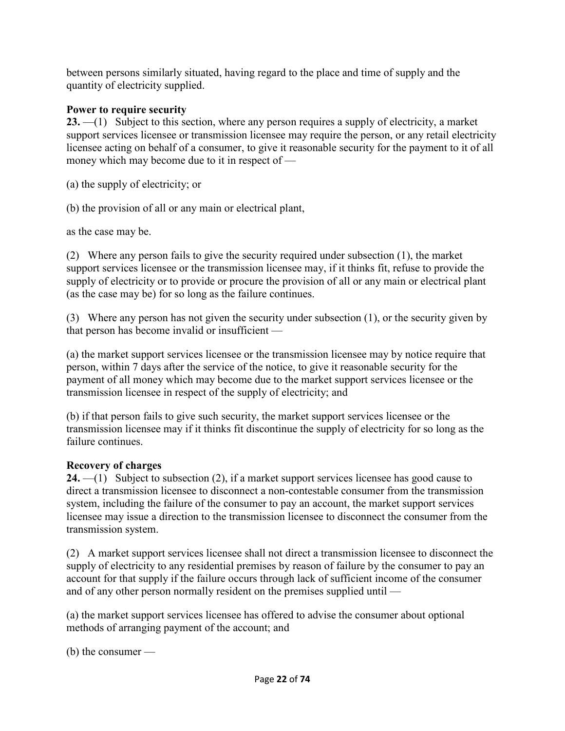between persons similarly situated, having regard to the place and time of supply and the quantity of electricity supplied.

### **Power to require security**

**23.** —(1) Subject to this section, where any person requires a supply of electricity, a market support services licensee or transmission licensee may require the person, or any retail electricity licensee acting on behalf of a consumer, to give it reasonable security for the payment to it of all money which may become due to it in respect of —

(a) the supply of electricity; or

(b) the provision of all or any main or electrical plant,

as the case may be.

(2) Where any person fails to give the security required under subsection (1), the market support services licensee or the transmission licensee may, if it thinks fit, refuse to provide the supply of electricity or to provide or procure the provision of all or any main or electrical plant (as the case may be) for so long as the failure continues.

(3) Where any person has not given the security under subsection (1), or the security given by that person has become invalid or insufficient —

(a) the market support services licensee or the transmission licensee may by notice require that person, within 7 days after the service of the notice, to give it reasonable security for the payment of all money which may become due to the market support services licensee or the transmission licensee in respect of the supply of electricity; and

(b) if that person fails to give such security, the market support services licensee or the transmission licensee may if it thinks fit discontinue the supply of electricity for so long as the failure continues.

### **Recovery of charges**

**24.** —(1) Subject to subsection (2), if a market support services licensee has good cause to direct a transmission licensee to disconnect a non-contestable consumer from the transmission system, including the failure of the consumer to pay an account, the market support services licensee may issue a direction to the transmission licensee to disconnect the consumer from the transmission system.

(2) A market support services licensee shall not direct a transmission licensee to disconnect the supply of electricity to any residential premises by reason of failure by the consumer to pay an account for that supply if the failure occurs through lack of sufficient income of the consumer and of any other person normally resident on the premises supplied until —

(a) the market support services licensee has offered to advise the consumer about optional methods of arranging payment of the account; and

(b) the consumer —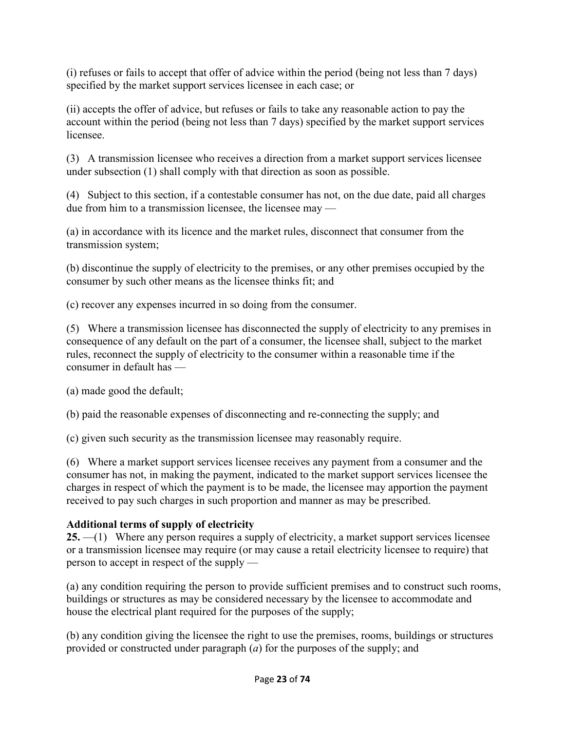(i) refuses or fails to accept that offer of advice within the period (being not less than 7 days) specified by the market support services licensee in each case; or

(ii) accepts the offer of advice, but refuses or fails to take any reasonable action to pay the account within the period (being not less than 7 days) specified by the market support services licensee.

(3) A transmission licensee who receives a direction from a market support services licensee under subsection (1) shall comply with that direction as soon as possible.

(4) Subject to this section, if a contestable consumer has not, on the due date, paid all charges due from him to a transmission licensee, the licensee may —

(a) in accordance with its licence and the market rules, disconnect that consumer from the transmission system;

(b) discontinue the supply of electricity to the premises, or any other premises occupied by the consumer by such other means as the licensee thinks fit; and

(c) recover any expenses incurred in so doing from the consumer.

(5) Where a transmission licensee has disconnected the supply of electricity to any premises in consequence of any default on the part of a consumer, the licensee shall, subject to the market rules, reconnect the supply of electricity to the consumer within a reasonable time if the consumer in default has —

(a) made good the default;

(b) paid the reasonable expenses of disconnecting and re-connecting the supply; and

(c) given such security as the transmission licensee may reasonably require.

(6) Where a market support services licensee receives any payment from a consumer and the consumer has not, in making the payment, indicated to the market support services licensee the charges in respect of which the payment is to be made, the licensee may apportion the payment received to pay such charges in such proportion and manner as may be prescribed.

## **Additional terms of supply of electricity**

**25.** —(1) Where any person requires a supply of electricity, a market support services licensee or a transmission licensee may require (or may cause a retail electricity licensee to require) that person to accept in respect of the supply —

(a) any condition requiring the person to provide sufficient premises and to construct such rooms, buildings or structures as may be considered necessary by the licensee to accommodate and house the electrical plant required for the purposes of the supply;

(b) any condition giving the licensee the right to use the premises, rooms, buildings or structures provided or constructed under paragraph (*a*) for the purposes of the supply; and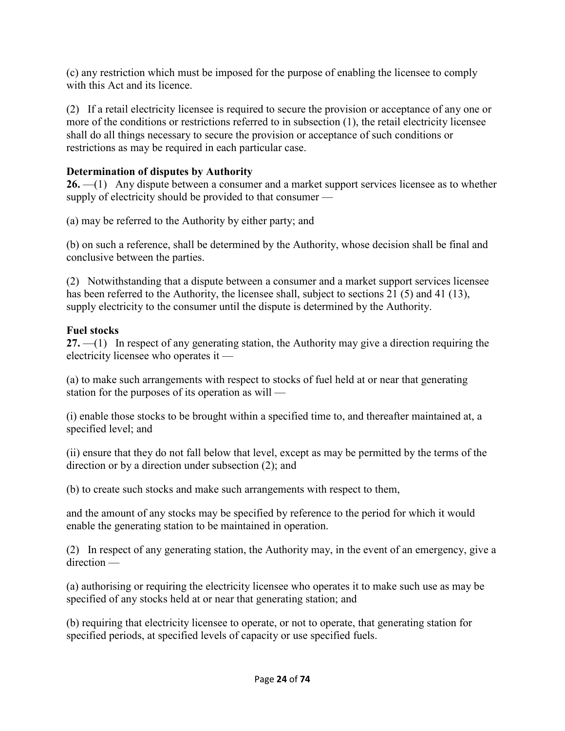(c) any restriction which must be imposed for the purpose of enabling the licensee to comply with this Act and its licence.

(2) If a retail electricity licensee is required to secure the provision or acceptance of any one or more of the conditions or restrictions referred to in subsection (1), the retail electricity licensee shall do all things necessary to secure the provision or acceptance of such conditions or restrictions as may be required in each particular case.

### **Determination of disputes by Authority**

**26.** —(1) Any dispute between a consumer and a market support services licensee as to whether supply of electricity should be provided to that consumer —

(a) may be referred to the Authority by either party; and

(b) on such a reference, shall be determined by the Authority, whose decision shall be final and conclusive between the parties.

(2) Notwithstanding that a dispute between a consumer and a market support services licensee has been referred to the Authority, the licensee shall, subject to sections 21 (5) and 41 (13), supply electricity to the consumer until the dispute is determined by the Authority.

## **Fuel stocks**

**27.** —(1) In respect of any generating station, the Authority may give a direction requiring the electricity licensee who operates it —

(a) to make such arrangements with respect to stocks of fuel held at or near that generating station for the purposes of its operation as will —

(i) enable those stocks to be brought within a specified time to, and thereafter maintained at, a specified level; and

(ii) ensure that they do not fall below that level, except as may be permitted by the terms of the direction or by a direction under subsection (2); and

(b) to create such stocks and make such arrangements with respect to them,

and the amount of any stocks may be specified by reference to the period for which it would enable the generating station to be maintained in operation.

(2) In respect of any generating station, the Authority may, in the event of an emergency, give a direction —

(a) authorising or requiring the electricity licensee who operates it to make such use as may be specified of any stocks held at or near that generating station; and

(b) requiring that electricity licensee to operate, or not to operate, that generating station for specified periods, at specified levels of capacity or use specified fuels.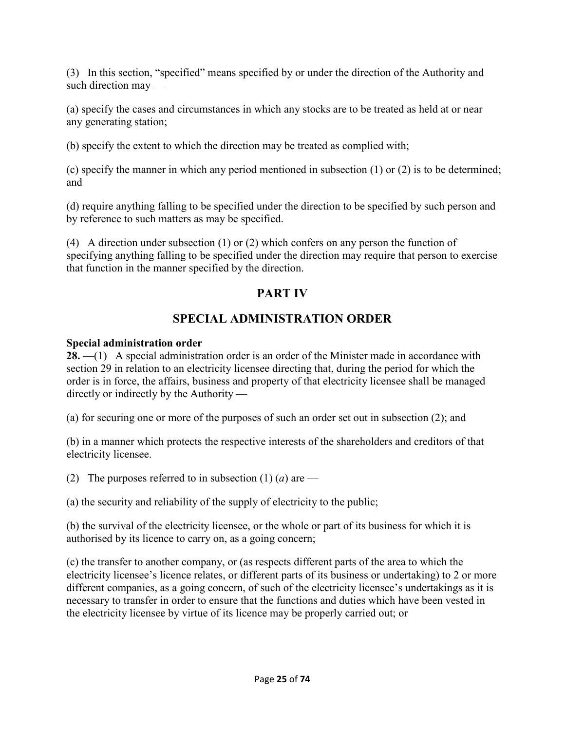(3) In this section, "specified" means specified by or under the direction of the Authority and such direction may —

(a) specify the cases and circumstances in which any stocks are to be treated as held at or near any generating station;

(b) specify the extent to which the direction may be treated as complied with;

(c) specify the manner in which any period mentioned in subsection (1) or (2) is to be determined; and

(d) require anything falling to be specified under the direction to be specified by such person and by reference to such matters as may be specified.

(4) A direction under subsection (1) or (2) which confers on any person the function of specifying anything falling to be specified under the direction may require that person to exercise that function in the manner specified by the direction.

# **PART IV**

# **SPECIAL ADMINISTRATION ORDER**

## **Special administration order**

28. —(1) A special administration order is an order of the Minister made in accordance with section 29 in relation to an electricity licensee directing that, during the period for which the order is in force, the affairs, business and property of that electricity licensee shall be managed directly or indirectly by the Authority —

(a) for securing one or more of the purposes of such an order set out in subsection (2); and

(b) in a manner which protects the respective interests of the shareholders and creditors of that electricity licensee.

(2) The purposes referred to in subsection  $(1)$   $(a)$  are —

(a) the security and reliability of the supply of electricity to the public;

(b) the survival of the electricity licensee, or the whole or part of its business for which it is authorised by its licence to carry on, as a going concern;

(c) the transfer to another company, or (as respects different parts of the area to which the electricity licensee's licence relates, or different parts of its business or undertaking) to 2 or more different companies, as a going concern, of such of the electricity licensee's undertakings as it is necessary to transfer in order to ensure that the functions and duties which have been vested in the electricity licensee by virtue of its licence may be properly carried out; or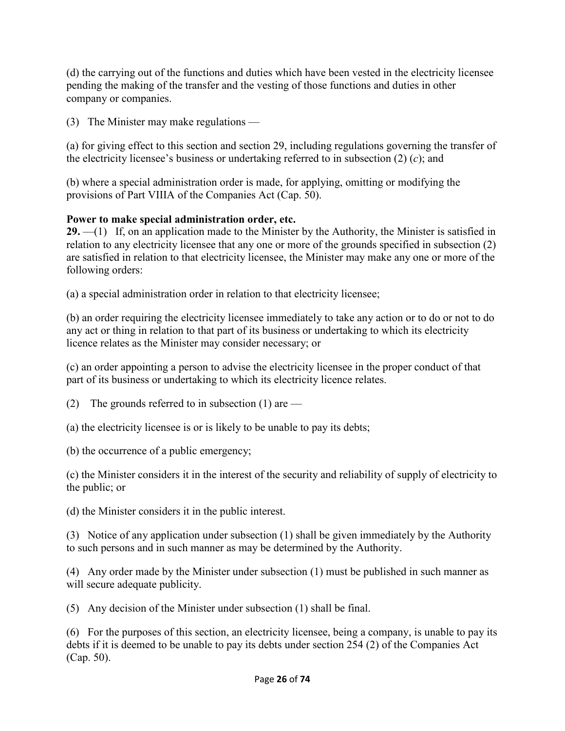(d) the carrying out of the functions and duties which have been vested in the electricity licensee pending the making of the transfer and the vesting of those functions and duties in other company or companies.

(3) The Minister may make regulations —

(a) for giving effect to this section and section 29, including regulations governing the transfer of the electricity licensee's business or undertaking referred to in subsection (2) (*c*); and

(b) where a special administration order is made, for applying, omitting or modifying the provisions of Part VIIIA of the Companies Act (Cap. 50).

## **Power to make special administration order, etc.**

29. —(1) If, on an application made to the Minister by the Authority, the Minister is satisfied in relation to any electricity licensee that any one or more of the grounds specified in subsection (2) are satisfied in relation to that electricity licensee, the Minister may make any one or more of the following orders:

(a) a special administration order in relation to that electricity licensee;

(b) an order requiring the electricity licensee immediately to take any action or to do or not to do any act or thing in relation to that part of its business or undertaking to which its electricity licence relates as the Minister may consider necessary; or

(c) an order appointing a person to advise the electricity licensee in the proper conduct of that part of its business or undertaking to which its electricity licence relates.

(2) The grounds referred to in subsection  $(1)$  are —

(a) the electricity licensee is or is likely to be unable to pay its debts;

(b) the occurrence of a public emergency;

(c) the Minister considers it in the interest of the security and reliability of supply of electricity to the public; or

(d) the Minister considers it in the public interest.

(3) Notice of any application under subsection (1) shall be given immediately by the Authority to such persons and in such manner as may be determined by the Authority.

(4) Any order made by the Minister under subsection (1) must be published in such manner as will secure adequate publicity.

(5) Any decision of the Minister under subsection (1) shall be final.

(6) For the purposes of this section, an electricity licensee, being a company, is unable to pay its debts if it is deemed to be unable to pay its debts under section 254 (2) of the Companies Act (Cap. 50).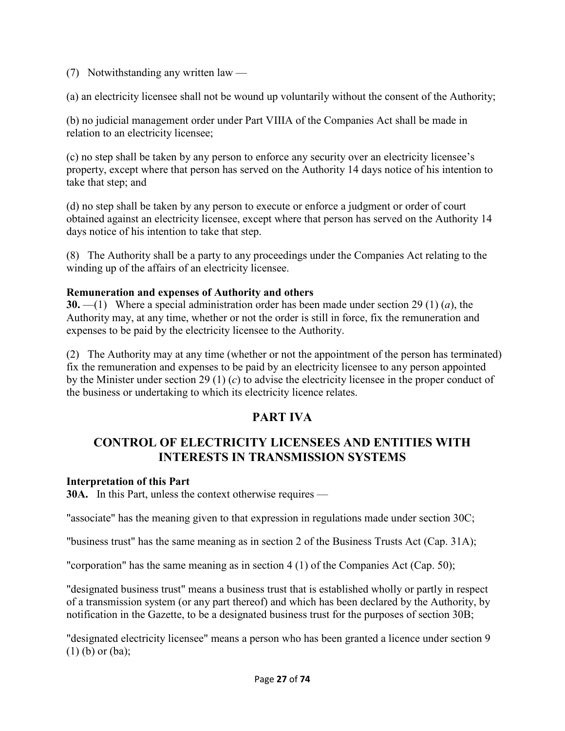(7) Notwithstanding any written law —

(a) an electricity licensee shall not be wound up voluntarily without the consent of the Authority;

(b) no judicial management order under Part VIIIA of the Companies Act shall be made in relation to an electricity licensee;

(c) no step shall be taken by any person to enforce any security over an electricity licensee's property, except where that person has served on the Authority 14 days notice of his intention to take that step; and

(d) no step shall be taken by any person to execute or enforce a judgment or order of court obtained against an electricity licensee, except where that person has served on the Authority 14 days notice of his intention to take that step.

(8) The Authority shall be a party to any proceedings under the Companies Act relating to the winding up of the affairs of an electricity licensee.

### **Remuneration and expenses of Authority and others**

**30.** —(1) Where a special administration order has been made under section 29 (1) (*a*), the Authority may, at any time, whether or not the order is still in force, fix the remuneration and expenses to be paid by the electricity licensee to the Authority.

(2) The Authority may at any time (whether or not the appointment of the person has terminated) fix the remuneration and expenses to be paid by an electricity licensee to any person appointed by the Minister under section 29 (1) (*c*) to advise the electricity licensee in the proper conduct of the business or undertaking to which its electricity licence relates.

# **PART IVA**

## **CONTROL OF ELECTRICITY LICENSEES AND ENTITIES WITH INTERESTS IN TRANSMISSION SYSTEMS**

#### **Interpretation of this Part**

**30A.** In this Part, unless the context otherwise requires —

"associate" has the meaning given to that expression in regulations made under section 30C;

"business trust" has the same meaning as in section 2 of the Business Trusts Act (Cap. 31A);

"corporation" has the same meaning as in section  $4(1)$  of the Companies Act (Cap. 50);

"designated business trust" means a business trust that is established wholly or partly in respect of a transmission system (or any part thereof) and which has been declared by the Authority, by notification in the Gazette, to be a designated business trust for the purposes of section 30B;

"designated electricity licensee" means a person who has been granted a licence under section 9 (1) (b) or (ba);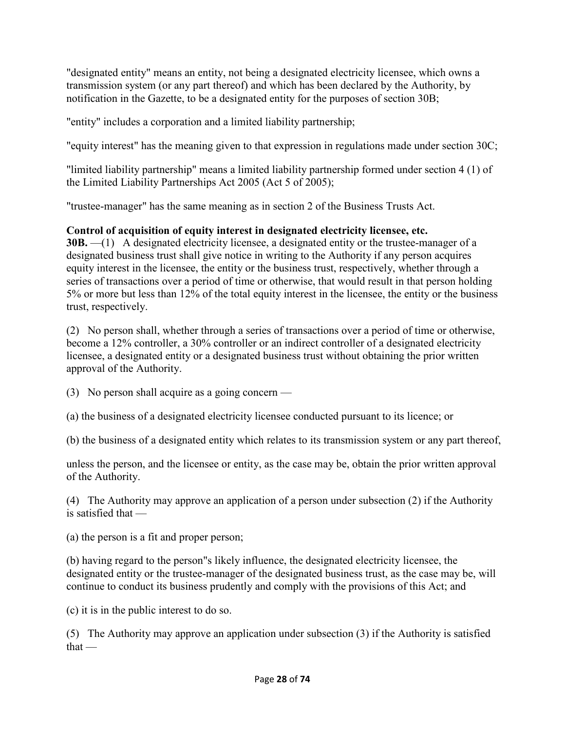"designated entity" means an entity, not being a designated electricity licensee, which owns a transmission system (or any part thereof) and which has been declared by the Authority, by notification in the Gazette, to be a designated entity for the purposes of section 30B;

"entity" includes a corporation and a limited liability partnership;

"equity interest" has the meaning given to that expression in regulations made under section 30C;

"limited liability partnership" means a limited liability partnership formed under section 4 (1) of the Limited Liability Partnerships Act 2005 (Act 5 of 2005);

"trustee-manager" has the same meaning as in section 2 of the Business Trusts Act.

## **Control of acquisition of equity interest in designated electricity licensee, etc.**

**30B.** —(1) A designated electricity licensee, a designated entity or the trustee-manager of a designated business trust shall give notice in writing to the Authority if any person acquires equity interest in the licensee, the entity or the business trust, respectively, whether through a series of transactions over a period of time or otherwise, that would result in that person holding 5% or more but less than 12% of the total equity interest in the licensee, the entity or the business trust, respectively.

(2) No person shall, whether through a series of transactions over a period of time or otherwise, become a 12% controller, a 30% controller or an indirect controller of a designated electricity licensee, a designated entity or a designated business trust without obtaining the prior written approval of the Authority.

(3) No person shall acquire as a going concern —

(a) the business of a designated electricity licensee conducted pursuant to its licence; or

(b) the business of a designated entity which relates to its transmission system or any part thereof,

unless the person, and the licensee or entity, as the case may be, obtain the prior written approval of the Authority.

(4) The Authority may approve an application of a person under subsection (2) if the Authority is satisfied that —

(a) the person is a fit and proper person;

(b) having regard to the person"s likely influence, the designated electricity licensee, the designated entity or the trustee-manager of the designated business trust, as the case may be, will continue to conduct its business prudently and comply with the provisions of this Act; and

(c) it is in the public interest to do so.

(5) The Authority may approve an application under subsection (3) if the Authority is satisfied  $that -$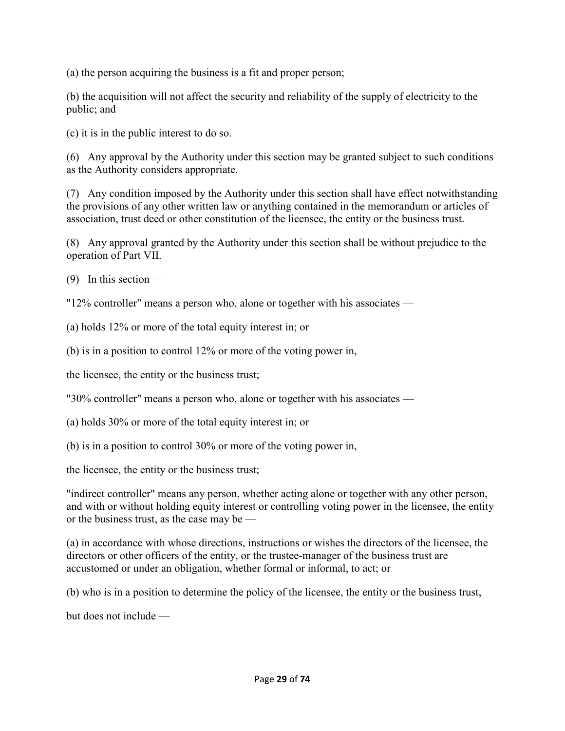(a) the person acquiring the business is a fit and proper person;

(b) the acquisition will not affect the security and reliability of the supply of electricity to the public; and

(c) it is in the public interest to do so.

(6) Any approval by the Authority under this section may be granted subject to such conditions as the Authority considers appropriate.

(7) Any condition imposed by the Authority under this section shall have effect notwithstanding the provisions of any other written law or anything contained in the memorandum or articles of association, trust deed or other constitution of the licensee, the entity or the business trust.

(8) Any approval granted by the Authority under this section shall be without prejudice to the operation of Part VII.

 $(9)$  In this section —

"12% controller" means a person who, alone or together with his associates —

(a) holds 12% or more of the total equity interest in; or

(b) is in a position to control 12% or more of the voting power in,

the licensee, the entity or the business trust;

"30% controller" means a person who, alone or together with his associates —

(a) holds 30% or more of the total equity interest in; or

(b) is in a position to control 30% or more of the voting power in,

the licensee, the entity or the business trust;

"indirect controller" means any person, whether acting alone or together with any other person, and with or without holding equity interest or controlling voting power in the licensee, the entity or the business trust, as the case may be —

(a) in accordance with whose directions, instructions or wishes the directors of the licensee, the directors or other officers of the entity, or the trustee-manager of the business trust are accustomed or under an obligation, whether formal or informal, to act; or

(b) who is in a position to determine the policy of the licensee, the entity or the business trust,

but does not include —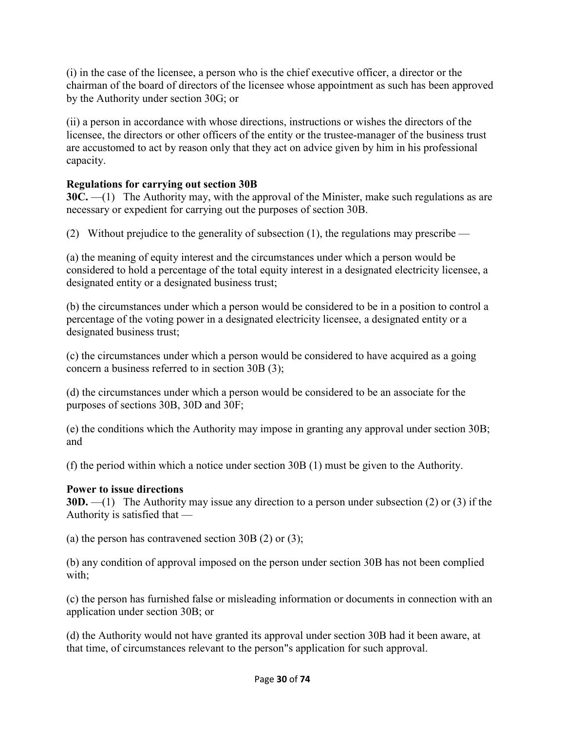(i) in the case of the licensee, a person who is the chief executive officer, a director or the chairman of the board of directors of the licensee whose appointment as such has been approved by the Authority under section 30G; or

(ii) a person in accordance with whose directions, instructions or wishes the directors of the licensee, the directors or other officers of the entity or the trustee-manager of the business trust are accustomed to act by reason only that they act on advice given by him in his professional capacity.

### **Regulations for carrying out section 30B**

**30C.** —(1) The Authority may, with the approval of the Minister, make such regulations as are necessary or expedient for carrying out the purposes of section 30B.

(2) Without prejudice to the generality of subsection (1), the regulations may prescribe —

(a) the meaning of equity interest and the circumstances under which a person would be considered to hold a percentage of the total equity interest in a designated electricity licensee, a designated entity or a designated business trust;

(b) the circumstances under which a person would be considered to be in a position to control a percentage of the voting power in a designated electricity licensee, a designated entity or a designated business trust;

(c) the circumstances under which a person would be considered to have acquired as a going concern a business referred to in section 30B (3);

(d) the circumstances under which a person would be considered to be an associate for the purposes of sections 30B, 30D and 30F;

(e) the conditions which the Authority may impose in granting any approval under section 30B; and

(f) the period within which a notice under section 30B (1) must be given to the Authority.

### **Power to issue directions**

**30D.** —(1) The Authority may issue any direction to a person under subsection (2) or (3) if the Authority is satisfied that —

(a) the person has contravened section 30B  $(2)$  or  $(3)$ ;

(b) any condition of approval imposed on the person under section 30B has not been complied with;

(c) the person has furnished false or misleading information or documents in connection with an application under section 30B; or

(d) the Authority would not have granted its approval under section 30B had it been aware, at that time, of circumstances relevant to the person"s application for such approval.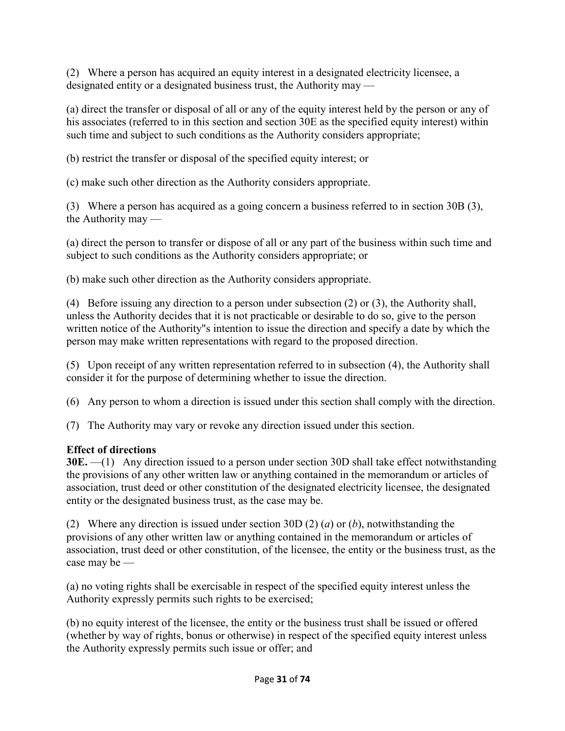(2) Where a person has acquired an equity interest in a designated electricity licensee, a designated entity or a designated business trust, the Authority may —

(a) direct the transfer or disposal of all or any of the equity interest held by the person or any of his associates (referred to in this section and section 30E as the specified equity interest) within such time and subject to such conditions as the Authority considers appropriate;

(b) restrict the transfer or disposal of the specified equity interest; or

(c) make such other direction as the Authority considers appropriate.

(3) Where a person has acquired as a going concern a business referred to in section 30B (3), the Authority may —

(a) direct the person to transfer or dispose of all or any part of the business within such time and subject to such conditions as the Authority considers appropriate; or

(b) make such other direction as the Authority considers appropriate.

(4) Before issuing any direction to a person under subsection (2) or (3), the Authority shall, unless the Authority decides that it is not practicable or desirable to do so, give to the person written notice of the Authority"s intention to issue the direction and specify a date by which the person may make written representations with regard to the proposed direction.

(5) Upon receipt of any written representation referred to in subsection (4), the Authority shall consider it for the purpose of determining whether to issue the direction.

(6) Any person to whom a direction is issued under this section shall comply with the direction.

(7) The Authority may vary or revoke any direction issued under this section.

## **Effect of directions**

**30E.** —(1) Any direction issued to a person under section 30D shall take effect notwithstanding the provisions of any other written law or anything contained in the memorandum or articles of association, trust deed or other constitution of the designated electricity licensee, the designated entity or the designated business trust, as the case may be.

(2) Where any direction is issued under section 30D (2) (*a*) or (*b*), notwithstanding the provisions of any other written law or anything contained in the memorandum or articles of association, trust deed or other constitution, of the licensee, the entity or the business trust, as the case may be —

(a) no voting rights shall be exercisable in respect of the specified equity interest unless the Authority expressly permits such rights to be exercised;

(b) no equity interest of the licensee, the entity or the business trust shall be issued or offered (whether by way of rights, bonus or otherwise) in respect of the specified equity interest unless the Authority expressly permits such issue or offer; and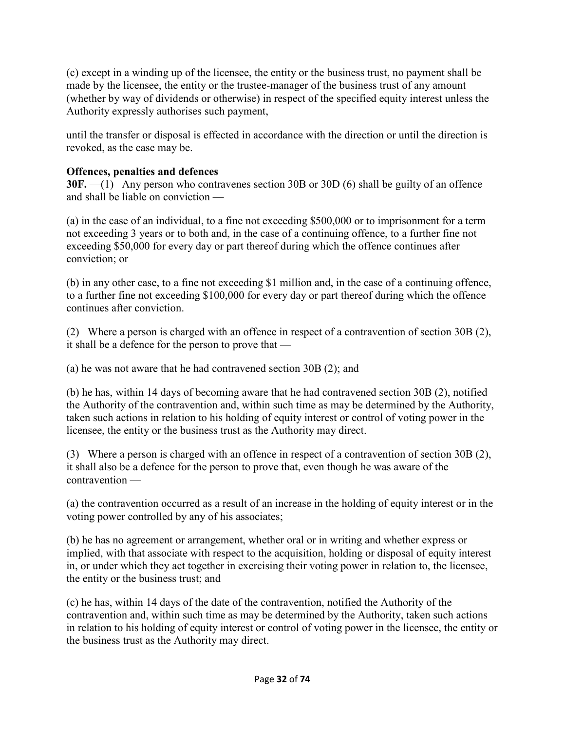(c) except in a winding up of the licensee, the entity or the business trust, no payment shall be made by the licensee, the entity or the trustee-manager of the business trust of any amount (whether by way of dividends or otherwise) in respect of the specified equity interest unless the Authority expressly authorises such payment,

until the transfer or disposal is effected in accordance with the direction or until the direction is revoked, as the case may be.

### **Offences, penalties and defences**

**30F.** —(1) Any person who contravenes section 30B or 30D (6) shall be guilty of an offence and shall be liable on conviction —

(a) in the case of an individual, to a fine not exceeding \$500,000 or to imprisonment for a term not exceeding 3 years or to both and, in the case of a continuing offence, to a further fine not exceeding \$50,000 for every day or part thereof during which the offence continues after conviction; or

(b) in any other case, to a fine not exceeding \$1 million and, in the case of a continuing offence, to a further fine not exceeding \$100,000 for every day or part thereof during which the offence continues after conviction.

(2) Where a person is charged with an offence in respect of a contravention of section 30B (2), it shall be a defence for the person to prove that —

(a) he was not aware that he had contravened section 30B (2); and

(b) he has, within 14 days of becoming aware that he had contravened section 30B (2), notified the Authority of the contravention and, within such time as may be determined by the Authority, taken such actions in relation to his holding of equity interest or control of voting power in the licensee, the entity or the business trust as the Authority may direct.

(3) Where a person is charged with an offence in respect of a contravention of section 30B (2), it shall also be a defence for the person to prove that, even though he was aware of the contravention —

(a) the contravention occurred as a result of an increase in the holding of equity interest or in the voting power controlled by any of his associates;

(b) he has no agreement or arrangement, whether oral or in writing and whether express or implied, with that associate with respect to the acquisition, holding or disposal of equity interest in, or under which they act together in exercising their voting power in relation to, the licensee, the entity or the business trust; and

(c) he has, within 14 days of the date of the contravention, notified the Authority of the contravention and, within such time as may be determined by the Authority, taken such actions in relation to his holding of equity interest or control of voting power in the licensee, the entity or the business trust as the Authority may direct.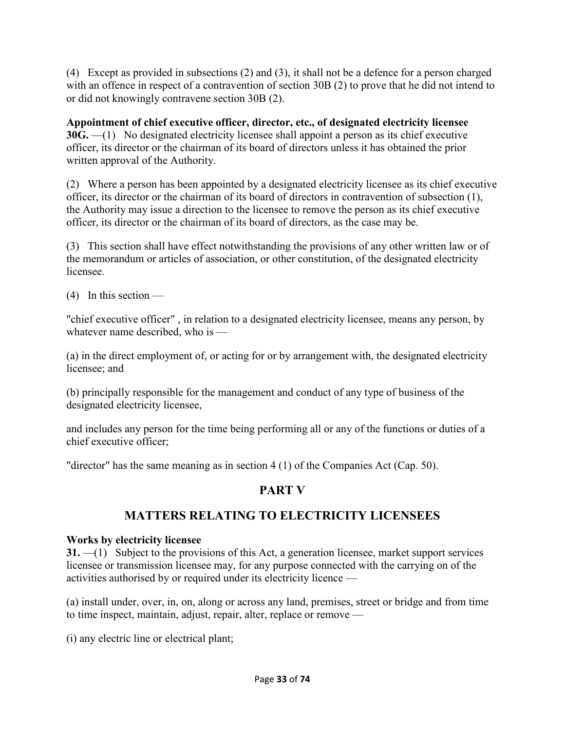(4) Except as provided in subsections (2) and (3), it shall not be a defence for a person charged with an offence in respect of a contravention of section 30B (2) to prove that he did not intend to or did not knowingly contravene section 30B (2).

**Appointment of chief executive officer, director, etc., of designated electricity licensee 30G.** —(1) No designated electricity licensee shall appoint a person as its chief executive officer, its director or the chairman of its board of directors unless it has obtained the prior written approval of the Authority.

(2) Where a person has been appointed by a designated electricity licensee as its chief executive officer, its director or the chairman of its board of directors in contravention of subsection (1), the Authority may issue a direction to the licensee to remove the person as its chief executive officer, its director or the chairman of its board of directors, as the case may be.

(3) This section shall have effect notwithstanding the provisions of any other written law or of the memorandum or articles of association, or other constitution, of the designated electricity licensee.

(4) In this section —

"chief executive officer" , in relation to a designated electricity licensee, means any person, by whatever name described, who is —

(a) in the direct employment of, or acting for or by arrangement with, the designated electricity licensee; and

(b) principally responsible for the management and conduct of any type of business of the designated electricity licensee,

and includes any person for the time being performing all or any of the functions or duties of a chief executive officer;

"director" has the same meaning as in section 4 (1) of the Companies Act (Cap. 50).

# **PART V**

# **MATTERS RELATING TO ELECTRICITY LICENSEES**

## **Works by electricity licensee**

**31.** —(1) Subject to the provisions of this Act, a generation licensee, market support services licensee or transmission licensee may, for any purpose connected with the carrying on of the activities authorised by or required under its electricity licence —

(a) install under, over, in, on, along or across any land, premises, street or bridge and from time to time inspect, maintain, adjust, repair, alter, replace or remove —

(i) any electric line or electrical plant;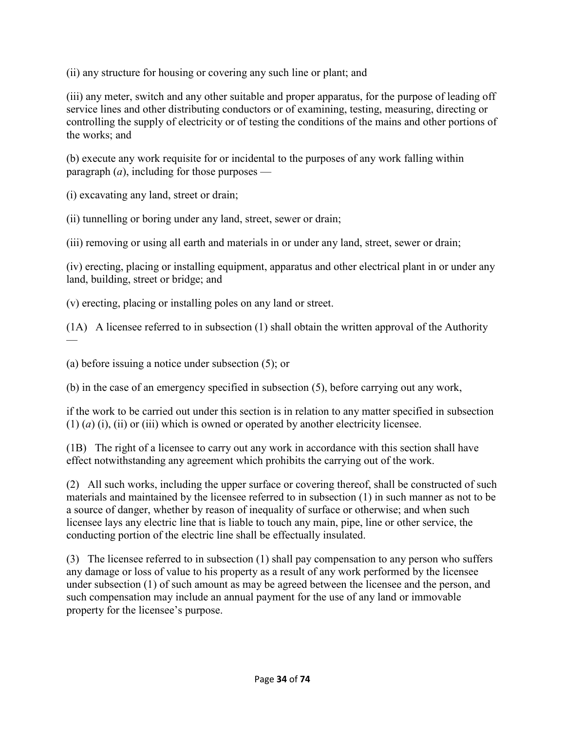(ii) any structure for housing or covering any such line or plant; and

(iii) any meter, switch and any other suitable and proper apparatus, for the purpose of leading off service lines and other distributing conductors or of examining, testing, measuring, directing or controlling the supply of electricity or of testing the conditions of the mains and other portions of the works; and

(b) execute any work requisite for or incidental to the purposes of any work falling within paragraph  $(a)$ , including for those purposes —

(i) excavating any land, street or drain;

(ii) tunnelling or boring under any land, street, sewer or drain;

(iii) removing or using all earth and materials in or under any land, street, sewer or drain;

(iv) erecting, placing or installing equipment, apparatus and other electrical plant in or under any land, building, street or bridge; and

(v) erecting, placing or installing poles on any land or street.

(1A) A licensee referred to in subsection (1) shall obtain the written approval of the Authority —

(a) before issuing a notice under subsection (5); or

(b) in the case of an emergency specified in subsection (5), before carrying out any work,

if the work to be carried out under this section is in relation to any matter specified in subsection  $(1)$   $(a)$   $(i)$ ,  $(ii)$  or  $(iii)$  which is owned or operated by another electricity licensee.

(1B) The right of a licensee to carry out any work in accordance with this section shall have effect notwithstanding any agreement which prohibits the carrying out of the work.

(2) All such works, including the upper surface or covering thereof, shall be constructed of such materials and maintained by the licensee referred to in subsection (1) in such manner as not to be a source of danger, whether by reason of inequality of surface or otherwise; and when such licensee lays any electric line that is liable to touch any main, pipe, line or other service, the conducting portion of the electric line shall be effectually insulated.

(3) The licensee referred to in subsection (1) shall pay compensation to any person who suffers any damage or loss of value to his property as a result of any work performed by the licensee under subsection (1) of such amount as may be agreed between the licensee and the person, and such compensation may include an annual payment for the use of any land or immovable property for the licensee's purpose.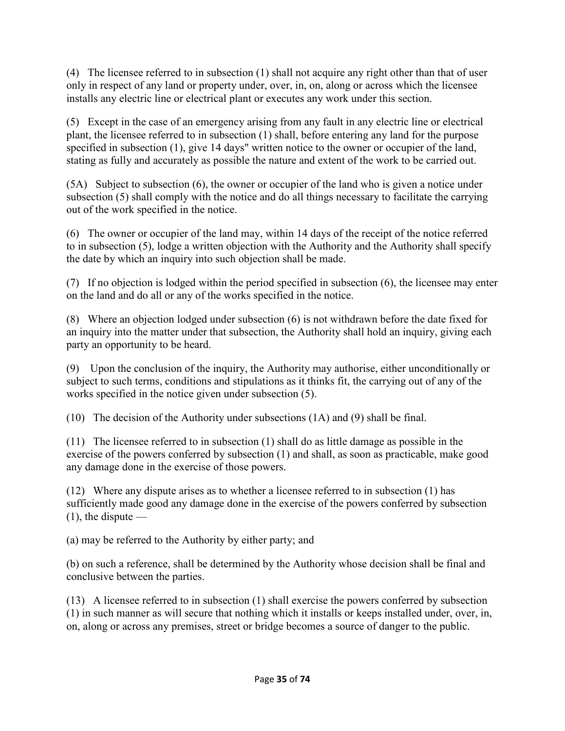(4) The licensee referred to in subsection (1) shall not acquire any right other than that of user only in respect of any land or property under, over, in, on, along or across which the licensee installs any electric line or electrical plant or executes any work under this section.

(5) Except in the case of an emergency arising from any fault in any electric line or electrical plant, the licensee referred to in subsection (1) shall, before entering any land for the purpose specified in subsection (1), give 14 days" written notice to the owner or occupier of the land, stating as fully and accurately as possible the nature and extent of the work to be carried out.

(5A) Subject to subsection (6), the owner or occupier of the land who is given a notice under subsection (5) shall comply with the notice and do all things necessary to facilitate the carrying out of the work specified in the notice.

(6) The owner or occupier of the land may, within 14 days of the receipt of the notice referred to in subsection (5), lodge a written objection with the Authority and the Authority shall specify the date by which an inquiry into such objection shall be made.

(7) If no objection is lodged within the period specified in subsection (6), the licensee may enter on the land and do all or any of the works specified in the notice.

(8) Where an objection lodged under subsection (6) is not withdrawn before the date fixed for an inquiry into the matter under that subsection, the Authority shall hold an inquiry, giving each party an opportunity to be heard.

(9) Upon the conclusion of the inquiry, the Authority may authorise, either unconditionally or subject to such terms, conditions and stipulations as it thinks fit, the carrying out of any of the works specified in the notice given under subsection (5).

(10) The decision of the Authority under subsections (1A) and (9) shall be final.

(11) The licensee referred to in subsection (1) shall do as little damage as possible in the exercise of the powers conferred by subsection (1) and shall, as soon as practicable, make good any damage done in the exercise of those powers.

(12) Where any dispute arises as to whether a licensee referred to in subsection (1) has sufficiently made good any damage done in the exercise of the powers conferred by subsection  $(1)$ , the dispute —

(a) may be referred to the Authority by either party; and

(b) on such a reference, shall be determined by the Authority whose decision shall be final and conclusive between the parties.

(13) A licensee referred to in subsection (1) shall exercise the powers conferred by subsection (1) in such manner as will secure that nothing which it installs or keeps installed under, over, in, on, along or across any premises, street or bridge becomes a source of danger to the public.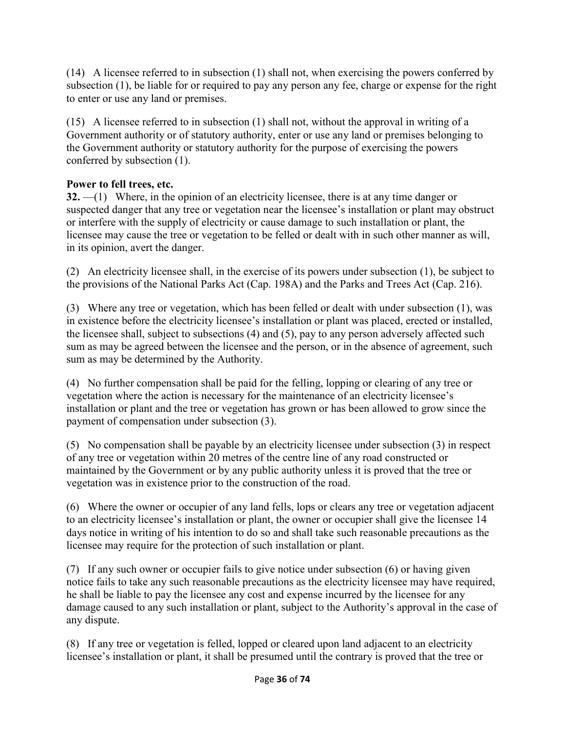(14) A licensee referred to in subsection (1) shall not, when exercising the powers conferred by subsection (1), be liable for or required to pay any person any fee, charge or expense for the right to enter or use any land or premises.

(15) A licensee referred to in subsection (1) shall not, without the approval in writing of a Government authority or of statutory authority, enter or use any land or premises belonging to the Government authority or statutory authority for the purpose of exercising the powers conferred by subsection (1).

## **Power to fell trees, etc.**

**32.** —(1) Where, in the opinion of an electricity licensee, there is at any time danger or suspected danger that any tree or vegetation near the licensee's installation or plant may obstruct or interfere with the supply of electricity or cause damage to such installation or plant, the licensee may cause the tree or vegetation to be felled or dealt with in such other manner as will, in its opinion, avert the danger.

(2) An electricity licensee shall, in the exercise of its powers under subsection (1), be subject to the provisions of the National Parks Act (Cap. 198A) and the Parks and Trees Act (Cap. 216).

(3) Where any tree or vegetation, which has been felled or dealt with under subsection (1), was in existence before the electricity licensee's installation or plant was placed, erected or installed, the licensee shall, subject to subsections (4) and (5), pay to any person adversely affected such sum as may be agreed between the licensee and the person, or in the absence of agreement, such sum as may be determined by the Authority.

(4) No further compensation shall be paid for the felling, lopping or clearing of any tree or vegetation where the action is necessary for the maintenance of an electricity licensee's installation or plant and the tree or vegetation has grown or has been allowed to grow since the payment of compensation under subsection (3).

(5) No compensation shall be payable by an electricity licensee under subsection (3) in respect of any tree or vegetation within 20 metres of the centre line of any road constructed or maintained by the Government or by any public authority unless it is proved that the tree or vegetation was in existence prior to the construction of the road.

(6) Where the owner or occupier of any land fells, lops or clears any tree or vegetation adjacent to an electricity licensee's installation or plant, the owner or occupier shall give the licensee 14 days notice in writing of his intention to do so and shall take such reasonable precautions as the licensee may require for the protection of such installation or plant.

(7) If any such owner or occupier fails to give notice under subsection (6) or having given notice fails to take any such reasonable precautions as the electricity licensee may have required, he shall be liable to pay the licensee any cost and expense incurred by the licensee for any damage caused to any such installation or plant, subject to the Authority's approval in the case of any dispute.

(8) If any tree or vegetation is felled, lopped or cleared upon land adjacent to an electricity licensee's installation or plant, it shall be presumed until the contrary is proved that the tree or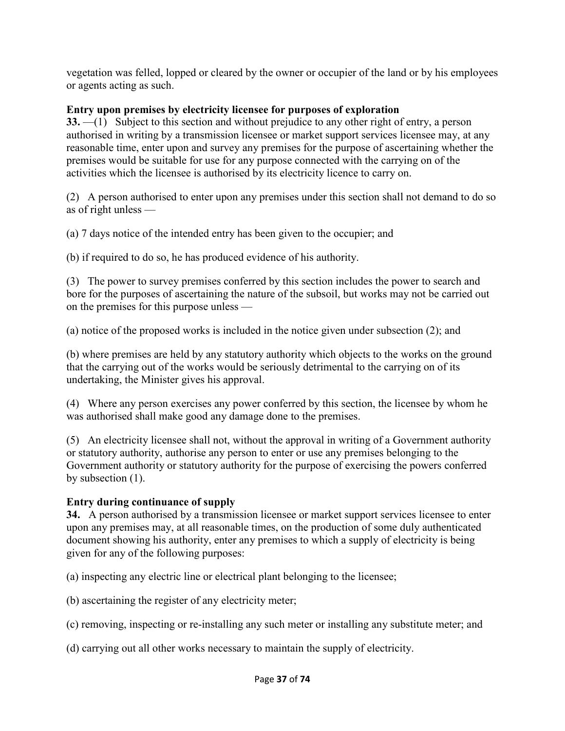vegetation was felled, lopped or cleared by the owner or occupier of the land or by his employees or agents acting as such.

## **Entry upon premises by electricity licensee for purposes of exploration**

**33.** —(1) Subject to this section and without prejudice to any other right of entry, a person authorised in writing by a transmission licensee or market support services licensee may, at any reasonable time, enter upon and survey any premises for the purpose of ascertaining whether the premises would be suitable for use for any purpose connected with the carrying on of the activities which the licensee is authorised by its electricity licence to carry on.

(2) A person authorised to enter upon any premises under this section shall not demand to do so as of right unless —

(a) 7 days notice of the intended entry has been given to the occupier; and

(b) if required to do so, he has produced evidence of his authority.

(3) The power to survey premises conferred by this section includes the power to search and bore for the purposes of ascertaining the nature of the subsoil, but works may not be carried out on the premises for this purpose unless —

(a) notice of the proposed works is included in the notice given under subsection (2); and

(b) where premises are held by any statutory authority which objects to the works on the ground that the carrying out of the works would be seriously detrimental to the carrying on of its undertaking, the Minister gives his approval.

(4) Where any person exercises any power conferred by this section, the licensee by whom he was authorised shall make good any damage done to the premises.

(5) An electricity licensee shall not, without the approval in writing of a Government authority or statutory authority, authorise any person to enter or use any premises belonging to the Government authority or statutory authority for the purpose of exercising the powers conferred by subsection (1).

## **Entry during continuance of supply**

**34.** A person authorised by a transmission licensee or market support services licensee to enter upon any premises may, at all reasonable times, on the production of some duly authenticated document showing his authority, enter any premises to which a supply of electricity is being given for any of the following purposes:

(a) inspecting any electric line or electrical plant belonging to the licensee;

(b) ascertaining the register of any electricity meter;

(c) removing, inspecting or re-installing any such meter or installing any substitute meter; and

(d) carrying out all other works necessary to maintain the supply of electricity.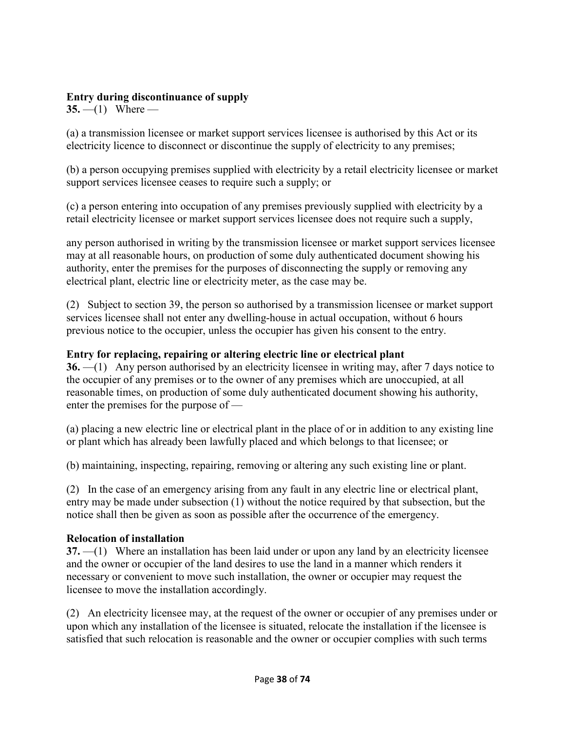#### **Entry during discontinuance of supply**

**35.** —(1) Where —

(a) a transmission licensee or market support services licensee is authorised by this Act or its electricity licence to disconnect or discontinue the supply of electricity to any premises;

(b) a person occupying premises supplied with electricity by a retail electricity licensee or market support services licensee ceases to require such a supply; or

(c) a person entering into occupation of any premises previously supplied with electricity by a retail electricity licensee or market support services licensee does not require such a supply,

any person authorised in writing by the transmission licensee or market support services licensee may at all reasonable hours, on production of some duly authenticated document showing his authority, enter the premises for the purposes of disconnecting the supply or removing any electrical plant, electric line or electricity meter, as the case may be.

(2) Subject to section 39, the person so authorised by a transmission licensee or market support services licensee shall not enter any dwelling-house in actual occupation, without 6 hours previous notice to the occupier, unless the occupier has given his consent to the entry.

#### **Entry for replacing, repairing or altering electric line or electrical plant**

**36.** —(1) Any person authorised by an electricity licensee in writing may, after 7 days notice to the occupier of any premises or to the owner of any premises which are unoccupied, at all reasonable times, on production of some duly authenticated document showing his authority, enter the premises for the purpose of —

(a) placing a new electric line or electrical plant in the place of or in addition to any existing line or plant which has already been lawfully placed and which belongs to that licensee; or

(b) maintaining, inspecting, repairing, removing or altering any such existing line or plant.

(2) In the case of an emergency arising from any fault in any electric line or electrical plant, entry may be made under subsection (1) without the notice required by that subsection, but the notice shall then be given as soon as possible after the occurrence of the emergency.

#### **Relocation of installation**

**37.** —(1) Where an installation has been laid under or upon any land by an electricity licensee and the owner or occupier of the land desires to use the land in a manner which renders it necessary or convenient to move such installation, the owner or occupier may request the licensee to move the installation accordingly.

(2) An electricity licensee may, at the request of the owner or occupier of any premises under or upon which any installation of the licensee is situated, relocate the installation if the licensee is satisfied that such relocation is reasonable and the owner or occupier complies with such terms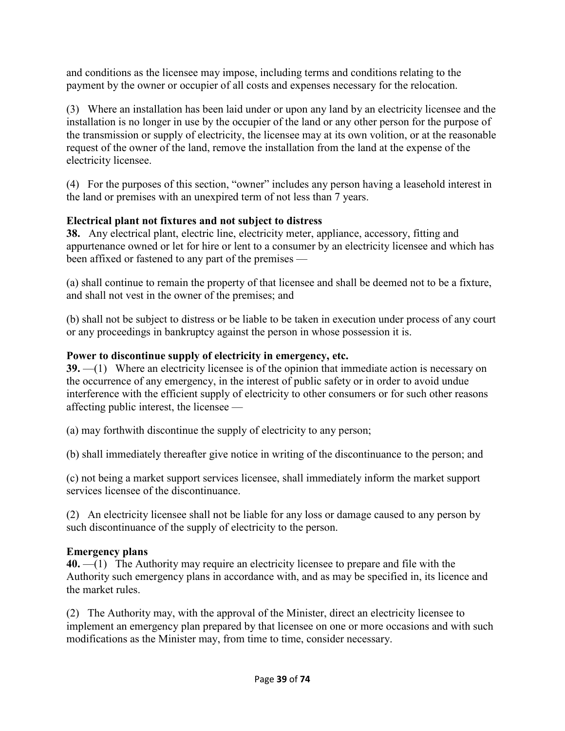and conditions as the licensee may impose, including terms and conditions relating to the payment by the owner or occupier of all costs and expenses necessary for the relocation.

(3) Where an installation has been laid under or upon any land by an electricity licensee and the installation is no longer in use by the occupier of the land or any other person for the purpose of the transmission or supply of electricity, the licensee may at its own volition, or at the reasonable request of the owner of the land, remove the installation from the land at the expense of the electricity licensee.

(4) For the purposes of this section, "owner" includes any person having a leasehold interest in the land or premises with an unexpired term of not less than 7 years.

## **Electrical plant not fixtures and not subject to distress**

**38.** Any electrical plant, electric line, electricity meter, appliance, accessory, fitting and appurtenance owned or let for hire or lent to a consumer by an electricity licensee and which has been affixed or fastened to any part of the premises —

(a) shall continue to remain the property of that licensee and shall be deemed not to be a fixture, and shall not vest in the owner of the premises; and

(b) shall not be subject to distress or be liable to be taken in execution under process of any court or any proceedings in bankruptcy against the person in whose possession it is.

## **Power to discontinue supply of electricity in emergency, etc.**

**39.** —(1) Where an electricity licensee is of the opinion that immediate action is necessary on the occurrence of any emergency, in the interest of public safety or in order to avoid undue interference with the efficient supply of electricity to other consumers or for such other reasons affecting public interest, the licensee —

(a) may forthwith discontinue the supply of electricity to any person;

(b) shall immediately thereafter give notice in writing of the discontinuance to the person; and

(c) not being a market support services licensee, shall immediately inform the market support services licensee of the discontinuance.

(2) An electricity licensee shall not be liable for any loss or damage caused to any person by such discontinuance of the supply of electricity to the person.

## **Emergency plans**

**40.** —(1) The Authority may require an electricity licensee to prepare and file with the Authority such emergency plans in accordance with, and as may be specified in, its licence and the market rules.

(2) The Authority may, with the approval of the Minister, direct an electricity licensee to implement an emergency plan prepared by that licensee on one or more occasions and with such modifications as the Minister may, from time to time, consider necessary.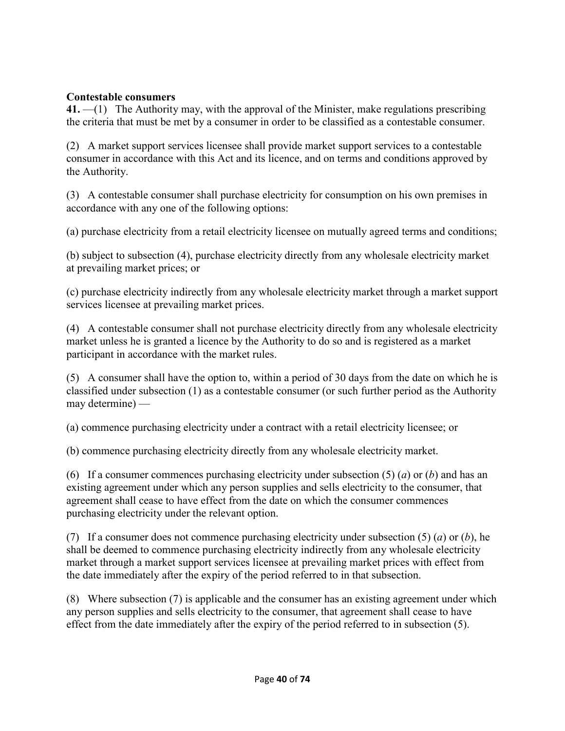#### **Contestable consumers**

**41.** —(1) The Authority may, with the approval of the Minister, make regulations prescribing the criteria that must be met by a consumer in order to be classified as a contestable consumer.

(2) A market support services licensee shall provide market support services to a contestable consumer in accordance with this Act and its licence, and on terms and conditions approved by the Authority.

(3) A contestable consumer shall purchase electricity for consumption on his own premises in accordance with any one of the following options:

(a) purchase electricity from a retail electricity licensee on mutually agreed terms and conditions;

(b) subject to subsection (4), purchase electricity directly from any wholesale electricity market at prevailing market prices; or

(c) purchase electricity indirectly from any wholesale electricity market through a market support services licensee at prevailing market prices.

(4) A contestable consumer shall not purchase electricity directly from any wholesale electricity market unless he is granted a licence by the Authority to do so and is registered as a market participant in accordance with the market rules.

(5) A consumer shall have the option to, within a period of 30 days from the date on which he is classified under subsection (1) as a contestable consumer (or such further period as the Authority may determine) —

(a) commence purchasing electricity under a contract with a retail electricity licensee; or

(b) commence purchasing electricity directly from any wholesale electricity market.

(6) If a consumer commences purchasing electricity under subsection (5) (*a*) or (*b*) and has an existing agreement under which any person supplies and sells electricity to the consumer, that agreement shall cease to have effect from the date on which the consumer commences purchasing electricity under the relevant option.

(7) If a consumer does not commence purchasing electricity under subsection (5) (*a*) or (*b*), he shall be deemed to commence purchasing electricity indirectly from any wholesale electricity market through a market support services licensee at prevailing market prices with effect from the date immediately after the expiry of the period referred to in that subsection.

(8) Where subsection (7) is applicable and the consumer has an existing agreement under which any person supplies and sells electricity to the consumer, that agreement shall cease to have effect from the date immediately after the expiry of the period referred to in subsection (5).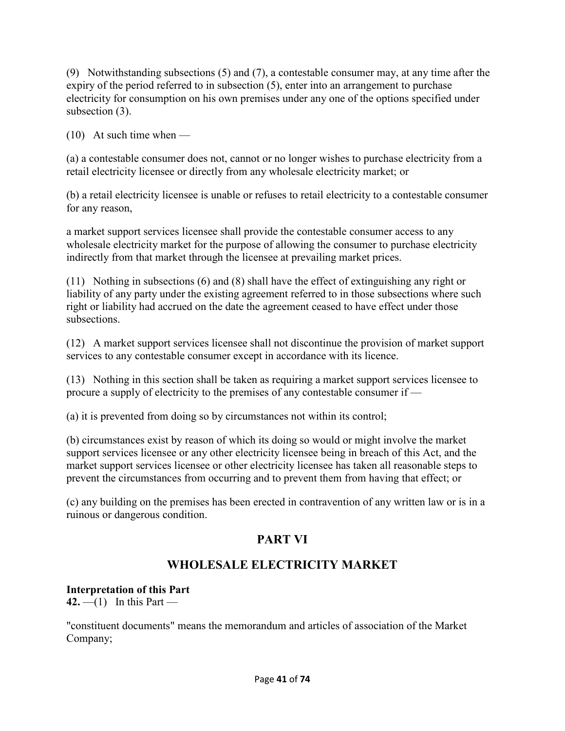(9) Notwithstanding subsections (5) and (7), a contestable consumer may, at any time after the expiry of the period referred to in subsection (5), enter into an arrangement to purchase electricity for consumption on his own premises under any one of the options specified under subsection (3).

(10) At such time when —

(a) a contestable consumer does not, cannot or no longer wishes to purchase electricity from a retail electricity licensee or directly from any wholesale electricity market; or

(b) a retail electricity licensee is unable or refuses to retail electricity to a contestable consumer for any reason,

a market support services licensee shall provide the contestable consumer access to any wholesale electricity market for the purpose of allowing the consumer to purchase electricity indirectly from that market through the licensee at prevailing market prices.

(11) Nothing in subsections (6) and (8) shall have the effect of extinguishing any right or liability of any party under the existing agreement referred to in those subsections where such right or liability had accrued on the date the agreement ceased to have effect under those subsections.

(12) A market support services licensee shall not discontinue the provision of market support services to any contestable consumer except in accordance with its licence.

(13) Nothing in this section shall be taken as requiring a market support services licensee to procure a supply of electricity to the premises of any contestable consumer if —

(a) it is prevented from doing so by circumstances not within its control;

(b) circumstances exist by reason of which its doing so would or might involve the market support services licensee or any other electricity licensee being in breach of this Act, and the market support services licensee or other electricity licensee has taken all reasonable steps to prevent the circumstances from occurring and to prevent them from having that effect; or

(c) any building on the premises has been erected in contravention of any written law or is in a ruinous or dangerous condition.

# **PART VI**

# **WHOLESALE ELECTRICITY MARKET**

## **Interpretation of this Part**

 $42. - (1)$  In this Part —

"constituent documents" means the memorandum and articles of association of the Market Company;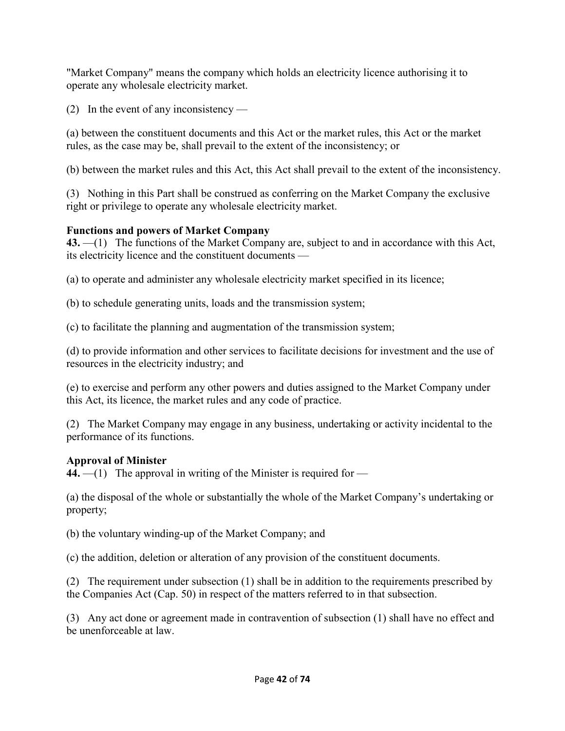"Market Company" means the company which holds an electricity licence authorising it to operate any wholesale electricity market.

(2) In the event of any inconsistency —

(a) between the constituent documents and this Act or the market rules, this Act or the market rules, as the case may be, shall prevail to the extent of the inconsistency; or

(b) between the market rules and this Act, this Act shall prevail to the extent of the inconsistency.

(3) Nothing in this Part shall be construed as conferring on the Market Company the exclusive right or privilege to operate any wholesale electricity market.

## **Functions and powers of Market Company**

**43.** —(1) The functions of the Market Company are, subject to and in accordance with this Act, its electricity licence and the constituent documents —

(a) to operate and administer any wholesale electricity market specified in its licence;

(b) to schedule generating units, loads and the transmission system;

(c) to facilitate the planning and augmentation of the transmission system;

(d) to provide information and other services to facilitate decisions for investment and the use of resources in the electricity industry; and

(e) to exercise and perform any other powers and duties assigned to the Market Company under this Act, its licence, the market rules and any code of practice.

(2) The Market Company may engage in any business, undertaking or activity incidental to the performance of its functions.

## **Approval of Minister**

**44.** —(1) The approval in writing of the Minister is required for —

(a) the disposal of the whole or substantially the whole of the Market Company's undertaking or property;

(b) the voluntary winding-up of the Market Company; and

(c) the addition, deletion or alteration of any provision of the constituent documents.

(2) The requirement under subsection (1) shall be in addition to the requirements prescribed by the Companies Act (Cap. 50) in respect of the matters referred to in that subsection.

(3) Any act done or agreement made in contravention of subsection (1) shall have no effect and be unenforceable at law.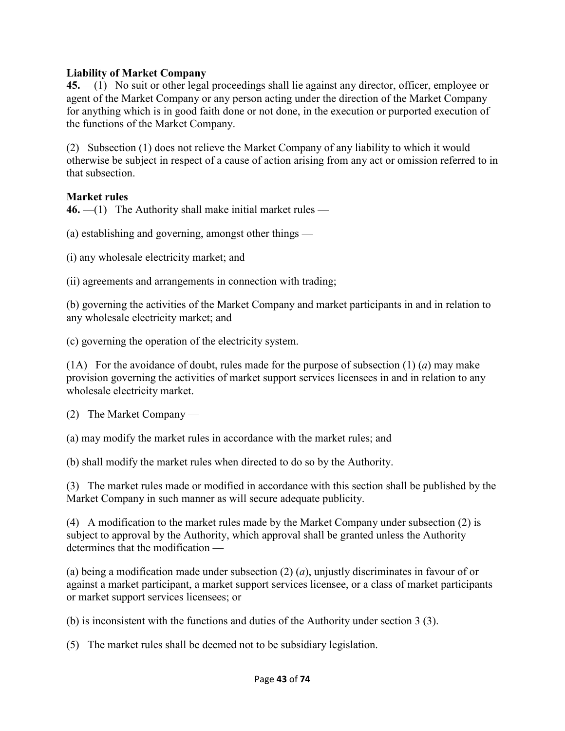### **Liability of Market Company**

**45.** —(1) No suit or other legal proceedings shall lie against any director, officer, employee or agent of the Market Company or any person acting under the direction of the Market Company for anything which is in good faith done or not done, in the execution or purported execution of the functions of the Market Company.

(2) Subsection (1) does not relieve the Market Company of any liability to which it would otherwise be subject in respect of a cause of action arising from any act or omission referred to in that subsection.

#### **Market rules**

**46.** —(1) The Authority shall make initial market rules —

(a) establishing and governing, amongst other things —

(i) any wholesale electricity market; and

(ii) agreements and arrangements in connection with trading;

(b) governing the activities of the Market Company and market participants in and in relation to any wholesale electricity market; and

(c) governing the operation of the electricity system.

(1A) For the avoidance of doubt, rules made for the purpose of subsection  $(1)$  (*a*) may make provision governing the activities of market support services licensees in and in relation to any wholesale electricity market.

(2) The Market Company —

(a) may modify the market rules in accordance with the market rules; and

(b) shall modify the market rules when directed to do so by the Authority.

(3) The market rules made or modified in accordance with this section shall be published by the Market Company in such manner as will secure adequate publicity.

(4) A modification to the market rules made by the Market Company under subsection (2) is subject to approval by the Authority, which approval shall be granted unless the Authority determines that the modification —

(a) being a modification made under subsection (2) (*a*), unjustly discriminates in favour of or against a market participant, a market support services licensee, or a class of market participants or market support services licensees; or

(b) is inconsistent with the functions and duties of the Authority under section 3 (3).

(5) The market rules shall be deemed not to be subsidiary legislation.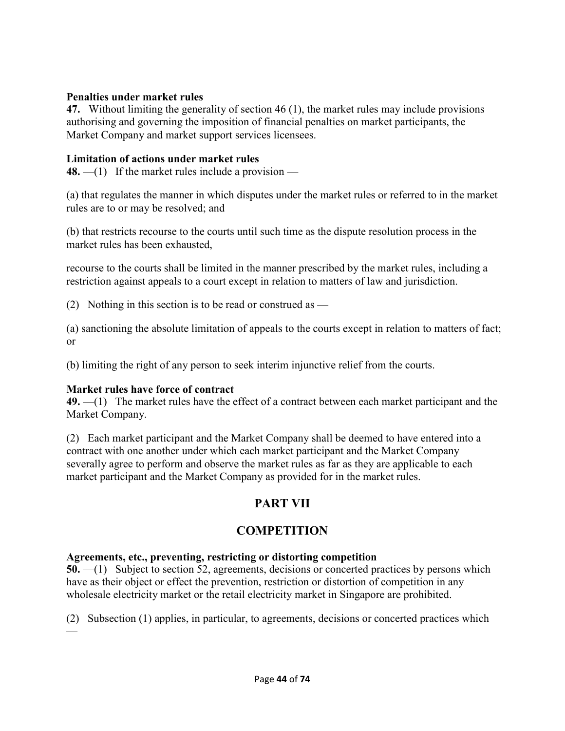#### **Penalties under market rules**

**47.** Without limiting the generality of section 46 (1), the market rules may include provisions authorising and governing the imposition of financial penalties on market participants, the Market Company and market support services licensees.

#### **Limitation of actions under market rules**

**48.** —(1) If the market rules include a provision —

(a) that regulates the manner in which disputes under the market rules or referred to in the market rules are to or may be resolved; and

(b) that restricts recourse to the courts until such time as the dispute resolution process in the market rules has been exhausted,

recourse to the courts shall be limited in the manner prescribed by the market rules, including a restriction against appeals to a court except in relation to matters of law and jurisdiction.

(2) Nothing in this section is to be read or construed as  $-$ 

(a) sanctioning the absolute limitation of appeals to the courts except in relation to matters of fact; or

(b) limiting the right of any person to seek interim injunctive relief from the courts.

#### **Market rules have force of contract**

—

**49.** —(1) The market rules have the effect of a contract between each market participant and the Market Company.

(2) Each market participant and the Market Company shall be deemed to have entered into a contract with one another under which each market participant and the Market Company severally agree to perform and observe the market rules as far as they are applicable to each market participant and the Market Company as provided for in the market rules.

# **PART VII**

## **COMPETITION**

#### **Agreements, etc., preventing, restricting or distorting competition**

**50.** —(1) Subject to section 52, agreements, decisions or concerted practices by persons which have as their object or effect the prevention, restriction or distortion of competition in any wholesale electricity market or the retail electricity market in Singapore are prohibited.

(2) Subsection (1) applies, in particular, to agreements, decisions or concerted practices which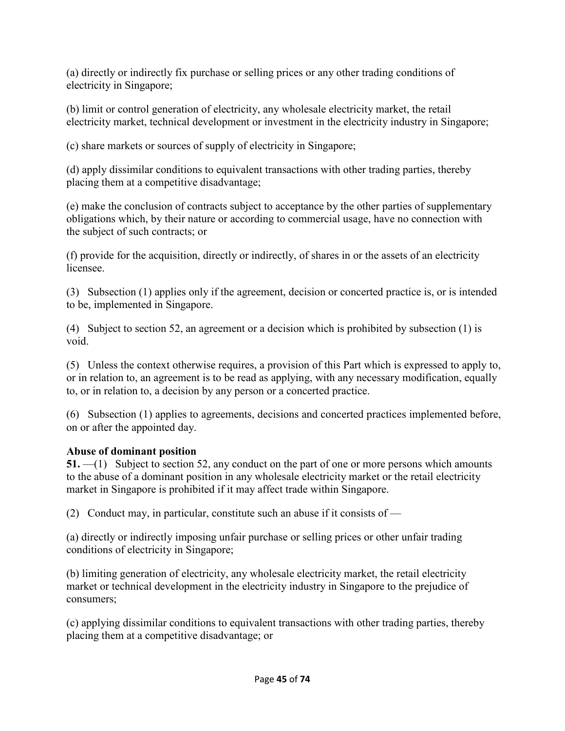(a) directly or indirectly fix purchase or selling prices or any other trading conditions of electricity in Singapore;

(b) limit or control generation of electricity, any wholesale electricity market, the retail electricity market, technical development or investment in the electricity industry in Singapore;

(c) share markets or sources of supply of electricity in Singapore;

(d) apply dissimilar conditions to equivalent transactions with other trading parties, thereby placing them at a competitive disadvantage;

(e) make the conclusion of contracts subject to acceptance by the other parties of supplementary obligations which, by their nature or according to commercial usage, have no connection with the subject of such contracts; or

(f) provide for the acquisition, directly or indirectly, of shares in or the assets of an electricity licensee.

(3) Subsection (1) applies only if the agreement, decision or concerted practice is, or is intended to be, implemented in Singapore.

(4) Subject to section 52, an agreement or a decision which is prohibited by subsection (1) is void.

(5) Unless the context otherwise requires, a provision of this Part which is expressed to apply to, or in relation to, an agreement is to be read as applying, with any necessary modification, equally to, or in relation to, a decision by any person or a concerted practice.

(6) Subsection (1) applies to agreements, decisions and concerted practices implemented before, on or after the appointed day.

## **Abuse of dominant position**

**51.** —(1) Subject to section 52, any conduct on the part of one or more persons which amounts to the abuse of a dominant position in any wholesale electricity market or the retail electricity market in Singapore is prohibited if it may affect trade within Singapore.

(2) Conduct may, in particular, constitute such an abuse if it consists of  $-$ 

(a) directly or indirectly imposing unfair purchase or selling prices or other unfair trading conditions of electricity in Singapore;

(b) limiting generation of electricity, any wholesale electricity market, the retail electricity market or technical development in the electricity industry in Singapore to the prejudice of consumers;

(c) applying dissimilar conditions to equivalent transactions with other trading parties, thereby placing them at a competitive disadvantage; or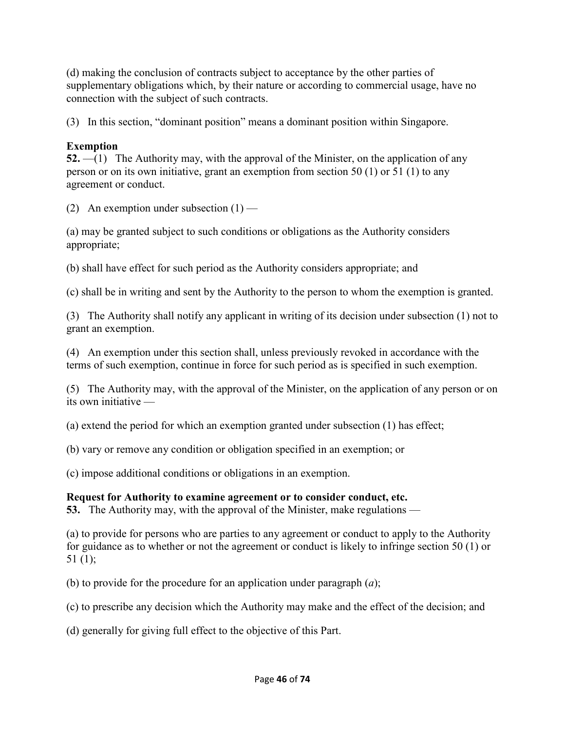(d) making the conclusion of contracts subject to acceptance by the other parties of supplementary obligations which, by their nature or according to commercial usage, have no connection with the subject of such contracts.

(3) In this section, "dominant position" means a dominant position within Singapore.

## **Exemption**

**52.** —(1) The Authority may, with the approval of the Minister, on the application of any person or on its own initiative, grant an exemption from section 50 (1) or 51 (1) to any agreement or conduct.

(2) An exemption under subsection  $(1)$  —

(a) may be granted subject to such conditions or obligations as the Authority considers appropriate;

(b) shall have effect for such period as the Authority considers appropriate; and

(c) shall be in writing and sent by the Authority to the person to whom the exemption is granted.

(3) The Authority shall notify any applicant in writing of its decision under subsection (1) not to grant an exemption.

(4) An exemption under this section shall, unless previously revoked in accordance with the terms of such exemption, continue in force for such period as is specified in such exemption.

(5) The Authority may, with the approval of the Minister, on the application of any person or on its own initiative —

(a) extend the period for which an exemption granted under subsection (1) has effect;

(b) vary or remove any condition or obligation specified in an exemption; or

(c) impose additional conditions or obligations in an exemption.

# **Request for Authority to examine agreement or to consider conduct, etc.**

**53.** The Authority may, with the approval of the Minister, make regulations —

(a) to provide for persons who are parties to any agreement or conduct to apply to the Authority for guidance as to whether or not the agreement or conduct is likely to infringe section 50 (1) or 51 $(1)$ ;

(b) to provide for the procedure for an application under paragraph (*a*);

(c) to prescribe any decision which the Authority may make and the effect of the decision; and

(d) generally for giving full effect to the objective of this Part.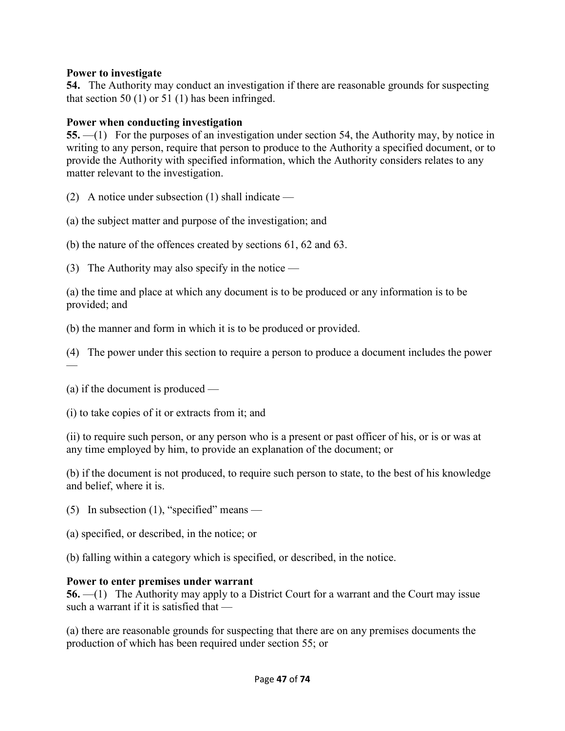#### **Power to investigate**

**54.** The Authority may conduct an investigation if there are reasonable grounds for suspecting that section 50  $(1)$  or 51  $(1)$  has been infringed.

### **Power when conducting investigation**

**55.** —(1) For the purposes of an investigation under section 54, the Authority may, by notice in writing to any person, require that person to produce to the Authority a specified document, or to provide the Authority with specified information, which the Authority considers relates to any matter relevant to the investigation.

(2) A notice under subsection (1) shall indicate —

(a) the subject matter and purpose of the investigation; and

(b) the nature of the offences created by sections 61, 62 and 63.

(3) The Authority may also specify in the notice —

(a) the time and place at which any document is to be produced or any information is to be provided; and

(b) the manner and form in which it is to be produced or provided.

(4) The power under this section to require a person to produce a document includes the power —

(a) if the document is produced —

(i) to take copies of it or extracts from it; and

(ii) to require such person, or any person who is a present or past officer of his, or is or was at any time employed by him, to provide an explanation of the document; or

(b) if the document is not produced, to require such person to state, to the best of his knowledge and belief, where it is.

(5) In subsection  $(1)$ , "specified" means —

(a) specified, or described, in the notice; or

(b) falling within a category which is specified, or described, in the notice.

#### **Power to enter premises under warrant**

**56.** —(1) The Authority may apply to a District Court for a warrant and the Court may issue such a warrant if it is satisfied that —

(a) there are reasonable grounds for suspecting that there are on any premises documents the production of which has been required under section 55; or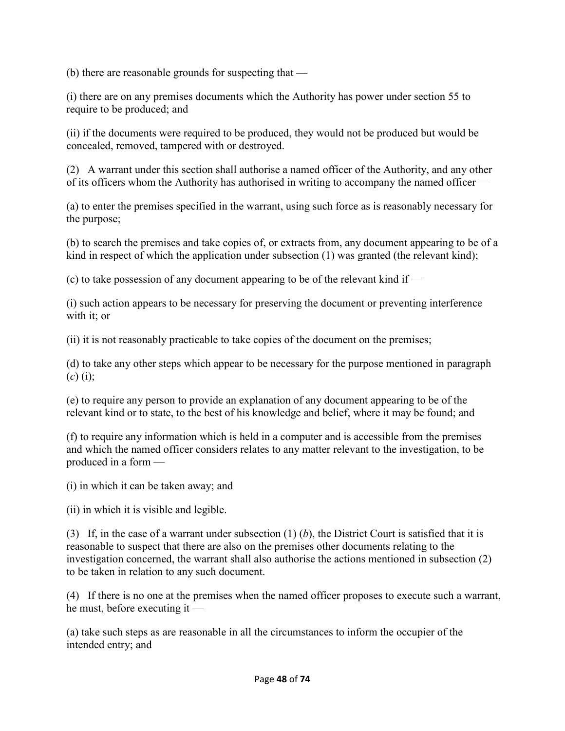(b) there are reasonable grounds for suspecting that —

(i) there are on any premises documents which the Authority has power under section 55 to require to be produced; and

(ii) if the documents were required to be produced, they would not be produced but would be concealed, removed, tampered with or destroyed.

(2) A warrant under this section shall authorise a named officer of the Authority, and any other of its officers whom the Authority has authorised in writing to accompany the named officer —

(a) to enter the premises specified in the warrant, using such force as is reasonably necessary for the purpose;

(b) to search the premises and take copies of, or extracts from, any document appearing to be of a kind in respect of which the application under subsection (1) was granted (the relevant kind);

(c) to take possession of any document appearing to be of the relevant kind if —

(i) such action appears to be necessary for preserving the document or preventing interference with it; or

(ii) it is not reasonably practicable to take copies of the document on the premises;

(d) to take any other steps which appear to be necessary for the purpose mentioned in paragraph  $(c)$  (i);

(e) to require any person to provide an explanation of any document appearing to be of the relevant kind or to state, to the best of his knowledge and belief, where it may be found; and

(f) to require any information which is held in a computer and is accessible from the premises and which the named officer considers relates to any matter relevant to the investigation, to be produced in a form —

(i) in which it can be taken away; and

(ii) in which it is visible and legible.

(3) If, in the case of a warrant under subsection (1) (*b*), the District Court is satisfied that it is reasonable to suspect that there are also on the premises other documents relating to the investigation concerned, the warrant shall also authorise the actions mentioned in subsection (2) to be taken in relation to any such document.

(4) If there is no one at the premises when the named officer proposes to execute such a warrant, he must, before executing it —

(a) take such steps as are reasonable in all the circumstances to inform the occupier of the intended entry; and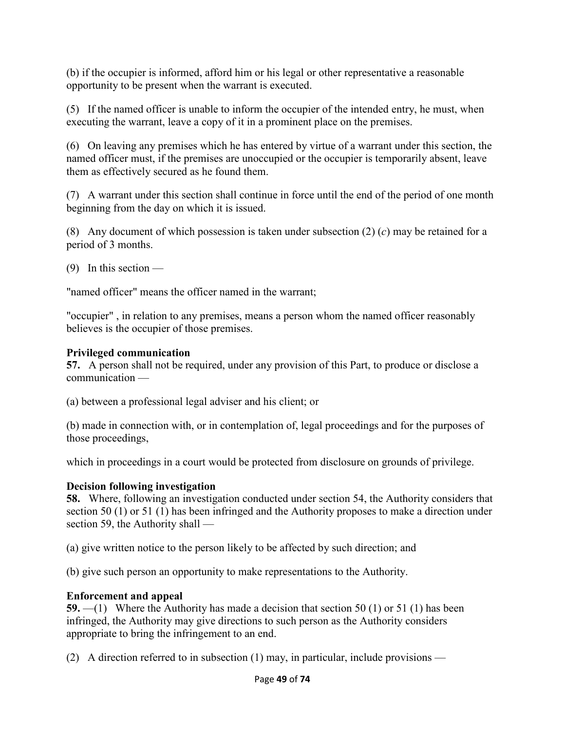(b) if the occupier is informed, afford him or his legal or other representative a reasonable opportunity to be present when the warrant is executed.

(5) If the named officer is unable to inform the occupier of the intended entry, he must, when executing the warrant, leave a copy of it in a prominent place on the premises.

(6) On leaving any premises which he has entered by virtue of a warrant under this section, the named officer must, if the premises are unoccupied or the occupier is temporarily absent, leave them as effectively secured as he found them.

(7) A warrant under this section shall continue in force until the end of the period of one month beginning from the day on which it is issued.

(8) Any document of which possession is taken under subsection (2) (*c*) may be retained for a period of 3 months.

(9) In this section —

"named officer" means the officer named in the warrant;

"occupier" , in relation to any premises, means a person whom the named officer reasonably believes is the occupier of those premises.

#### **Privileged communication**

**57.** A person shall not be required, under any provision of this Part, to produce or disclose a communication —

(a) between a professional legal adviser and his client; or

(b) made in connection with, or in contemplation of, legal proceedings and for the purposes of those proceedings,

which in proceedings in a court would be protected from disclosure on grounds of privilege.

## **Decision following investigation**

**58.** Where, following an investigation conducted under section 54, the Authority considers that section 50 (1) or 51 (1) has been infringed and the Authority proposes to make a direction under section 59, the Authority shall —

(a) give written notice to the person likely to be affected by such direction; and

(b) give such person an opportunity to make representations to the Authority.

## **Enforcement and appeal**

**59.** —(1) Where the Authority has made a decision that section 50 (1) or 51 (1) has been infringed, the Authority may give directions to such person as the Authority considers appropriate to bring the infringement to an end.

(2) A direction referred to in subsection  $(1)$  may, in particular, include provisions —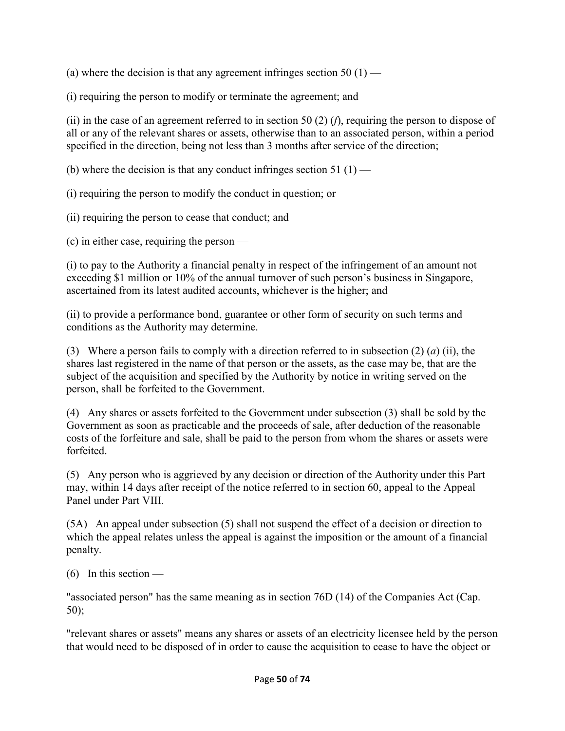(a) where the decision is that any agreement infringes section 50  $(1)$  —

(i) requiring the person to modify or terminate the agreement; and

(ii) in the case of an agreement referred to in section 50 (2) (*f*), requiring the person to dispose of all or any of the relevant shares or assets, otherwise than to an associated person, within a period specified in the direction, being not less than 3 months after service of the direction;

(b) where the decision is that any conduct infringes section 51  $(1)$  —

(i) requiring the person to modify the conduct in question; or

(ii) requiring the person to cease that conduct; and

(c) in either case, requiring the person —

(i) to pay to the Authority a financial penalty in respect of the infringement of an amount not exceeding \$1 million or 10% of the annual turnover of such person's business in Singapore, ascertained from its latest audited accounts, whichever is the higher; and

(ii) to provide a performance bond, guarantee or other form of security on such terms and conditions as the Authority may determine.

(3) Where a person fails to comply with a direction referred to in subsection (2) (*a*) (ii), the shares last registered in the name of that person or the assets, as the case may be, that are the subject of the acquisition and specified by the Authority by notice in writing served on the person, shall be forfeited to the Government.

(4) Any shares or assets forfeited to the Government under subsection (3) shall be sold by the Government as soon as practicable and the proceeds of sale, after deduction of the reasonable costs of the forfeiture and sale, shall be paid to the person from whom the shares or assets were forfeited.

(5) Any person who is aggrieved by any decision or direction of the Authority under this Part may, within 14 days after receipt of the notice referred to in section 60, appeal to the Appeal Panel under Part VIII.

(5A) An appeal under subsection (5) shall not suspend the effect of a decision or direction to which the appeal relates unless the appeal is against the imposition or the amount of a financial penalty.

 $(6)$  In this section —

"associated person" has the same meaning as in section 76D (14) of the Companies Act (Cap. 50);

"relevant shares or assets" means any shares or assets of an electricity licensee held by the person that would need to be disposed of in order to cause the acquisition to cease to have the object or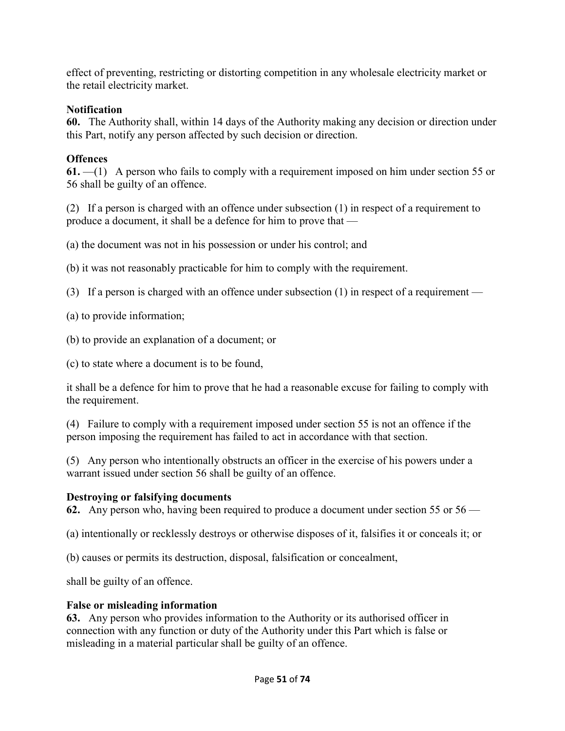effect of preventing, restricting or distorting competition in any wholesale electricity market or the retail electricity market.

## **Notification**

**60.** The Authority shall, within 14 days of the Authority making any decision or direction under this Part, notify any person affected by such decision or direction.

# **Offences**

**61.** —(1) A person who fails to comply with a requirement imposed on him under section 55 or 56 shall be guilty of an offence.

(2) If a person is charged with an offence under subsection (1) in respect of a requirement to produce a document, it shall be a defence for him to prove that —

(a) the document was not in his possession or under his control; and

(b) it was not reasonably practicable for him to comply with the requirement.

(3) If a person is charged with an offence under subsection (1) in respect of a requirement —

(a) to provide information;

(b) to provide an explanation of a document; or

(c) to state where a document is to be found,

it shall be a defence for him to prove that he had a reasonable excuse for failing to comply with the requirement.

(4) Failure to comply with a requirement imposed under section 55 is not an offence if the person imposing the requirement has failed to act in accordance with that section.

(5) Any person who intentionally obstructs an officer in the exercise of his powers under a warrant issued under section 56 shall be guilty of an offence.

# **Destroying or falsifying documents**

**62.** Any person who, having been required to produce a document under section 55 or 56 —

(a) intentionally or recklessly destroys or otherwise disposes of it, falsifies it or conceals it; or

(b) causes or permits its destruction, disposal, falsification or concealment,

shall be guilty of an offence.

# **False or misleading information**

**63.** Any person who provides information to the Authority or its authorised officer in connection with any function or duty of the Authority under this Part which is false or misleading in a material particular shall be guilty of an offence.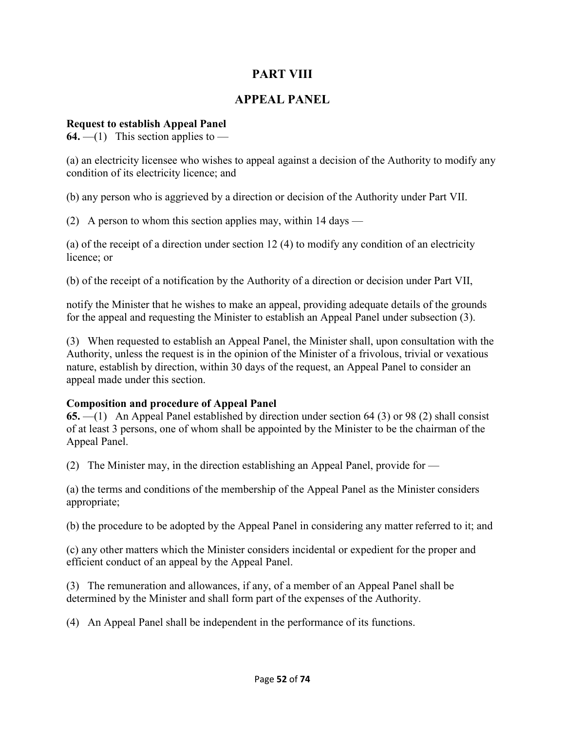# **PART VIII**

## **APPEAL PANEL**

#### **Request to establish Appeal Panel**

**64.** —(1) This section applies to —

(a) an electricity licensee who wishes to appeal against a decision of the Authority to modify any condition of its electricity licence; and

(b) any person who is aggrieved by a direction or decision of the Authority under Part VII.

(2) A person to whom this section applies may, within 14 days —

(a) of the receipt of a direction under section 12 (4) to modify any condition of an electricity licence; or

(b) of the receipt of a notification by the Authority of a direction or decision under Part VII,

notify the Minister that he wishes to make an appeal, providing adequate details of the grounds for the appeal and requesting the Minister to establish an Appeal Panel under subsection (3).

(3) When requested to establish an Appeal Panel, the Minister shall, upon consultation with the Authority, unless the request is in the opinion of the Minister of a frivolous, trivial or vexatious nature, establish by direction, within 30 days of the request, an Appeal Panel to consider an appeal made under this section.

#### **Composition and procedure of Appeal Panel**

**65.** —(1) An Appeal Panel established by direction under section 64 (3) or 98 (2) shall consist of at least 3 persons, one of whom shall be appointed by the Minister to be the chairman of the Appeal Panel.

(2) The Minister may, in the direction establishing an Appeal Panel, provide for —

(a) the terms and conditions of the membership of the Appeal Panel as the Minister considers appropriate;

(b) the procedure to be adopted by the Appeal Panel in considering any matter referred to it; and

(c) any other matters which the Minister considers incidental or expedient for the proper and efficient conduct of an appeal by the Appeal Panel.

(3) The remuneration and allowances, if any, of a member of an Appeal Panel shall be determined by the Minister and shall form part of the expenses of the Authority.

(4) An Appeal Panel shall be independent in the performance of its functions.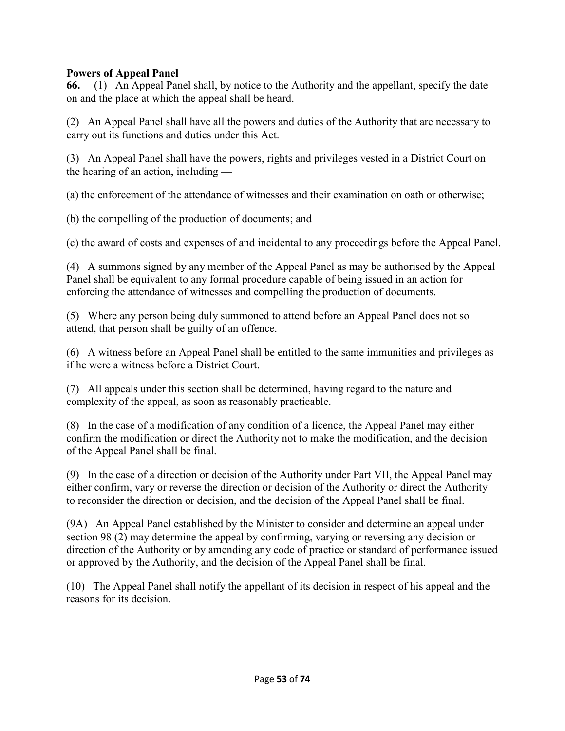#### **Powers of Appeal Panel**

**66.** —(1) An Appeal Panel shall, by notice to the Authority and the appellant, specify the date on and the place at which the appeal shall be heard.

(2) An Appeal Panel shall have all the powers and duties of the Authority that are necessary to carry out its functions and duties under this Act.

(3) An Appeal Panel shall have the powers, rights and privileges vested in a District Court on the hearing of an action, including —

(a) the enforcement of the attendance of witnesses and their examination on oath or otherwise;

(b) the compelling of the production of documents; and

(c) the award of costs and expenses of and incidental to any proceedings before the Appeal Panel.

(4) A summons signed by any member of the Appeal Panel as may be authorised by the Appeal Panel shall be equivalent to any formal procedure capable of being issued in an action for enforcing the attendance of witnesses and compelling the production of documents.

(5) Where any person being duly summoned to attend before an Appeal Panel does not so attend, that person shall be guilty of an offence.

(6) A witness before an Appeal Panel shall be entitled to the same immunities and privileges as if he were a witness before a District Court.

(7) All appeals under this section shall be determined, having regard to the nature and complexity of the appeal, as soon as reasonably practicable.

(8) In the case of a modification of any condition of a licence, the Appeal Panel may either confirm the modification or direct the Authority not to make the modification, and the decision of the Appeal Panel shall be final.

(9) In the case of a direction or decision of the Authority under Part VII, the Appeal Panel may either confirm, vary or reverse the direction or decision of the Authority or direct the Authority to reconsider the direction or decision, and the decision of the Appeal Panel shall be final.

(9A) An Appeal Panel established by the Minister to consider and determine an appeal under section 98 (2) may determine the appeal by confirming, varying or reversing any decision or direction of the Authority or by amending any code of practice or standard of performance issued or approved by the Authority, and the decision of the Appeal Panel shall be final.

(10) The Appeal Panel shall notify the appellant of its decision in respect of his appeal and the reasons for its decision.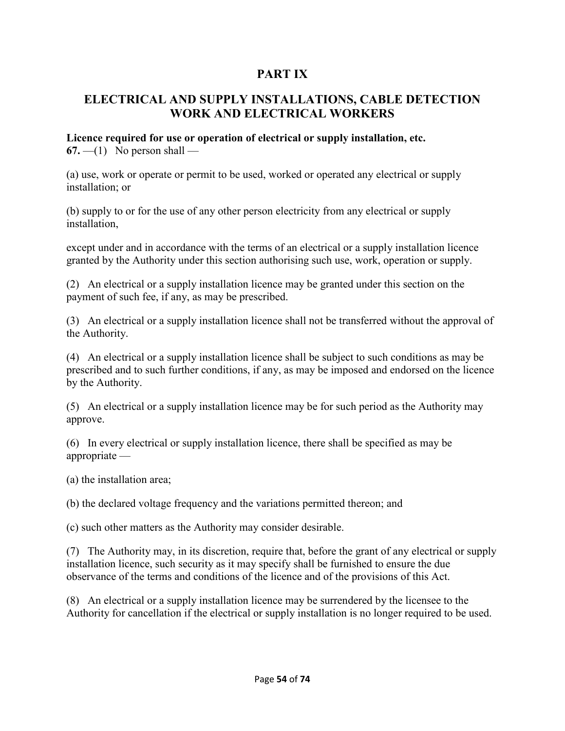# **PART IX**

# **ELECTRICAL AND SUPPLY INSTALLATIONS, CABLE DETECTION WORK AND ELECTRICAL WORKERS**

# **Licence required for use or operation of electrical or supply installation, etc.**

 $67. - (1)$  No person shall —

(a) use, work or operate or permit to be used, worked or operated any electrical or supply installation; or

(b) supply to or for the use of any other person electricity from any electrical or supply installation,

except under and in accordance with the terms of an electrical or a supply installation licence granted by the Authority under this section authorising such use, work, operation or supply.

(2) An electrical or a supply installation licence may be granted under this section on the payment of such fee, if any, as may be prescribed.

(3) An electrical or a supply installation licence shall not be transferred without the approval of the Authority.

(4) An electrical or a supply installation licence shall be subject to such conditions as may be prescribed and to such further conditions, if any, as may be imposed and endorsed on the licence by the Authority.

(5) An electrical or a supply installation licence may be for such period as the Authority may approve.

(6) In every electrical or supply installation licence, there shall be specified as may be appropriate —

(a) the installation area;

(b) the declared voltage frequency and the variations permitted thereon; and

(c) such other matters as the Authority may consider desirable.

(7) The Authority may, in its discretion, require that, before the grant of any electrical or supply installation licence, such security as it may specify shall be furnished to ensure the due observance of the terms and conditions of the licence and of the provisions of this Act.

(8) An electrical or a supply installation licence may be surrendered by the licensee to the Authority for cancellation if the electrical or supply installation is no longer required to be used.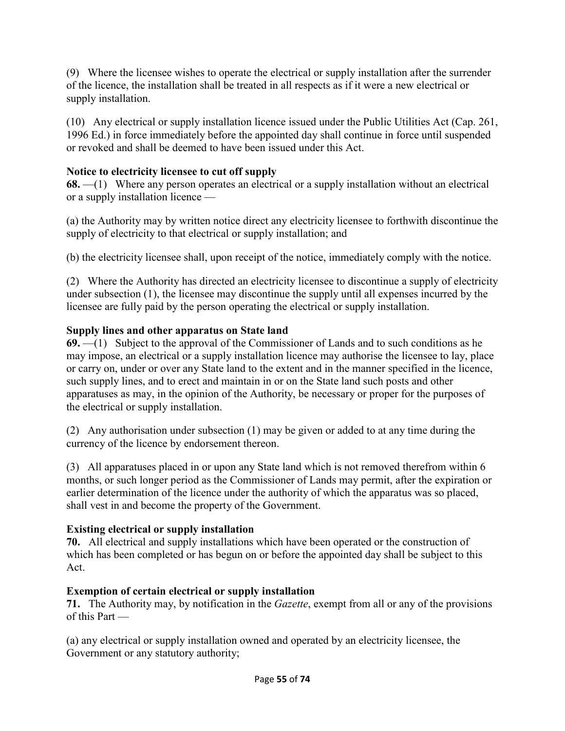(9) Where the licensee wishes to operate the electrical or supply installation after the surrender of the licence, the installation shall be treated in all respects as if it were a new electrical or supply installation.

(10) Any electrical or supply installation licence issued under the Public Utilities Act (Cap. 261, 1996 Ed.) in force immediately before the appointed day shall continue in force until suspended or revoked and shall be deemed to have been issued under this Act.

## **Notice to electricity licensee to cut off supply**

**68.** —(1) Where any person operates an electrical or a supply installation without an electrical or a supply installation licence —

(a) the Authority may by written notice direct any electricity licensee to forthwith discontinue the supply of electricity to that electrical or supply installation; and

(b) the electricity licensee shall, upon receipt of the notice, immediately comply with the notice.

(2) Where the Authority has directed an electricity licensee to discontinue a supply of electricity under subsection (1), the licensee may discontinue the supply until all expenses incurred by the licensee are fully paid by the person operating the electrical or supply installation.

#### **Supply lines and other apparatus on State land**

**69.** —(1) Subject to the approval of the Commissioner of Lands and to such conditions as he may impose, an electrical or a supply installation licence may authorise the licensee to lay, place or carry on, under or over any State land to the extent and in the manner specified in the licence, such supply lines, and to erect and maintain in or on the State land such posts and other apparatuses as may, in the opinion of the Authority, be necessary or proper for the purposes of the electrical or supply installation.

(2) Any authorisation under subsection (1) may be given or added to at any time during the currency of the licence by endorsement thereon.

(3) All apparatuses placed in or upon any State land which is not removed therefrom within 6 months, or such longer period as the Commissioner of Lands may permit, after the expiration or earlier determination of the licence under the authority of which the apparatus was so placed, shall vest in and become the property of the Government.

## **Existing electrical or supply installation**

**70.** All electrical and supply installations which have been operated or the construction of which has been completed or has begun on or before the appointed day shall be subject to this Act.

## **Exemption of certain electrical or supply installation**

**71.** The Authority may, by notification in the *Gazette*, exempt from all or any of the provisions of this Part —

(a) any electrical or supply installation owned and operated by an electricity licensee, the Government or any statutory authority;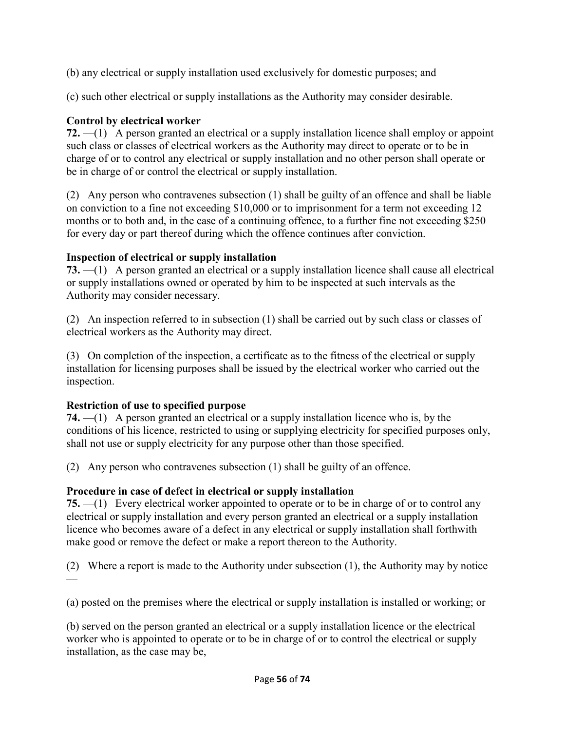(b) any electrical or supply installation used exclusively for domestic purposes; and

(c) such other electrical or supply installations as the Authority may consider desirable.

## **Control by electrical worker**

**72.** —(1) A person granted an electrical or a supply installation licence shall employ or appoint such class or classes of electrical workers as the Authority may direct to operate or to be in charge of or to control any electrical or supply installation and no other person shall operate or be in charge of or control the electrical or supply installation.

(2) Any person who contravenes subsection (1) shall be guilty of an offence and shall be liable on conviction to a fine not exceeding \$10,000 or to imprisonment for a term not exceeding 12 months or to both and, in the case of a continuing offence, to a further fine not exceeding \$250 for every day or part thereof during which the offence continues after conviction.

## **Inspection of electrical or supply installation**

**73.** —(1) A person granted an electrical or a supply installation licence shall cause all electrical or supply installations owned or operated by him to be inspected at such intervals as the Authority may consider necessary.

(2) An inspection referred to in subsection (1) shall be carried out by such class or classes of electrical workers as the Authority may direct.

(3) On completion of the inspection, a certificate as to the fitness of the electrical or supply installation for licensing purposes shall be issued by the electrical worker who carried out the inspection.

# **Restriction of use to specified purpose**

**74.** —(1) A person granted an electrical or a supply installation licence who is, by the conditions of his licence, restricted to using or supplying electricity for specified purposes only, shall not use or supply electricity for any purpose other than those specified.

(2) Any person who contravenes subsection (1) shall be guilty of an offence.

# **Procedure in case of defect in electrical or supply installation**

**75.** —(1) Every electrical worker appointed to operate or to be in charge of or to control any electrical or supply installation and every person granted an electrical or a supply installation licence who becomes aware of a defect in any electrical or supply installation shall forthwith make good or remove the defect or make a report thereon to the Authority.

(2) Where a report is made to the Authority under subsection (1), the Authority may by notice —

(a) posted on the premises where the electrical or supply installation is installed or working; or

(b) served on the person granted an electrical or a supply installation licence or the electrical worker who is appointed to operate or to be in charge of or to control the electrical or supply installation, as the case may be,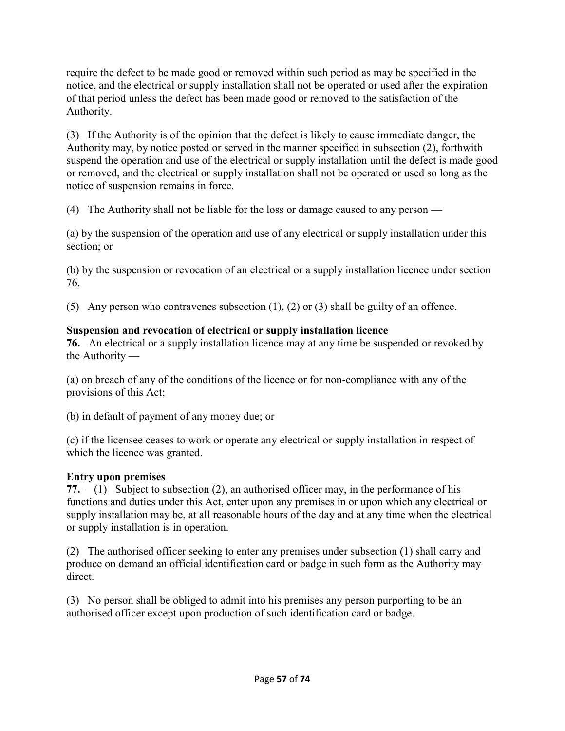require the defect to be made good or removed within such period as may be specified in the notice, and the electrical or supply installation shall not be operated or used after the expiration of that period unless the defect has been made good or removed to the satisfaction of the Authority.

(3) If the Authority is of the opinion that the defect is likely to cause immediate danger, the Authority may, by notice posted or served in the manner specified in subsection (2), forthwith suspend the operation and use of the electrical or supply installation until the defect is made good or removed, and the electrical or supply installation shall not be operated or used so long as the notice of suspension remains in force.

(4) The Authority shall not be liable for the loss or damage caused to any person —

(a) by the suspension of the operation and use of any electrical or supply installation under this section; or

(b) by the suspension or revocation of an electrical or a supply installation licence under section 76.

(5) Any person who contravenes subsection (1), (2) or (3) shall be guilty of an offence.

## **Suspension and revocation of electrical or supply installation licence**

**76.** An electrical or a supply installation licence may at any time be suspended or revoked by the Authority —

(a) on breach of any of the conditions of the licence or for non-compliance with any of the provisions of this Act;

(b) in default of payment of any money due; or

(c) if the licensee ceases to work or operate any electrical or supply installation in respect of which the licence was granted.

## **Entry upon premises**

**77.** —(1) Subject to subsection (2), an authorised officer may, in the performance of his functions and duties under this Act, enter upon any premises in or upon which any electrical or supply installation may be, at all reasonable hours of the day and at any time when the electrical or supply installation is in operation.

(2) The authorised officer seeking to enter any premises under subsection (1) shall carry and produce on demand an official identification card or badge in such form as the Authority may direct.

(3) No person shall be obliged to admit into his premises any person purporting to be an authorised officer except upon production of such identification card or badge.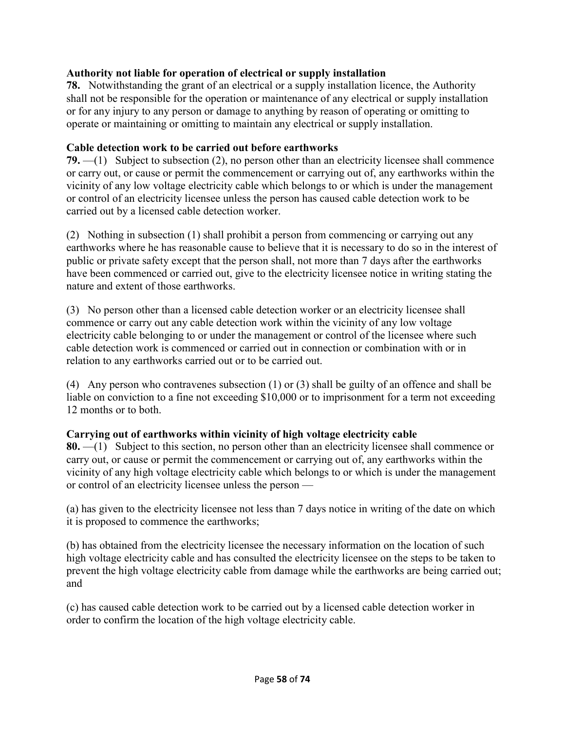## **Authority not liable for operation of electrical or supply installation**

**78.** Notwithstanding the grant of an electrical or a supply installation licence, the Authority shall not be responsible for the operation or maintenance of any electrical or supply installation or for any injury to any person or damage to anything by reason of operating or omitting to operate or maintaining or omitting to maintain any electrical or supply installation.

#### **Cable detection work to be carried out before earthworks**

**79.** —(1) Subject to subsection (2), no person other than an electricity licensee shall commence or carry out, or cause or permit the commencement or carrying out of, any earthworks within the vicinity of any low voltage electricity cable which belongs to or which is under the management or control of an electricity licensee unless the person has caused cable detection work to be carried out by a licensed cable detection worker.

(2) Nothing in subsection (1) shall prohibit a person from commencing or carrying out any earthworks where he has reasonable cause to believe that it is necessary to do so in the interest of public or private safety except that the person shall, not more than 7 days after the earthworks have been commenced or carried out, give to the electricity licensee notice in writing stating the nature and extent of those earthworks.

(3) No person other than a licensed cable detection worker or an electricity licensee shall commence or carry out any cable detection work within the vicinity of any low voltage electricity cable belonging to or under the management or control of the licensee where such cable detection work is commenced or carried out in connection or combination with or in relation to any earthworks carried out or to be carried out.

(4) Any person who contravenes subsection (1) or (3) shall be guilty of an offence and shall be liable on conviction to a fine not exceeding \$10,000 or to imprisonment for a term not exceeding 12 months or to both.

## **Carrying out of earthworks within vicinity of high voltage electricity cable**

**80.** —(1) Subject to this section, no person other than an electricity licensee shall commence or carry out, or cause or permit the commencement or carrying out of, any earthworks within the vicinity of any high voltage electricity cable which belongs to or which is under the management or control of an electricity licensee unless the person —

(a) has given to the electricity licensee not less than 7 days notice in writing of the date on which it is proposed to commence the earthworks;

(b) has obtained from the electricity licensee the necessary information on the location of such high voltage electricity cable and has consulted the electricity licensee on the steps to be taken to prevent the high voltage electricity cable from damage while the earthworks are being carried out; and

(c) has caused cable detection work to be carried out by a licensed cable detection worker in order to confirm the location of the high voltage electricity cable.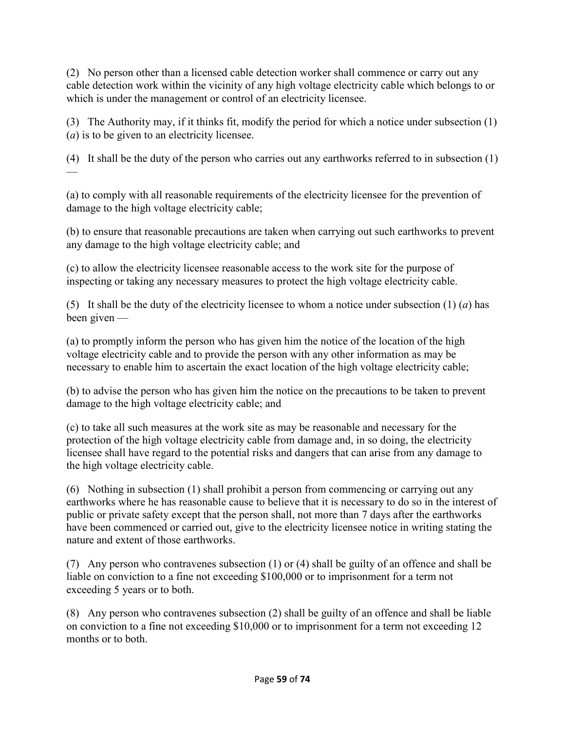(2) No person other than a licensed cable detection worker shall commence or carry out any cable detection work within the vicinity of any high voltage electricity cable which belongs to or which is under the management or control of an electricity licensee.

(3) The Authority may, if it thinks fit, modify the period for which a notice under subsection (1) (*a*) is to be given to an electricity licensee.

(4) It shall be the duty of the person who carries out any earthworks referred to in subsection (1) —

(a) to comply with all reasonable requirements of the electricity licensee for the prevention of damage to the high voltage electricity cable;

(b) to ensure that reasonable precautions are taken when carrying out such earthworks to prevent any damage to the high voltage electricity cable; and

(c) to allow the electricity licensee reasonable access to the work site for the purpose of inspecting or taking any necessary measures to protect the high voltage electricity cable.

(5) It shall be the duty of the electricity licensee to whom a notice under subsection  $(1)$   $(a)$  has been given —

(a) to promptly inform the person who has given him the notice of the location of the high voltage electricity cable and to provide the person with any other information as may be necessary to enable him to ascertain the exact location of the high voltage electricity cable;

(b) to advise the person who has given him the notice on the precautions to be taken to prevent damage to the high voltage electricity cable; and

(c) to take all such measures at the work site as may be reasonable and necessary for the protection of the high voltage electricity cable from damage and, in so doing, the electricity licensee shall have regard to the potential risks and dangers that can arise from any damage to the high voltage electricity cable.

(6) Nothing in subsection (1) shall prohibit a person from commencing or carrying out any earthworks where he has reasonable cause to believe that it is necessary to do so in the interest of public or private safety except that the person shall, not more than 7 days after the earthworks have been commenced or carried out, give to the electricity licensee notice in writing stating the nature and extent of those earthworks.

(7) Any person who contravenes subsection (1) or (4) shall be guilty of an offence and shall be liable on conviction to a fine not exceeding \$100,000 or to imprisonment for a term not exceeding 5 years or to both.

(8) Any person who contravenes subsection (2) shall be guilty of an offence and shall be liable on conviction to a fine not exceeding \$10,000 or to imprisonment for a term not exceeding 12 months or to both.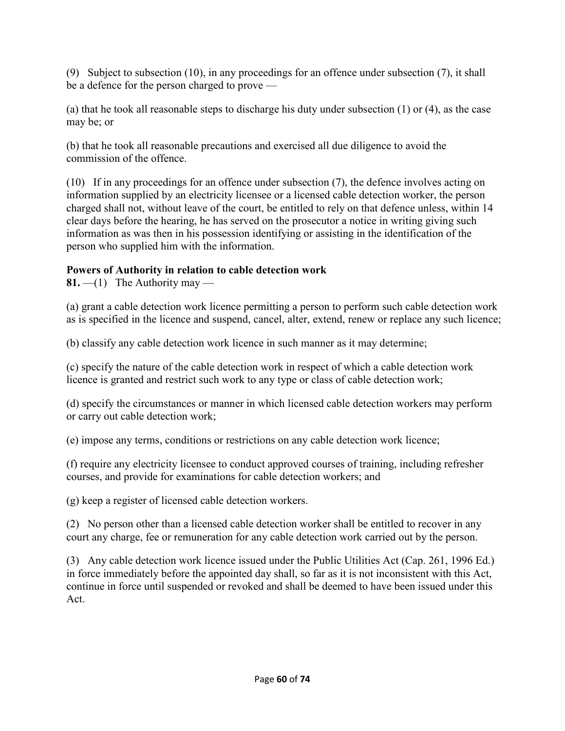(9) Subject to subsection (10), in any proceedings for an offence under subsection (7), it shall be a defence for the person charged to prove —

(a) that he took all reasonable steps to discharge his duty under subsection (1) or (4), as the case may be; or

(b) that he took all reasonable precautions and exercised all due diligence to avoid the commission of the offence.

(10) If in any proceedings for an offence under subsection (7), the defence involves acting on information supplied by an electricity licensee or a licensed cable detection worker, the person charged shall not, without leave of the court, be entitled to rely on that defence unless, within 14 clear days before the hearing, he has served on the prosecutor a notice in writing giving such information as was then in his possession identifying or assisting in the identification of the person who supplied him with the information.

# **Powers of Authority in relation to cable detection work**

**81.**  $-(1)$  The Authority may —

(a) grant a cable detection work licence permitting a person to perform such cable detection work as is specified in the licence and suspend, cancel, alter, extend, renew or replace any such licence;

(b) classify any cable detection work licence in such manner as it may determine;

(c) specify the nature of the cable detection work in respect of which a cable detection work licence is granted and restrict such work to any type or class of cable detection work;

(d) specify the circumstances or manner in which licensed cable detection workers may perform or carry out cable detection work;

(e) impose any terms, conditions or restrictions on any cable detection work licence;

(f) require any electricity licensee to conduct approved courses of training, including refresher courses, and provide for examinations for cable detection workers; and

(g) keep a register of licensed cable detection workers.

(2) No person other than a licensed cable detection worker shall be entitled to recover in any court any charge, fee or remuneration for any cable detection work carried out by the person.

(3) Any cable detection work licence issued under the Public Utilities Act (Cap. 261, 1996 Ed.) in force immediately before the appointed day shall, so far as it is not inconsistent with this Act, continue in force until suspended or revoked and shall be deemed to have been issued under this Act.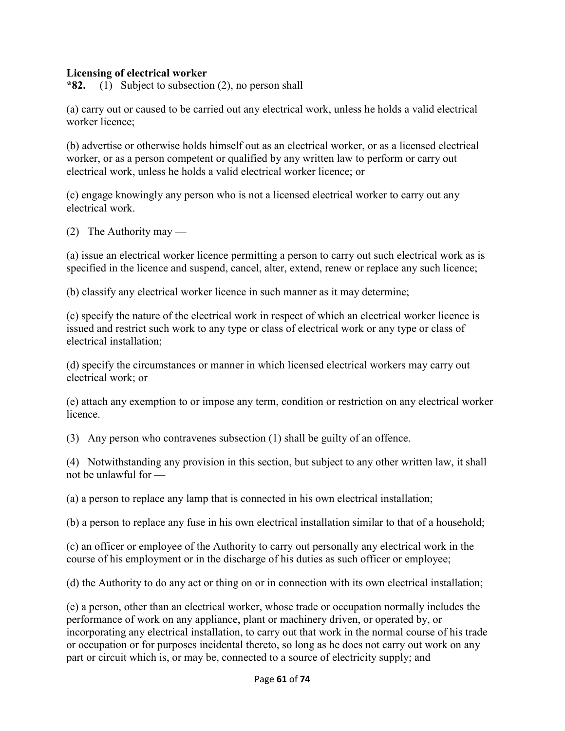#### **Licensing of electrical worker**

**\*82.**  $-(1)$  Subject to subsection (2), no person shall —

(a) carry out or caused to be carried out any electrical work, unless he holds a valid electrical worker licence;

(b) advertise or otherwise holds himself out as an electrical worker, or as a licensed electrical worker, or as a person competent or qualified by any written law to perform or carry out electrical work, unless he holds a valid electrical worker licence; or

(c) engage knowingly any person who is not a licensed electrical worker to carry out any electrical work.

(2) The Authority may —

(a) issue an electrical worker licence permitting a person to carry out such electrical work as is specified in the licence and suspend, cancel, alter, extend, renew or replace any such licence;

(b) classify any electrical worker licence in such manner as it may determine;

(c) specify the nature of the electrical work in respect of which an electrical worker licence is issued and restrict such work to any type or class of electrical work or any type or class of electrical installation;

(d) specify the circumstances or manner in which licensed electrical workers may carry out electrical work; or

(e) attach any exemption to or impose any term, condition or restriction on any electrical worker licence.

(3) Any person who contravenes subsection (1) shall be guilty of an offence.

(4) Notwithstanding any provision in this section, but subject to any other written law, it shall not be unlawful for —

(a) a person to replace any lamp that is connected in his own electrical installation;

(b) a person to replace any fuse in his own electrical installation similar to that of a household;

(c) an officer or employee of the Authority to carry out personally any electrical work in the course of his employment or in the discharge of his duties as such officer or employee;

(d) the Authority to do any act or thing on or in connection with its own electrical installation;

(e) a person, other than an electrical worker, whose trade or occupation normally includes the performance of work on any appliance, plant or machinery driven, or operated by, or incorporating any electrical installation, to carry out that work in the normal course of his trade or occupation or for purposes incidental thereto, so long as he does not carry out work on any part or circuit which is, or may be, connected to a source of electricity supply; and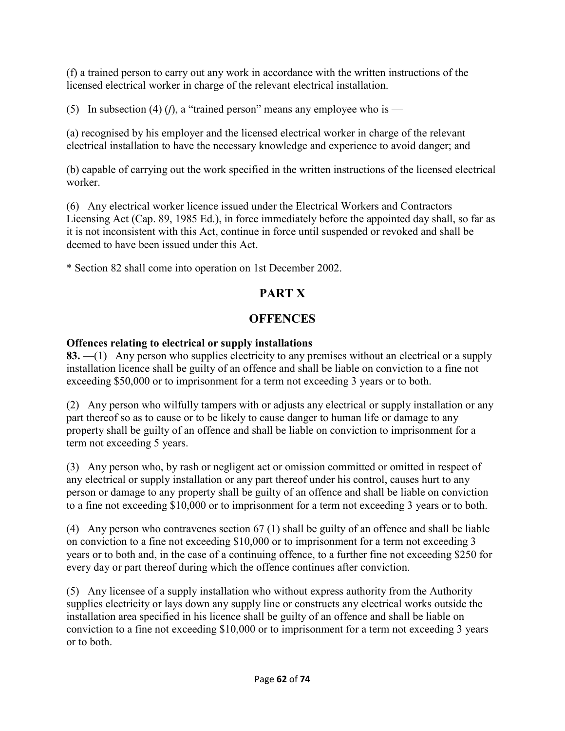(f) a trained person to carry out any work in accordance with the written instructions of the licensed electrical worker in charge of the relevant electrical installation.

(5) In subsection (4) (*f*), a "trained person" means any employee who is —

(a) recognised by his employer and the licensed electrical worker in charge of the relevant electrical installation to have the necessary knowledge and experience to avoid danger; and

(b) capable of carrying out the work specified in the written instructions of the licensed electrical worker.

(6) Any electrical worker licence issued under the Electrical Workers and Contractors Licensing Act (Cap. 89, 1985 Ed.), in force immediately before the appointed day shall, so far as it is not inconsistent with this Act, continue in force until suspended or revoked and shall be deemed to have been issued under this Act.

\* Section 82 shall come into operation on 1st December 2002.

# **PART X**

# **OFFENCES**

# **Offences relating to electrical or supply installations**

**83.** —(1) Any person who supplies electricity to any premises without an electrical or a supply installation licence shall be guilty of an offence and shall be liable on conviction to a fine not exceeding \$50,000 or to imprisonment for a term not exceeding 3 years or to both.

(2) Any person who wilfully tampers with or adjusts any electrical or supply installation or any part thereof so as to cause or to be likely to cause danger to human life or damage to any property shall be guilty of an offence and shall be liable on conviction to imprisonment for a term not exceeding 5 years.

(3) Any person who, by rash or negligent act or omission committed or omitted in respect of any electrical or supply installation or any part thereof under his control, causes hurt to any person or damage to any property shall be guilty of an offence and shall be liable on conviction to a fine not exceeding \$10,000 or to imprisonment for a term not exceeding 3 years or to both.

(4) Any person who contravenes section 67 (1) shall be guilty of an offence and shall be liable on conviction to a fine not exceeding \$10,000 or to imprisonment for a term not exceeding 3 years or to both and, in the case of a continuing offence, to a further fine not exceeding \$250 for every day or part thereof during which the offence continues after conviction.

(5) Any licensee of a supply installation who without express authority from the Authority supplies electricity or lays down any supply line or constructs any electrical works outside the installation area specified in his licence shall be guilty of an offence and shall be liable on conviction to a fine not exceeding \$10,000 or to imprisonment for a term not exceeding 3 years or to both.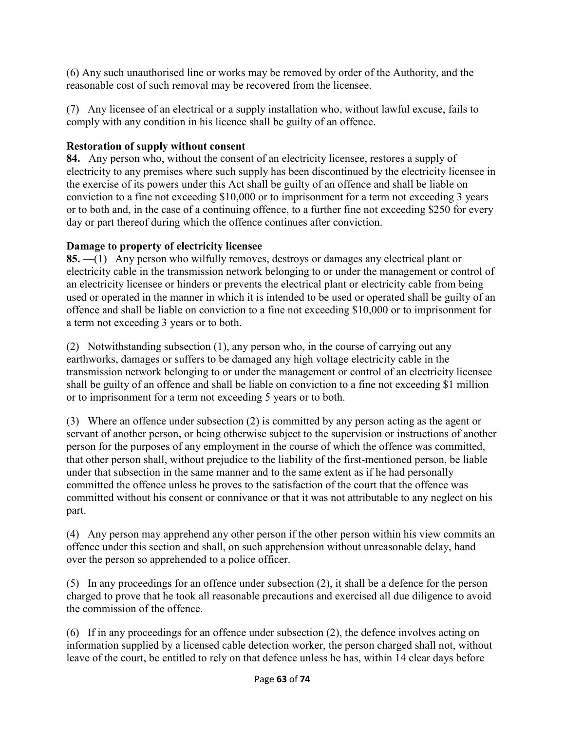(6) Any such unauthorised line or works may be removed by order of the Authority, and the reasonable cost of such removal may be recovered from the licensee.

(7) Any licensee of an electrical or a supply installation who, without lawful excuse, fails to comply with any condition in his licence shall be guilty of an offence.

# **Restoration of supply without consent**

**84.** Any person who, without the consent of an electricity licensee, restores a supply of electricity to any premises where such supply has been discontinued by the electricity licensee in the exercise of its powers under this Act shall be guilty of an offence and shall be liable on conviction to a fine not exceeding \$10,000 or to imprisonment for a term not exceeding 3 years or to both and, in the case of a continuing offence, to a further fine not exceeding \$250 for every day or part thereof during which the offence continues after conviction.

# **Damage to property of electricity licensee**

**85.** —(1) Any person who wilfully removes, destroys or damages any electrical plant or electricity cable in the transmission network belonging to or under the management or control of an electricity licensee or hinders or prevents the electrical plant or electricity cable from being used or operated in the manner in which it is intended to be used or operated shall be guilty of an offence and shall be liable on conviction to a fine not exceeding \$10,000 or to imprisonment for a term not exceeding 3 years or to both.

(2) Notwithstanding subsection (1), any person who, in the course of carrying out any earthworks, damages or suffers to be damaged any high voltage electricity cable in the transmission network belonging to or under the management or control of an electricity licensee shall be guilty of an offence and shall be liable on conviction to a fine not exceeding \$1 million or to imprisonment for a term not exceeding 5 years or to both.

(3) Where an offence under subsection (2) is committed by any person acting as the agent or servant of another person, or being otherwise subject to the supervision or instructions of another person for the purposes of any employment in the course of which the offence was committed, that other person shall, without prejudice to the liability of the first-mentioned person, be liable under that subsection in the same manner and to the same extent as if he had personally committed the offence unless he proves to the satisfaction of the court that the offence was committed without his consent or connivance or that it was not attributable to any neglect on his part.

(4) Any person may apprehend any other person if the other person within his view commits an offence under this section and shall, on such apprehension without unreasonable delay, hand over the person so apprehended to a police officer.

(5) In any proceedings for an offence under subsection (2), it shall be a defence for the person charged to prove that he took all reasonable precautions and exercised all due diligence to avoid the commission of the offence.

(6) If in any proceedings for an offence under subsection (2), the defence involves acting on information supplied by a licensed cable detection worker, the person charged shall not, without leave of the court, be entitled to rely on that defence unless he has, within 14 clear days before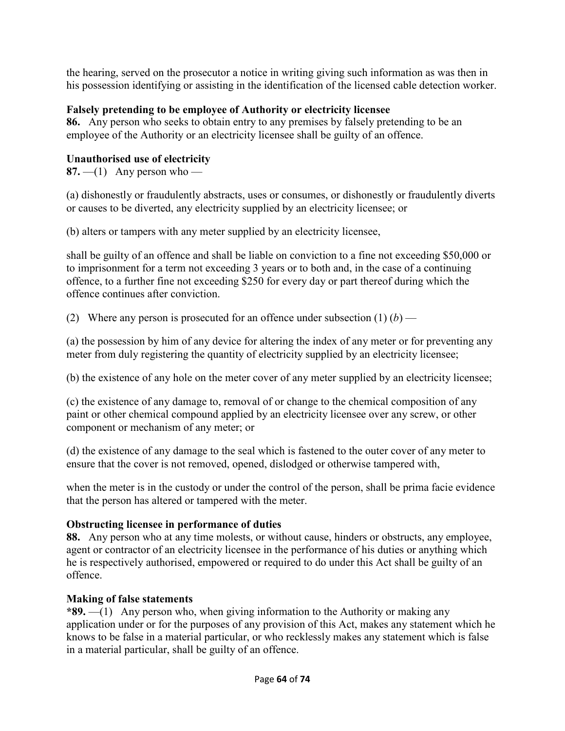the hearing, served on the prosecutor a notice in writing giving such information as was then in his possession identifying or assisting in the identification of the licensed cable detection worker.

## **Falsely pretending to be employee of Authority or electricity licensee**

**86.** Any person who seeks to obtain entry to any premises by falsely pretending to be an employee of the Authority or an electricity licensee shall be guilty of an offence.

## **Unauthorised use of electricity**

**87.**  $-$ (1) Any person who —

(a) dishonestly or fraudulently abstracts, uses or consumes, or dishonestly or fraudulently diverts or causes to be diverted, any electricity supplied by an electricity licensee; or

(b) alters or tampers with any meter supplied by an electricity licensee,

shall be guilty of an offence and shall be liable on conviction to a fine not exceeding \$50,000 or to imprisonment for a term not exceeding 3 years or to both and, in the case of a continuing offence, to a further fine not exceeding \$250 for every day or part thereof during which the offence continues after conviction.

(2) Where any person is prosecuted for an offence under subsection  $(1)$   $(b)$  —

(a) the possession by him of any device for altering the index of any meter or for preventing any meter from duly registering the quantity of electricity supplied by an electricity licensee;

(b) the existence of any hole on the meter cover of any meter supplied by an electricity licensee;

(c) the existence of any damage to, removal of or change to the chemical composition of any paint or other chemical compound applied by an electricity licensee over any screw, or other component or mechanism of any meter; or

(d) the existence of any damage to the seal which is fastened to the outer cover of any meter to ensure that the cover is not removed, opened, dislodged or otherwise tampered with,

when the meter is in the custody or under the control of the person, shall be prima facie evidence that the person has altered or tampered with the meter.

# **Obstructing licensee in performance of duties**

**88.** Any person who at any time molests, or without cause, hinders or obstructs, any employee, agent or contractor of an electricity licensee in the performance of his duties or anything which he is respectively authorised, empowered or required to do under this Act shall be guilty of an offence.

## **Making of false statements**

**\*89.** —(1) Any person who, when giving information to the Authority or making any application under or for the purposes of any provision of this Act, makes any statement which he knows to be false in a material particular, or who recklessly makes any statement which is false in a material particular, shall be guilty of an offence.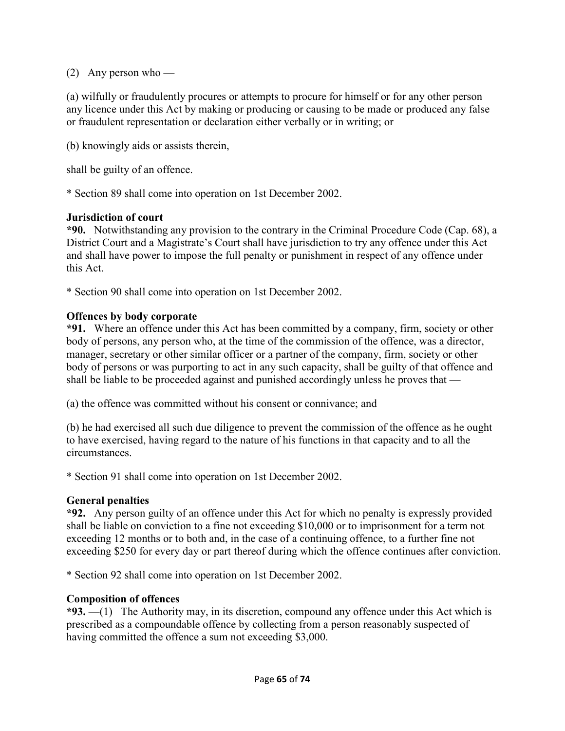(2) Any person who —

(a) wilfully or fraudulently procures or attempts to procure for himself or for any other person any licence under this Act by making or producing or causing to be made or produced any false or fraudulent representation or declaration either verbally or in writing; or

(b) knowingly aids or assists therein,

shall be guilty of an offence.

\* Section 89 shall come into operation on 1st December 2002.

#### **Jurisdiction of court**

**\*90.** Notwithstanding any provision to the contrary in the Criminal Procedure Code (Cap. 68), a District Court and a Magistrate's Court shall have jurisdiction to try any offence under this Act and shall have power to impose the full penalty or punishment in respect of any offence under this Act.

\* Section 90 shall come into operation on 1st December 2002.

#### **Offences by body corporate**

**\*91.** Where an offence under this Act has been committed by a company, firm, society or other body of persons, any person who, at the time of the commission of the offence, was a director, manager, secretary or other similar officer or a partner of the company, firm, society or other body of persons or was purporting to act in any such capacity, shall be guilty of that offence and shall be liable to be proceeded against and punished accordingly unless he proves that —

(a) the offence was committed without his consent or connivance; and

(b) he had exercised all such due diligence to prevent the commission of the offence as he ought to have exercised, having regard to the nature of his functions in that capacity and to all the circumstances.

\* Section 91 shall come into operation on 1st December 2002.

#### **General penalties**

**\*92.** Any person guilty of an offence under this Act for which no penalty is expressly provided shall be liable on conviction to a fine not exceeding \$10,000 or to imprisonment for a term not exceeding 12 months or to both and, in the case of a continuing offence, to a further fine not exceeding \$250 for every day or part thereof during which the offence continues after conviction.

\* Section 92 shall come into operation on 1st December 2002.

#### **Composition of offences**

**\*93.** —(1) The Authority may, in its discretion, compound any offence under this Act which is prescribed as a compoundable offence by collecting from a person reasonably suspected of having committed the offence a sum not exceeding \$3,000.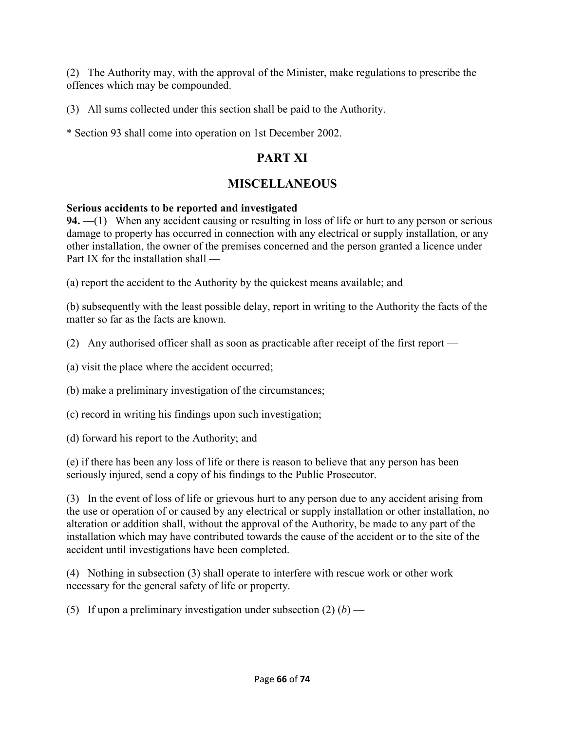(2) The Authority may, with the approval of the Minister, make regulations to prescribe the offences which may be compounded.

(3) All sums collected under this section shall be paid to the Authority.

\* Section 93 shall come into operation on 1st December 2002.

# **PART XI**

# **MISCELLANEOUS**

#### **Serious accidents to be reported and investigated**

**94.** —(1) When any accident causing or resulting in loss of life or hurt to any person or serious damage to property has occurred in connection with any electrical or supply installation, or any other installation, the owner of the premises concerned and the person granted a licence under Part IX for the installation shall —

(a) report the accident to the Authority by the quickest means available; and

(b) subsequently with the least possible delay, report in writing to the Authority the facts of the matter so far as the facts are known.

(2) Any authorised officer shall as soon as practicable after receipt of the first report —

(a) visit the place where the accident occurred;

(b) make a preliminary investigation of the circumstances;

(c) record in writing his findings upon such investigation;

(d) forward his report to the Authority; and

(e) if there has been any loss of life or there is reason to believe that any person has been seriously injured, send a copy of his findings to the Public Prosecutor.

(3) In the event of loss of life or grievous hurt to any person due to any accident arising from the use or operation of or caused by any electrical or supply installation or other installation, no alteration or addition shall, without the approval of the Authority, be made to any part of the installation which may have contributed towards the cause of the accident or to the site of the accident until investigations have been completed.

(4) Nothing in subsection (3) shall operate to interfere with rescue work or other work necessary for the general safety of life or property.

(5) If upon a preliminary investigation under subsection  $(2)$  (*b*) —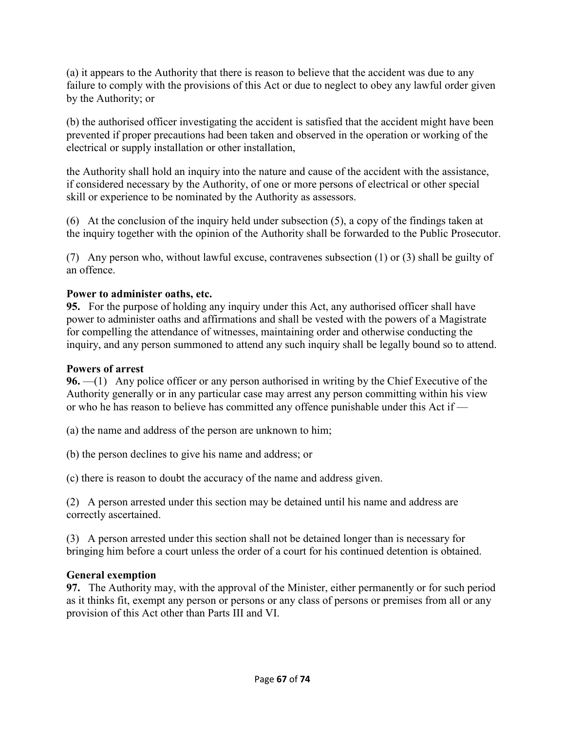(a) it appears to the Authority that there is reason to believe that the accident was due to any failure to comply with the provisions of this Act or due to neglect to obey any lawful order given by the Authority; or

(b) the authorised officer investigating the accident is satisfied that the accident might have been prevented if proper precautions had been taken and observed in the operation or working of the electrical or supply installation or other installation,

the Authority shall hold an inquiry into the nature and cause of the accident with the assistance, if considered necessary by the Authority, of one or more persons of electrical or other special skill or experience to be nominated by the Authority as assessors.

(6) At the conclusion of the inquiry held under subsection (5), a copy of the findings taken at the inquiry together with the opinion of the Authority shall be forwarded to the Public Prosecutor.

(7) Any person who, without lawful excuse, contravenes subsection (1) or (3) shall be guilty of an offence.

## **Power to administer oaths, etc.**

**95.** For the purpose of holding any inquiry under this Act, any authorised officer shall have power to administer oaths and affirmations and shall be vested with the powers of a Magistrate for compelling the attendance of witnesses, maintaining order and otherwise conducting the inquiry, and any person summoned to attend any such inquiry shall be legally bound so to attend.

#### **Powers of arrest**

**96.** —(1) Any police officer or any person authorised in writing by the Chief Executive of the Authority generally or in any particular case may arrest any person committing within his view or who he has reason to believe has committed any offence punishable under this Act if —

(a) the name and address of the person are unknown to him;

(b) the person declines to give his name and address; or

(c) there is reason to doubt the accuracy of the name and address given.

(2) A person arrested under this section may be detained until his name and address are correctly ascertained.

(3) A person arrested under this section shall not be detained longer than is necessary for bringing him before a court unless the order of a court for his continued detention is obtained.

## **General exemption**

**97.** The Authority may, with the approval of the Minister, either permanently or for such period as it thinks fit, exempt any person or persons or any class of persons or premises from all or any provision of this Act other than Parts III and VI.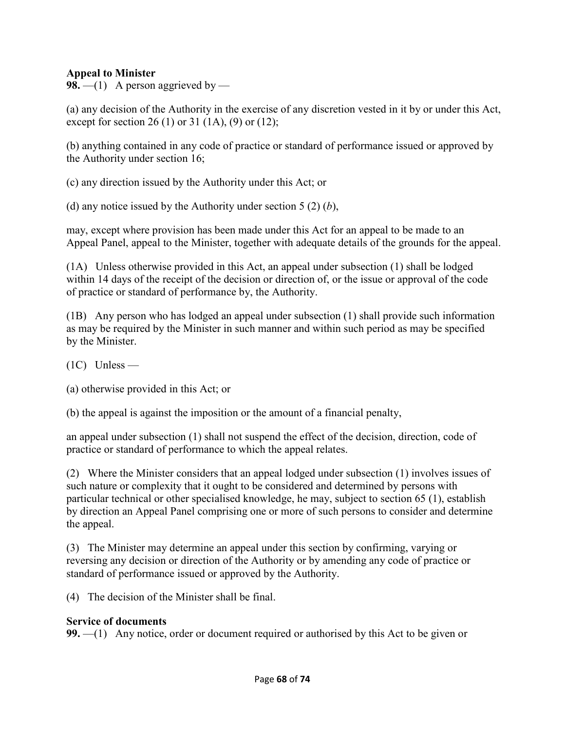#### **Appeal to Minister**

**98.** —(1) A person aggrieved by —

(a) any decision of the Authority in the exercise of any discretion vested in it by or under this Act, except for section 26 (1) or 31 (1A), (9) or (12);

(b) anything contained in any code of practice or standard of performance issued or approved by the Authority under section 16;

(c) any direction issued by the Authority under this Act; or

(d) any notice issued by the Authority under section 5 (2) (*b*),

may, except where provision has been made under this Act for an appeal to be made to an Appeal Panel, appeal to the Minister, together with adequate details of the grounds for the appeal.

(1A) Unless otherwise provided in this Act, an appeal under subsection (1) shall be lodged within 14 days of the receipt of the decision or direction of, or the issue or approval of the code of practice or standard of performance by, the Authority.

(1B) Any person who has lodged an appeal under subsection (1) shall provide such information as may be required by the Minister in such manner and within such period as may be specified by the Minister.

(1C) Unless —

(a) otherwise provided in this Act; or

(b) the appeal is against the imposition or the amount of a financial penalty,

an appeal under subsection (1) shall not suspend the effect of the decision, direction, code of practice or standard of performance to which the appeal relates.

(2) Where the Minister considers that an appeal lodged under subsection (1) involves issues of such nature or complexity that it ought to be considered and determined by persons with particular technical or other specialised knowledge, he may, subject to section 65 (1), establish by direction an Appeal Panel comprising one or more of such persons to consider and determine the appeal.

(3) The Minister may determine an appeal under this section by confirming, varying or reversing any decision or direction of the Authority or by amending any code of practice or standard of performance issued or approved by the Authority.

(4) The decision of the Minister shall be final.

#### **Service of documents**

**99.** —(1) Any notice, order or document required or authorised by this Act to be given or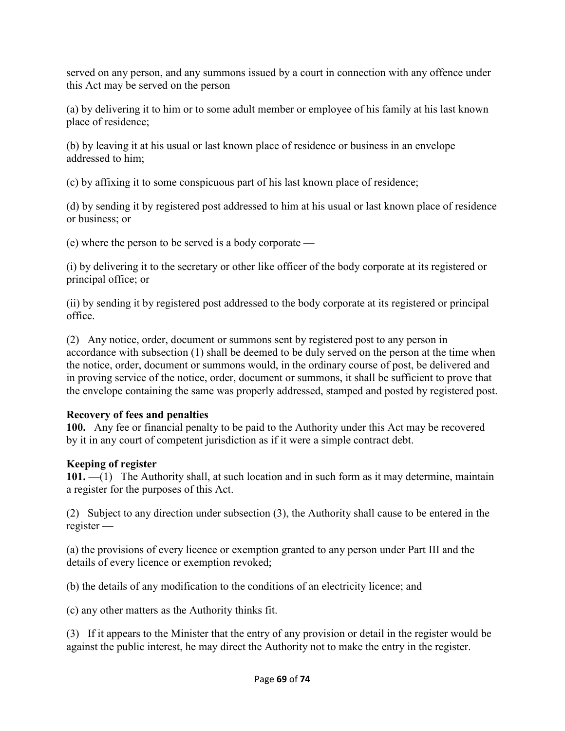served on any person, and any summons issued by a court in connection with any offence under this Act may be served on the person —

(a) by delivering it to him or to some adult member or employee of his family at his last known place of residence;

(b) by leaving it at his usual or last known place of residence or business in an envelope addressed to him;

(c) by affixing it to some conspicuous part of his last known place of residence;

(d) by sending it by registered post addressed to him at his usual or last known place of residence or business; or

(e) where the person to be served is a body corporate —

(i) by delivering it to the secretary or other like officer of the body corporate at its registered or principal office; or

(ii) by sending it by registered post addressed to the body corporate at its registered or principal office.

(2) Any notice, order, document or summons sent by registered post to any person in accordance with subsection (1) shall be deemed to be duly served on the person at the time when the notice, order, document or summons would, in the ordinary course of post, be delivered and in proving service of the notice, order, document or summons, it shall be sufficient to prove that the envelope containing the same was properly addressed, stamped and posted by registered post.

## **Recovery of fees and penalties**

**100.** Any fee or financial penalty to be paid to the Authority under this Act may be recovered by it in any court of competent jurisdiction as if it were a simple contract debt.

# **Keeping of register**

**101.** —(1) The Authority shall, at such location and in such form as it may determine, maintain a register for the purposes of this Act.

(2) Subject to any direction under subsection (3), the Authority shall cause to be entered in the register —

(a) the provisions of every licence or exemption granted to any person under Part III and the details of every licence or exemption revoked;

(b) the details of any modification to the conditions of an electricity licence; and

(c) any other matters as the Authority thinks fit.

(3) If it appears to the Minister that the entry of any provision or detail in the register would be against the public interest, he may direct the Authority not to make the entry in the register.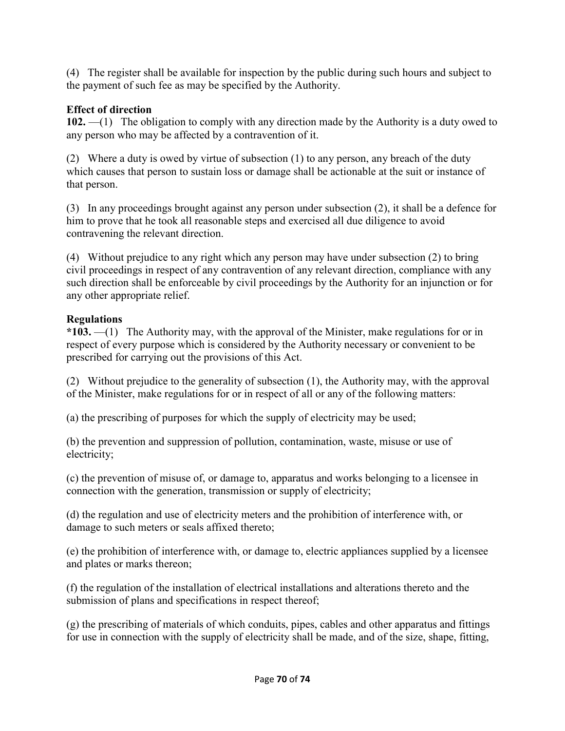(4) The register shall be available for inspection by the public during such hours and subject to the payment of such fee as may be specified by the Authority.

## **Effect of direction**

**102.** —(1) The obligation to comply with any direction made by the Authority is a duty owed to any person who may be affected by a contravention of it.

(2) Where a duty is owed by virtue of subsection (1) to any person, any breach of the duty which causes that person to sustain loss or damage shall be actionable at the suit or instance of that person.

(3) In any proceedings brought against any person under subsection (2), it shall be a defence for him to prove that he took all reasonable steps and exercised all due diligence to avoid contravening the relevant direction.

(4) Without prejudice to any right which any person may have under subsection (2) to bring civil proceedings in respect of any contravention of any relevant direction, compliance with any such direction shall be enforceable by civil proceedings by the Authority for an injunction or for any other appropriate relief.

# **Regulations**

**\*103.** —(1) The Authority may, with the approval of the Minister, make regulations for or in respect of every purpose which is considered by the Authority necessary or convenient to be prescribed for carrying out the provisions of this Act.

(2) Without prejudice to the generality of subsection (1), the Authority may, with the approval of the Minister, make regulations for or in respect of all or any of the following matters:

(a) the prescribing of purposes for which the supply of electricity may be used;

(b) the prevention and suppression of pollution, contamination, waste, misuse or use of electricity;

(c) the prevention of misuse of, or damage to, apparatus and works belonging to a licensee in connection with the generation, transmission or supply of electricity;

(d) the regulation and use of electricity meters and the prohibition of interference with, or damage to such meters or seals affixed thereto;

(e) the prohibition of interference with, or damage to, electric appliances supplied by a licensee and plates or marks thereon;

(f) the regulation of the installation of electrical installations and alterations thereto and the submission of plans and specifications in respect thereof;

(g) the prescribing of materials of which conduits, pipes, cables and other apparatus and fittings for use in connection with the supply of electricity shall be made, and of the size, shape, fitting,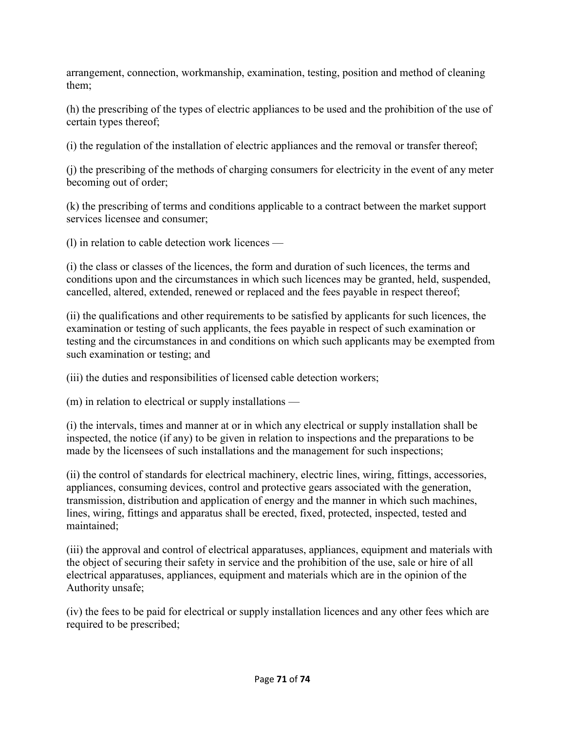arrangement, connection, workmanship, examination, testing, position and method of cleaning them;

(h) the prescribing of the types of electric appliances to be used and the prohibition of the use of certain types thereof;

(i) the regulation of the installation of electric appliances and the removal or transfer thereof;

(j) the prescribing of the methods of charging consumers for electricity in the event of any meter becoming out of order;

(k) the prescribing of terms and conditions applicable to a contract between the market support services licensee and consumer;

(l) in relation to cable detection work licences —

(i) the class or classes of the licences, the form and duration of such licences, the terms and conditions upon and the circumstances in which such licences may be granted, held, suspended, cancelled, altered, extended, renewed or replaced and the fees payable in respect thereof;

(ii) the qualifications and other requirements to be satisfied by applicants for such licences, the examination or testing of such applicants, the fees payable in respect of such examination or testing and the circumstances in and conditions on which such applicants may be exempted from such examination or testing; and

(iii) the duties and responsibilities of licensed cable detection workers;

(m) in relation to electrical or supply installations —

(i) the intervals, times and manner at or in which any electrical or supply installation shall be inspected, the notice (if any) to be given in relation to inspections and the preparations to be made by the licensees of such installations and the management for such inspections;

(ii) the control of standards for electrical machinery, electric lines, wiring, fittings, accessories, appliances, consuming devices, control and protective gears associated with the generation, transmission, distribution and application of energy and the manner in which such machines, lines, wiring, fittings and apparatus shall be erected, fixed, protected, inspected, tested and maintained;

(iii) the approval and control of electrical apparatuses, appliances, equipment and materials with the object of securing their safety in service and the prohibition of the use, sale or hire of all electrical apparatuses, appliances, equipment and materials which are in the opinion of the Authority unsafe;

(iv) the fees to be paid for electrical or supply installation licences and any other fees which are required to be prescribed;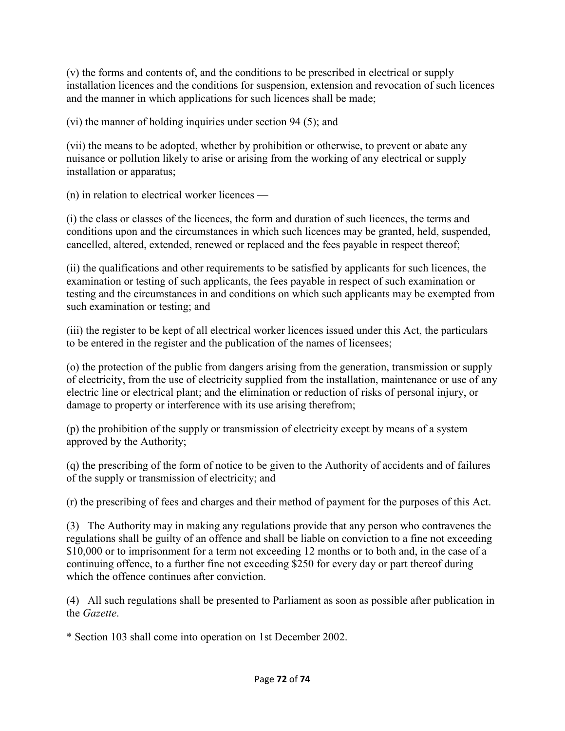(v) the forms and contents of, and the conditions to be prescribed in electrical or supply installation licences and the conditions for suspension, extension and revocation of such licences and the manner in which applications for such licences shall be made;

(vi) the manner of holding inquiries under section 94 (5); and

(vii) the means to be adopted, whether by prohibition or otherwise, to prevent or abate any nuisance or pollution likely to arise or arising from the working of any electrical or supply installation or apparatus;

(n) in relation to electrical worker licences —

(i) the class or classes of the licences, the form and duration of such licences, the terms and conditions upon and the circumstances in which such licences may be granted, held, suspended, cancelled, altered, extended, renewed or replaced and the fees payable in respect thereof;

(ii) the qualifications and other requirements to be satisfied by applicants for such licences, the examination or testing of such applicants, the fees payable in respect of such examination or testing and the circumstances in and conditions on which such applicants may be exempted from such examination or testing; and

(iii) the register to be kept of all electrical worker licences issued under this Act, the particulars to be entered in the register and the publication of the names of licensees;

(o) the protection of the public from dangers arising from the generation, transmission or supply of electricity, from the use of electricity supplied from the installation, maintenance or use of any electric line or electrical plant; and the elimination or reduction of risks of personal injury, or damage to property or interference with its use arising therefrom;

(p) the prohibition of the supply or transmission of electricity except by means of a system approved by the Authority;

(q) the prescribing of the form of notice to be given to the Authority of accidents and of failures of the supply or transmission of electricity; and

(r) the prescribing of fees and charges and their method of payment for the purposes of this Act.

(3) The Authority may in making any regulations provide that any person who contravenes the regulations shall be guilty of an offence and shall be liable on conviction to a fine not exceeding \$10,000 or to imprisonment for a term not exceeding 12 months or to both and, in the case of a continuing offence, to a further fine not exceeding \$250 for every day or part thereof during which the offence continues after conviction.

(4) All such regulations shall be presented to Parliament as soon as possible after publication in the *Gazette*.

\* Section 103 shall come into operation on 1st December 2002.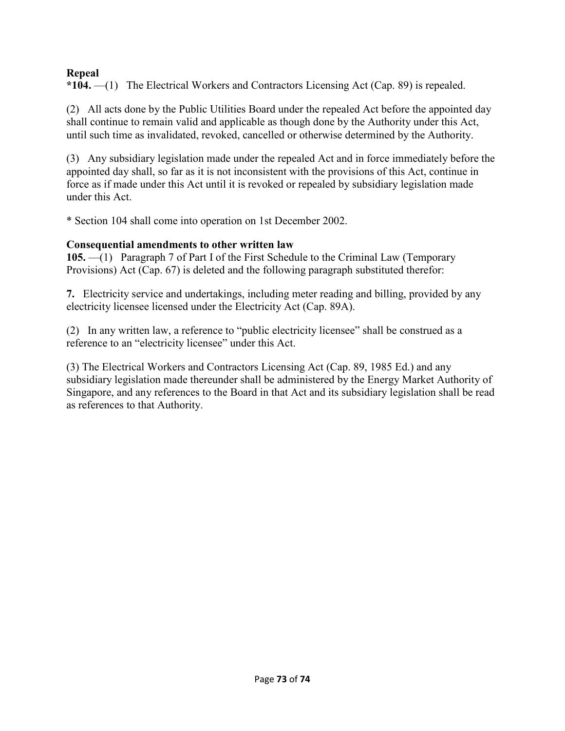# **Repeal**

**\*104.** —(1) The Electrical Workers and Contractors Licensing Act (Cap. 89) is repealed.

(2) All acts done by the Public Utilities Board under the repealed Act before the appointed day shall continue to remain valid and applicable as though done by the Authority under this Act, until such time as invalidated, revoked, cancelled or otherwise determined by the Authority.

(3) Any subsidiary legislation made under the repealed Act and in force immediately before the appointed day shall, so far as it is not inconsistent with the provisions of this Act, continue in force as if made under this Act until it is revoked or repealed by subsidiary legislation made under this Act.

\* Section 104 shall come into operation on 1st December 2002.

# **Consequential amendments to other written law**

**105.** —(1) Paragraph 7 of Part I of the First Schedule to the Criminal Law (Temporary Provisions) Act (Cap. 67) is deleted and the following paragraph substituted therefor:

**7.** Electricity service and undertakings, including meter reading and billing, provided by any electricity licensee licensed under the Electricity Act (Cap. 89A).

(2) In any written law, a reference to "public electricity licensee" shall be construed as a reference to an "electricity licensee" under this Act.

(3) The Electrical Workers and Contractors Licensing Act (Cap. 89, 1985 Ed.) and any subsidiary legislation made thereunder shall be administered by the Energy Market Authority of Singapore, and any references to the Board in that Act and its subsidiary legislation shall be read as references to that Authority.